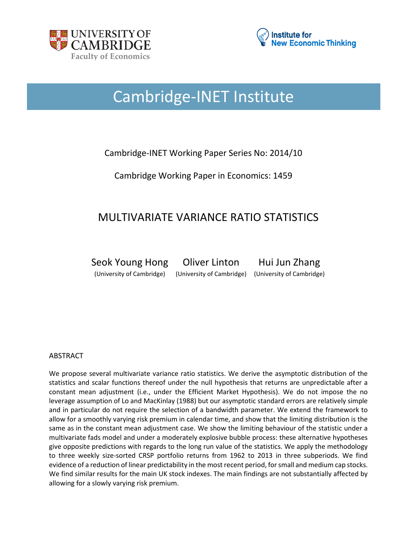



# Cambridge-INET Institute

### Cambridge-INET Working Paper Series No: 2014/10

Cambridge Working Paper in Economics: 1459

## MULTIVARIATE VARIANCE RATIO STATISTICS

Seok Young Hong Oliver Linton Hui Jun Zhang (University of Cambridge) (University of Cambridge) (University of Cambridge)

#### ABSTRACT

We propose several multivariate variance ratio statistics. We derive the asymptotic distribution of the statistics and scalar functions thereof under the null hypothesis that returns are unpredictable after a constant mean adjustment (i.e., under the Efficient Market Hypothesis). We do not impose the no leverage assumption of Lo and MacKinlay (1988) but our asymptotic standard errors are relatively simple and in particular do not require the selection of a bandwidth parameter. We extend the framework to allow for a smoothly varying risk premium in calendar time, and show that the limiting distribution is the same as in the constant mean adjustment case. We show the limiting behaviour of the statistic under a multivariate fads model and under a moderately explosive bubble process: these alternative hypotheses give opposite predictions with regards to the long run value of the statistics. We apply the methodology to three weekly size-sorted CRSP portfolio returns from 1962 to 2013 in three subperiods. We find evidence of a reduction of linear predictability in the most recent period, for small and medium cap stocks. We find similar results for the main UK stock indexes. The main findings are not substantially affected by allowing for a slowly varying risk premium.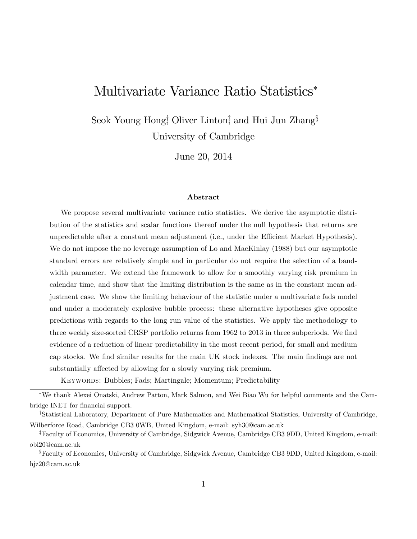## Multivariate Variance Ratio Statistics

 $S$ eok Young Hong<sup>†</sup>, Oliver Linton<sup>‡</sup>, and Hui Jun Zhang<sup>§</sup> University of Cambridge

June 20, 2014

#### Abstract

We propose several multivariate variance ratio statistics. We derive the asymptotic distribution of the statistics and scalar functions thereof under the null hypothesis that returns are unpredictable after a constant mean adjustment (i.e., under the Efficient Market Hypothesis). We do not impose the no leverage assumption of Lo and MacKinlay (1988) but our asymptotic standard errors are relatively simple and in particular do not require the selection of a bandwidth parameter. We extend the framework to allow for a smoothly varying risk premium in calendar time, and show that the limiting distribution is the same as in the constant mean adjustment case. We show the limiting behaviour of the statistic under a multivariate fads model and under a moderately explosive bubble process: these alternative hypotheses give opposite predictions with regards to the long run value of the statistics. We apply the methodology to three weekly size-sorted CRSP portfolio returns from 1962 to 2013 in three subperiods. We find evidence of a reduction of linear predictability in the most recent period, for small and medium cap stocks. We Önd similar results for the main UK stock indexes. The main Öndings are not substantially affected by allowing for a slowly varying risk premium.

KEYWORDS: Bubbles; Fads; Martingale; Momentum; Predictability

We thank Alexei Onatski, Andrew Patton, Mark Salmon, and Wei Biao Wu for helpful comments and the Cambridge INET for financial support.

<sup>&</sup>lt;sup>†</sup>Statistical Laboratory, Department of Pure Mathematics and Mathematical Statistics, University of Cambridge, Wilberforce Road, Cambridge CB3 0WB, United Kingdom, e-mail: syh30@cam.ac.uk

<sup>z</sup>Faculty of Economics, University of Cambridge, Sidgwick Avenue, Cambridge CB3 9DD, United Kingdom, e-mail: obl20@cam.ac.uk

<sup>&</sup>lt;sup>§</sup>Faculty of Economics, University of Cambridge, Sidgwick Avenue, Cambridge CB3 9DD, United Kingdom, e-mail: hjz20@cam.ac.uk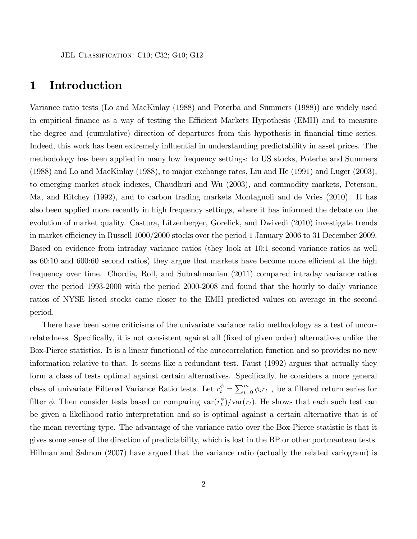## 1 Introduction

Variance ratio tests (Lo and MacKinlay (1988) and Poterba and Summers (1988)) are widely used in empirical finance as a way of testing the Efficient Markets Hypothesis (EMH) and to measure the degree and (cumulative) direction of departures from this hypothesis in financial time series. Indeed, this work has been extremely influential in understanding predictability in asset prices. The methodology has been applied in many low frequency settings: to US stocks, Poterba and Summers (1988) and Lo and MacKinlay (1988), to major exchange rates, Liu and He (1991) and Luger (2003), to emerging market stock indexes, Chaudhuri and Wu (2003), and commodity markets, Peterson, Ma, and Ritchey (1992), and to carbon trading markets Montagnoli and de Vries (2010). It has also been applied more recently in high frequency settings, where it has informed the debate on the evolution of market quality. Castura, Litzenberger, Gorelick, and Dwivedi (2010) investigate trends in market efficiency in Russell 1000/2000 stocks over the period 1 January 2006 to 31 December 2009. Based on evidence from intraday variance ratios (they look at 10:1 second variance ratios as well as  $60:10$  and  $60:0:60$  second ratios) they argue that markets have become more efficient at the high frequency over time. Chordia, Roll, and Subrahmanian (2011) compared intraday variance ratios over the period 1993-2000 with the period 2000-2008 and found that the hourly to daily variance ratios of NYSE listed stocks came closer to the EMH predicted values on average in the second period.

There have been some criticisms of the univariate variance ratio methodology as a test of uncorrelatedness. Specifically, it is not consistent against all (fixed of given order) alternatives unlike the Box-Pierce statistics. It is a linear functional of the autocorrelation function and so provides no new information relative to that. It seems like a redundant test. Faust (1992) argues that actually they form a class of tests optimal against certain alternatives. Specifically, he considers a more general class of univariate Filtered Variance Ratio tests. Let  $r_t^{\phi} = \sum_{i=0}^{m} \phi_i r_{t-i}$  be a filtered return series for filter  $\phi$ . Then consider tests based on comparing var $(r_t^{\phi})$  $t^{\phi}$ //var(*r<sub>t</sub>*). He shows that each such test can be given a likelihood ratio interpretation and so is optimal against a certain alternative that is of the mean reverting type. The advantage of the variance ratio over the Box-Pierce statistic is that it gives some sense of the direction of predictability, which is lost in the BP or other portmanteau tests. Hillman and Salmon (2007) have argued that the variance ratio (actually the related variogram) is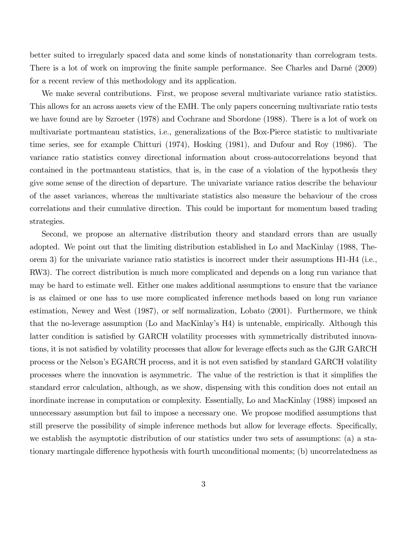better suited to irregularly spaced data and some kinds of nonstationarity than correlogram tests. There is a lot of work on improving the finite sample performance. See Charles and Darné (2009) for a recent review of this methodology and its application.

We make several contributions. First, we propose several multivariate variance ratio statistics. This allows for an across assets view of the EMH. The only papers concerning multivariate ratio tests we have found are by Szroeter (1978) and Cochrane and Sbordone (1988). There is a lot of work on multivariate portmanteau statistics, i.e., generalizations of the Box-Pierce statistic to multivariate time series, see for example Chitturi (1974), Hosking (1981), and Dufour and Roy (1986). The variance ratio statistics convey directional information about cross-autocorrelations beyond that contained in the portmanteau statistics, that is, in the case of a violation of the hypothesis they give some sense of the direction of departure. The univariate variance ratios describe the behaviour of the asset variances, whereas the multivariate statistics also measure the behaviour of the cross correlations and their cumulative direction. This could be important for momentum based trading strategies.

Second, we propose an alternative distribution theory and standard errors than are usually adopted. We point out that the limiting distribution established in Lo and MacKinlay (1988, Theorem 3) for the univariate variance ratio statistics is incorrect under their assumptions H1-H4 (i.e., RW3). The correct distribution is much more complicated and depends on a long run variance that may be hard to estimate well. Either one makes additional assumptions to ensure that the variance is as claimed or one has to use more complicated inference methods based on long run variance estimation, Newey and West (1987), or self normalization, Lobato (2001). Furthermore, we think that the no-leverage assumption (Lo and MacKinlayís H4) is untenable, empirically. Although this latter condition is satisfied by GARCH volatility processes with symmetrically distributed innovations, it is not satisfied by volatility processes that allow for leverage effects such as the GJR GARCH process or the Nelson's EGARCH process, and it is not even satisfied by standard GARCH volatility processes where the innovation is asymmetric. The value of the restriction is that it simplifies the standard error calculation, although, as we show, dispensing with this condition does not entail an inordinate increase in computation or complexity. Essentially, Lo and MacKinlay (1988) imposed an unnecessary assumption but fail to impose a necessary one. We propose modified assumptions that still preserve the possibility of simple inference methods but allow for leverage effects. Specifically, we establish the asymptotic distribution of our statistics under two sets of assumptions: (a) a stationary martingale difference hypothesis with fourth unconditional moments; (b) uncorrelatedness as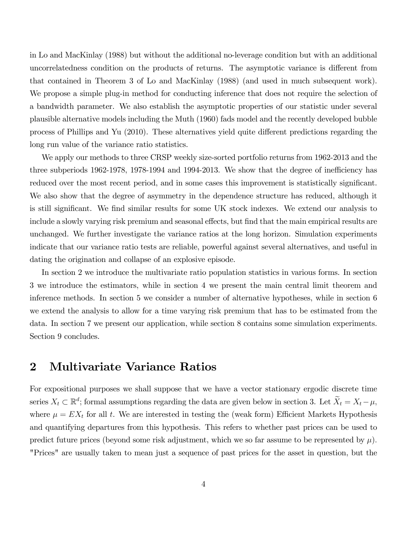in Lo and MacKinlay (1988) but without the additional no-leverage condition but with an additional uncorrelatedness condition on the products of returns. The asymptotic variance is different from that contained in Theorem 3 of Lo and MacKinlay (1988) (and used in much subsequent work). We propose a simple plug-in method for conducting inference that does not require the selection of a bandwidth parameter. We also establish the asymptotic properties of our statistic under several plausible alternative models including the Muth (1960) fads model and the recently developed bubble process of Phillips and Yu (2010). These alternatives yield quite different predictions regarding the long run value of the variance ratio statistics.

We apply our methods to three CRSP weekly size-sorted portfolio returns from 1962-2013 and the three subperiods  $1962-1978$ ,  $1978-1994$  and  $1994-2013$ . We show that the degree of inefficiency has reduced over the most recent period, and in some cases this improvement is statistically significant. We also show that the degree of asymmetry in the dependence structure has reduced, although it is still significant. We find similar results for some UK stock indexes. We extend our analysis to include a slowly varying risk premium and seasonal effects, but find that the main empirical results are unchanged. We further investigate the variance ratios at the long horizon. Simulation experiments indicate that our variance ratio tests are reliable, powerful against several alternatives, and useful in dating the origination and collapse of an explosive episode.

In section 2 we introduce the multivariate ratio population statistics in various forms. In section 3 we introduce the estimators, while in section 4 we present the main central limit theorem and inference methods. In section 5 we consider a number of alternative hypotheses, while in section 6 we extend the analysis to allow for a time varying risk premium that has to be estimated from the data. In section 7 we present our application, while section 8 contains some simulation experiments. Section 9 concludes.

### 2 Multivariate Variance Ratios

For expositional purposes we shall suppose that we have a vector stationary ergodic discrete time series  $X_t \subset \mathbb{R}^d$ ; formal assumptions regarding the data are given below in section 3. Let  $X_t = X_t - \mu$ , where  $\mu = EX_t$  for all t. We are interested in testing the (weak form) Efficient Markets Hypothesis and quantifying departures from this hypothesis. This refers to whether past prices can be used to predict future prices (beyond some risk adjustment, which we so far assume to be represented by  $\mu$ ). "Prices" are usually taken to mean just a sequence of past prices for the asset in question, but the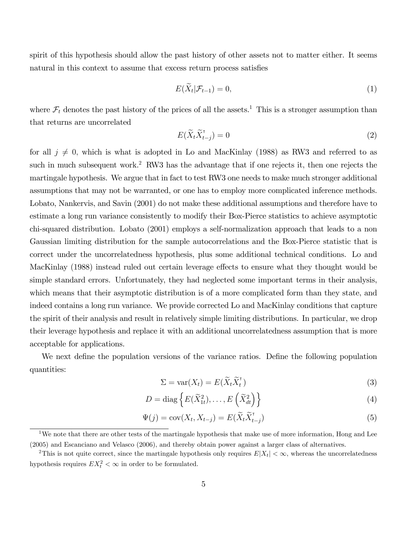spirit of this hypothesis should allow the past history of other assets not to matter either. It seems natural in this context to assume that excess return process satisfies

$$
E(\widetilde{X}_t|\mathcal{F}_{t-1})=0,\t\t(1)
$$

where  $\mathcal{F}_t$  denotes the past history of the prices of all the assets.<sup>1</sup> This is a stronger assumption than that returns are uncorrelated

$$
E(\widetilde{X}_t \widetilde{X}_{t-j}^\mathsf{T}) = 0 \tag{2}
$$

for all  $j \neq 0$ , which is what is adopted in Lo and MacKinlay (1988) as RW3 and referred to as such in much subsequent work.<sup>2</sup> RW3 has the advantage that if one rejects it, then one rejects the martingale hypothesis. We argue that in fact to test RW3 one needs to make much stronger additional assumptions that may not be warranted, or one has to employ more complicated inference methods. Lobato, Nankervis, and Savin (2001) do not make these additional assumptions and therefore have to estimate a long run variance consistently to modify their Box-Pierce statistics to achieve asymptotic chi-squared distribution. Lobato (2001) employs a self-normalization approach that leads to a non Gaussian limiting distribution for the sample autocorrelations and the Box-Pierce statistic that is correct under the uncorrelatedness hypothesis, plus some additional technical conditions. Lo and MacKinlay (1988) instead ruled out certain leverage effects to ensure what they thought would be simple standard errors. Unfortunately, they had neglected some important terms in their analysis, which means that their asymptotic distribution is of a more complicated form than they state, and indeed contains a long run variance. We provide corrected Lo and MacKinlay conditions that capture the spirit of their analysis and result in relatively simple limiting distributions. In particular, we drop their leverage hypothesis and replace it with an additional uncorrelatedness assumption that is more acceptable for applications.

We next define the population versions of the variance ratios. Define the following population quantities:

$$
\Sigma = \text{var}(X_t) = E(\widetilde{X}_t \widetilde{X}_t^\mathsf{T}) \tag{3}
$$

$$
D = \text{diag}\left\{E(\widetilde{X}_{1t}^2), \dots, E(\widetilde{X}_{dt}^2)\right\}
$$
\n(4)

$$
\Psi(j) = \text{cov}(X_t, X_{t-j}) = E(\widetilde{X}_t \widetilde{X}_{t-j}^\top)
$$
\n(5)

<sup>&</sup>lt;sup>1</sup>We note that there are other tests of the martingale hypothesis that make use of more information, Hong and Lee (2005) and Escanciano and Velasco (2006), and thereby obtain power against a larger class of alternatives.

<sup>&</sup>lt;sup>2</sup>This is not quite correct, since the martingale hypothesis only requires  $E|X_t| < \infty$ , whereas the uncorrelatedness hypothesis requires  $EX_t^2 < \infty$  in order to be formulated.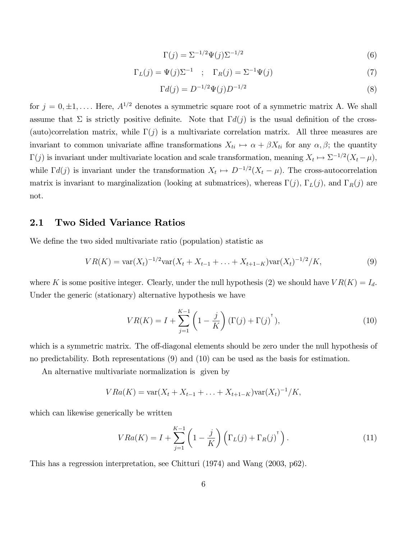$$
\Gamma(j) = \Sigma^{-1/2} \Psi(j) \Sigma^{-1/2} \tag{6}
$$

$$
\Gamma_L(j) = \Psi(j)\Sigma^{-1} \quad ; \quad \Gamma_R(j) = \Sigma^{-1}\Psi(j) \tag{7}
$$

$$
\Gamma d(j) = D^{-1/2} \Psi(j) D^{-1/2} \tag{8}
$$

for  $j = 0, \pm 1, \ldots$ . Here,  $A^{1/2}$  denotes a symmetric square root of a symmetric matrix A. We shall assume that  $\Sigma$  is strictly positive definite. Note that  $\Gamma d(j)$  is the usual definition of the cross-(auto)correlation matrix, while  $\Gamma(j)$  is a multivariate correlation matrix. All three measures are invariant to common univariate affine transformations  $X_{ti} \mapsto \alpha + \beta X_{ti}$  for any  $\alpha, \beta$ ; the quantity  $\Gamma(j)$  is invariant under multivariate location and scale transformation, meaning  $X_t \mapsto \Sigma^{-1/2}(X_t - \mu)$ , while  $\Gamma d(j)$  is invariant under the transformation  $X_t \mapsto D^{-1/2}(X_t - \mu)$ . The cross-autocorrelation matrix is invariant to marginalization (looking at submatrices), whereas  $\Gamma(j)$ ,  $\Gamma_L(j)$ , and  $\Gamma_R(j)$  are not.

#### 2.1 Two Sided Variance Ratios

We define the two sided multivariate ratio (population) statistic as

$$
VR(K) = \text{var}(X_t)^{-1/2} \text{var}(X_t + X_{t-1} + \dots + X_{t+1-K}) \text{var}(X_t)^{-1/2} / K,
$$
\n(9)

where K is some positive integer. Clearly, under the null hypothesis (2) we should have  $VR(K) = I_d$ . Under the generic (stationary) alternative hypothesis we have

$$
VR(K) = I + \sum_{j=1}^{K-1} \left(1 - \frac{j}{K}\right) (\Gamma(j) + \Gamma(j)^{\dagger}),
$$
\n(10)

which is a symmetric matrix. The off-diagonal elements should be zero under the null hypothesis of no predictability. Both representations (9) and (10) can be used as the basis for estimation.

An alternative multivariate normalization is given by

$$
VRa(K) = \text{var}(X_t + X_{t-1} + \ldots + X_{t+1-K})\text{var}(X_t)^{-1}/K,
$$

which can likewise generically be written

$$
VRa(K) = I + \sum_{j=1}^{K-1} \left(1 - \frac{j}{K}\right) \left(\Gamma_L(j) + \Gamma_R(j)\right).
$$
 (11)

This has a regression interpretation, see Chitturi (1974) and Wang (2003, p62).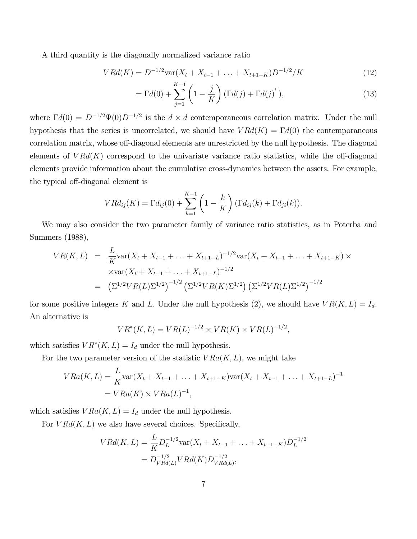A third quantity is the diagonally normalized variance ratio

$$
V R d(K) = D^{-1/2} \text{var}(X_t + X_{t-1} + \dots + X_{t+1-K}) D^{-1/2} / K \tag{12}
$$

$$
=\Gamma d(0)+\sum_{j=1}^{K-1}\left(1-\frac{j}{K}\right)(\Gamma d(j)+\Gamma d(j)^{\mathsf{T}}),\tag{13}
$$

where  $\Gamma d(0) = D^{-1/2} \Psi(0) D^{-1/2}$  is the  $d \times d$  contemporaneous correlation matrix. Under the null hypothesis that the series is uncorrelated, we should have  $V R d(K) = \Gamma d(0)$  the contemporaneous correlation matrix, whose off-diagonal elements are unrestricted by the null hypothesis. The diagonal elements of  $V R d(K)$  correspond to the univariate variance ratio statistics, while the off-diagonal elements provide information about the cumulative cross-dynamics between the assets. For example, the typical off-diagonal element is

$$
V R d_{ij}(K) = \Gamma d_{ij}(0) + \sum_{k=1}^{K-1} \left(1 - \frac{k}{K}\right) (\Gamma d_{ij}(k) + \Gamma d_{ji}(k)).
$$

We may also consider the two parameter family of variance ratio statistics, as in Poterba and Summers (1988),

$$
VR(K, L) = \frac{L}{K} \text{var}(X_t + X_{t-1} + \dots + X_{t+1-L})^{-1/2} \text{var}(X_t + X_{t-1} + \dots + X_{t+1-K}) \times
$$
  
 
$$
\times \text{var}(X_t + X_{t-1} + \dots + X_{t+1-L})^{-1/2}
$$
  
= 
$$
\left(\Sigma^{1/2} VR(L)\Sigma^{1/2}\right)^{-1/2} \left(\Sigma^{1/2}VR(K)\Sigma^{1/2}\right) \left(\Sigma^{1/2}VR(L)\Sigma^{1/2}\right)^{-1/2}
$$

for some positive integers K and L. Under the null hypothesis (2), we should have  $VR(K, L) = I_d$ . An alternative is

$$
VR^*(K,L) = VR(L)^{-1/2} \times VR(K) \times VR(L)^{-1/2},
$$

which satisfies  $VR^*(K, L) = I_d$  under the null hypothesis.

For the two parameter version of the statistic  $VRa(K, L)$ , we might take

$$
VRa(K, L) = \frac{L}{K} \text{var}(X_t + X_{t-1} + \dots + X_{t+1-K}) \text{var}(X_t + X_{t-1} + \dots + X_{t+1-L})^{-1}
$$
  
=  $VRa(K) \times VRa(L)^{-1}$ ,

which satisfies  $VRa(K, L) = I_d$  under the null hypothesis.

For  $V R d(K, L)$  we also have several choices. Specifically,

$$
V R d(K, L) = \frac{L}{K} D_L^{-1/2} \text{var}(X_t + X_{t-1} + \dots + X_{t+1-K}) D_L^{-1/2}
$$
  
= 
$$
D_{V R d(L)}^{-1/2} V R d(K) D_{V R d(L)}^{-1/2},
$$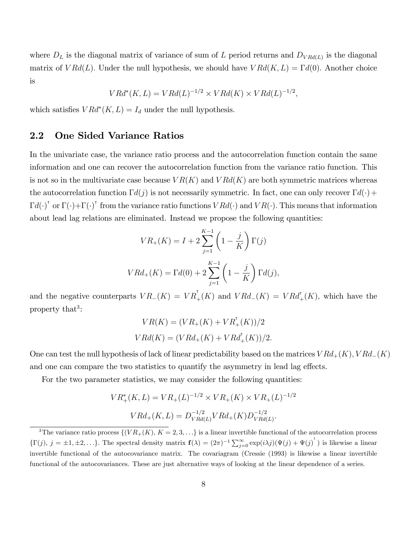where  $D_L$  is the diagonal matrix of variance of sum of L period returns and  $D_{VRd(L)}$  is the diagonal matrix of  $V R d(L)$ . Under the null hypothesis, we should have  $V R d(K, L) = \Gamma d(0)$ . Another choice is

$$
VRd^*(K, L) = VRd(L)^{-1/2} \times VRd(K) \times VRd(L)^{-1/2},
$$

which satisfies  $V R d^*(K, L) = I_d$  under the null hypothesis.

#### 2.2 One Sided Variance Ratios

In the univariate case, the variance ratio process and the autocorrelation function contain the same information and one can recover the autocorrelation function from the variance ratio function. This is not so in the multivariate case because  $VR(K)$  and  $VRd(K)$  are both symmetric matrices whereas the autocorrelation function  $\Gamma d(j)$  is not necessarily symmetric. In fact, one can only recover  $\Gamma d(\cdot)$  +  $\Gamma d(\cdot)$ <sup>T</sup> or  $\Gamma(\cdot)+\Gamma(\cdot)$ <sup>T</sup> from the variance ratio functions  $VRd(\cdot)$  and  $VR(\cdot)$ . This means that information about lead lag relations are eliminated. Instead we propose the following quantities:

$$
VR_{+}(K) = I + 2\sum_{j=1}^{K-1} \left(1 - \frac{j}{K}\right) \Gamma(j)
$$
  

$$
V R d_{+}(K) = \Gamma d(0) + 2\sum_{j=1}^{K-1} \left(1 - \frac{j}{K}\right) \Gamma d(j),
$$

and the negative counterparts  $VR_{-}(K) = VR_{+}^{T}(K)$  and  $VRd_{-}(K) = VRd_{+}^{T}(K)$ , which have the property that<sup>3</sup>:

$$
VR(K) = (VR_{+}(K) + VR_{+}^{T}(K))/2
$$
  

$$
VRd(K) = (VRd_{+}(K) + VRd_{+}^{T}(K))/2.
$$

One can test the null hypothesis of lack of linear predictability based on the matrices  $V R d_{+}(K)$ ,  $V R d_{-}(K)$ and one can compare the two statistics to quantify the asymmetry in lead lag effects.

For the two parameter statistics, we may consider the following quantities:

$$
VR_{+}^{*}(K, L) = VR_{+}(L)^{-1/2} \times VR_{+}(K) \times VR_{+}(L)^{-1/2}
$$

$$
VRd_{+}(K, L) = D_{VRd(L)}^{-1/2}VRd_{+}(K)D_{VRd(L)}^{-1/2}.
$$

<sup>&</sup>lt;sup>3</sup>The variance ratio process  $\{(\overline{VR_+(K)}, K=2,3,\ldots\}$  is a linear invertible functional of the autocorrelation process  $\{\Gamma(j), j = \pm 1, \pm 2, ...\}$ . The spectral density matrix  $\mathbf{f}(\lambda) = (2\pi)^{-1} \sum_{j=0}^{\infty} \exp(i\lambda j) (\Psi(j) + \Psi(j)^\mathsf{T})$  is likewise a linear invertible functional of the autocovariance matrix. The covariagram (Cressie (1993) is likewise a linear invertible functional of the autocovariances. These are just alternative ways of looking at the linear dependence of a series.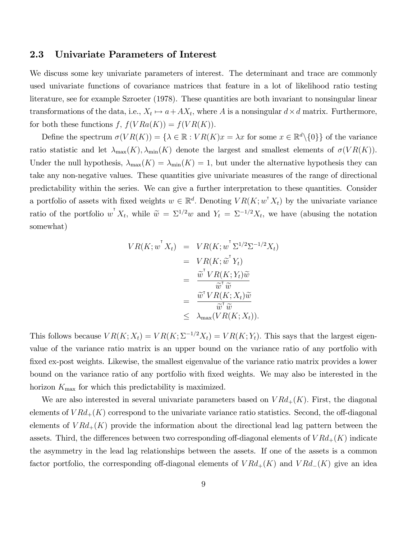#### 2.3 Univariate Parameters of Interest

We discuss some key univariate parameters of interest. The determinant and trace are commonly used univariate functions of covariance matrices that feature in a lot of likelihood ratio testing literature, see for example Szroeter (1978). These quantities are both invariant to nonsingular linear transformations of the data, i.e.,  $X_t \mapsto a + AX_t$ , where A is a nonsingular  $d \times d$  matrix. Furthermore, for both these functions  $f, f(VRa(K)) = f(VR(K)).$ 

Define the spectrum  $\sigma(VR(K)) = \{ \lambda \in \mathbb{R} : VR(K)x = \lambda x$  for some  $x \in \mathbb{R}^d \setminus \{0\} \}$  of the variance ratio statistic and let  $\lambda_{\max}(K)$ ,  $\lambda_{\min}(K)$  denote the largest and smallest elements of  $\sigma(VR(K))$ . Under the null hypothesis,  $\lambda_{\max}(K) = \lambda_{\min}(K) = 1$ , but under the alternative hypothesis they can take any non-negative values. These quantities give univariate measures of the range of directional predictability within the series. We can give a further interpretation to these quantities. Consider a portfolio of assets with fixed weights  $w \in \mathbb{R}^d$ . Denoting  $VR(K; w^{\dagger} X_t)$  by the univariate variance ratio of the portfolio  $w^{T} X_t$ , while  $\widetilde{w} = \Sigma^{1/2} w$  and  $Y_t = \Sigma^{-1/2} X_t$ , we have (abusing the notation somewhat)

$$
VR(K; w^{\mathsf{T}} X_t) = VR(K; w^{\mathsf{T}} \Sigma^{1/2} \Sigma^{-1/2} X_t)
$$
  
=  $VR(K; \tilde{w}^{\mathsf{T}} Y_t)$   
=  $\frac{\tilde{w}^{\mathsf{T}} VR(K; Y_t)\tilde{w}}{\tilde{w}^{\mathsf{T}}\tilde{w}}$   
=  $\frac{\tilde{w}^{\mathsf{T}} VR(K; X_t)\tilde{w}}{\tilde{w}^{\mathsf{T}}\tilde{w}}$   
\$\leq \lambda\_{\text{max}}(VR(K; X\_t)).

This follows because  $VR(K; X_t) = VR(K; \Sigma^{-1/2}X_t) = VR(K; Y_t)$ . This says that the largest eigenvalue of the variance ratio matrix is an upper bound on the variance ratio of any portfolio with fixed ex-post weights. Likewise, the smallest eigenvalue of the variance ratio matrix provides a lower bound on the variance ratio of any portfolio with Öxed weights. We may also be interested in the horizon  $K_{\text{max}}$  for which this predictability is maximized.

We are also interested in several univariate parameters based on  $V R d_{+}(K)$ . First, the diagonal elements of  $VRd_{+}(K)$  correspond to the univariate variance ratio statistics. Second, the off-diagonal elements of  $V R d_{+}(K)$  provide the information about the directional lead lag pattern between the assets. Third, the differences between two corresponding off-diagonal elements of  $VRd_{+}(K)$  indicate the asymmetry in the lead lag relationships between the assets. If one of the assets is a common factor portfolio, the corresponding off-diagonal elements of  $VRd_{+}(K)$  and  $VRd_{-}(K)$  give an idea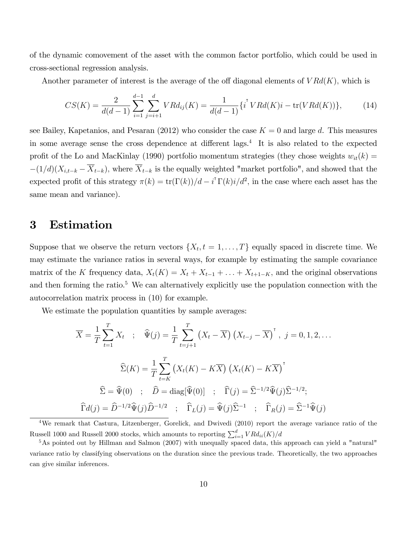of the dynamic comovement of the asset with the common factor portfolio, which could be used in cross-sectional regression analysis.

Another parameter of interest is the average of the off diagonal elements of  $V R d(K)$ , which is

$$
CS(K) = \frac{2}{d(d-1)} \sum_{i=1}^{d-1} \sum_{j=i+1}^{d} VRd_{ij}(K) = \frac{1}{d(d-1)} \{i^{T}VRd(K)i - \text{tr}(VRd(K))\},\tag{14}
$$

see Bailey, Kapetanios, and Pesaran (2012) who consider the case  $K = 0$  and large d. This measures in some average sense the cross dependence at different lags.<sup>4</sup> It is also related to the expected profit of the Lo and MacKinlay (1990) portfolio momentum strategies (they chose weights  $w_{it}(k)$  =  $-(1/d)(X_{i,t-k} - \overline{X}_{t-k})$ , where  $\overline{X}_{t-k}$  is the equally weighted "market portfolio", and showed that the expected profit of this strategy  $\pi(k) = \text{tr}(\Gamma(k))/d - i^{\text{T}} \Gamma(k) i/d^2$ , in the case where each asset has the same mean and variance).

## 3 Estimation

Suppose that we observe the return vectors  $\{X_t, t = 1, \ldots, T\}$  equally spaced in discrete time. We may estimate the variance ratios in several ways, for example by estimating the sample covariance matrix of the K frequency data,  $X_t(K) = X_t + X_{t-1} + \ldots + X_{t+1-K}$ , and the original observations and then forming the ratio.<sup>5</sup> We can alternatively explicitly use the population connection with the autocorrelation matrix process in (10) for example.

We estimate the population quantities by sample averages:

$$
\overline{X} = \frac{1}{T} \sum_{t=1}^{T} X_t \quad ; \quad \widehat{\Psi}(j) = \frac{1}{T} \sum_{t=j+1}^{T} \left( X_t - \overline{X} \right) \left( X_{t-j} - \overline{X} \right)^{\dagger}, \ j = 0, 1, 2, \dots
$$

$$
\widehat{\Sigma}(K) = \frac{1}{T} \sum_{t=K}^{T} \left( X_t(K) - K\overline{X} \right) \left( X_t(K) - K\overline{X} \right)^{\dagger}
$$

$$
\widehat{\Sigma} = \widehat{\Psi}(0) \quad ; \quad \widehat{D} = \text{diag}[\widehat{\Psi}(0)] \quad ; \quad \widehat{\Gamma}(j) = \widehat{\Sigma}^{-1/2} \widehat{\Psi}(j) \widehat{\Sigma}^{-1/2};
$$

$$
\widehat{\Gamma}d(j) = \widehat{D}^{-1/2} \widehat{\Psi}(j) \widehat{D}^{-1/2} \quad ; \quad \widehat{\Gamma}_L(j) = \widehat{\Psi}(j) \widehat{\Sigma}^{-1} \quad ; \quad \widehat{\Gamma}_R(j) = \widehat{\Sigma}^{-1} \widehat{\Psi}(j)
$$

<sup>4</sup>We remark that Castura, Litzenberger, Gorelick, and Dwivedi (2010) report the average variance ratio of the Russell 1000 and Russell 2000 stocks, which amounts to reporting  $\sum_{i=1}^{d} V R d_{ii}(K)/d$ 

<sup>5</sup>As pointed out by Hillman and Salmon (2007) with unequally spaced data, this approach can yield a "natural" variance ratio by classifying observations on the duration since the previous trade. Theoretically, the two approaches can give similar inferences.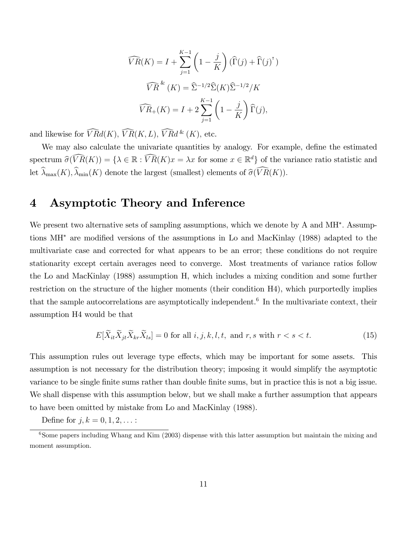$$
\widehat{VR}(K) = I + \sum_{j=1}^{K-1} \left(1 - \frac{j}{K}\right) (\widehat{\Gamma}(j) + \widehat{\Gamma}(j)^{\mathsf{T}})
$$

$$
\widehat{VR}^{k}(K) = \widehat{\Sigma}^{-1/2} \widehat{\Sigma}(K) \widehat{\Sigma}^{-1/2} / K
$$

$$
\widehat{VR}_{+}(K) = I + 2 \sum_{j=1}^{K-1} \left(1 - \frac{j}{K}\right) \widehat{\Gamma}(j),
$$

and likewise for  $\widehat{V}Rd(K), \widehat{VR}(K, L), \widehat{VR}d^k(K),$  etc.

We may also calculate the univariate quantities by analogy. For example, define the estimated spectrum  $\widehat{\sigma}(VR(K)) = \{ \lambda \in \mathbb{R} : VR(K)x = \lambda x \text{ for some } x \in \mathbb{R}^d \}$  of the variance ratio statistic and let  $\widehat{\lambda}_{\max}(K), \widehat{\lambda}_{\min}(K)$  denote the largest (smallest) elements of  $\widehat{\sigma}(\widehat{VR}(K)).$ 

## 4 Asymptotic Theory and Inference

We present two alternative sets of sampling assumptions, which we denote by A and MH<sup>\*</sup>. Assumptions  $\text{MH}^*$  are modified versions of the assumptions in Lo and MacKinlay (1988) adapted to the multivariate case and corrected for what appears to be an error; these conditions do not require stationarity except certain averages need to converge. Most treatments of variance ratios follow the Lo and MacKinlay (1988) assumption H, which includes a mixing condition and some further restriction on the structure of the higher moments (their condition H4), which purportedly implies that the sample autocorrelations are asymptotically independent.<sup>6</sup> In the multivariate context, their assumption H4 would be that

$$
E[\widetilde{X}_{it}\widetilde{X}_{jt}\widetilde{X}_{kr}\widetilde{X}_{ls}] = 0 \text{ for all } i, j, k, l, t, \text{ and } r, s \text{ with } r < s < t. \tag{15}
$$

This assumption rules out leverage type effects, which may be important for some assets. This assumption is not necessary for the distribution theory; imposing it would simplify the asymptotic variance to be single finite sums rather than double finite sums, but in practice this is not a big issue. We shall dispense with this assumption below, but we shall make a further assumption that appears to have been omitted by mistake from Lo and MacKinlay (1988).

Define for  $j, k = 0, 1, 2, ...$ :

 $6$ Some papers including Whang and Kim (2003) dispense with this latter assumption but maintain the mixing and moment assumption.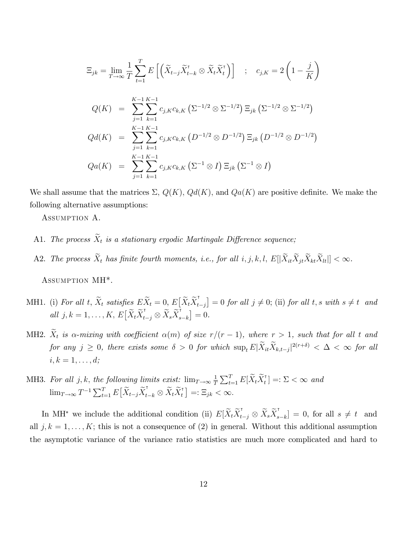$$
\Xi_{jk} = \lim_{T \to \infty} \frac{1}{T} \sum_{t=1}^{T} E\left[ \left( \tilde{X}_{t-j} \tilde{X}_{t-k}^{\mathsf{T}} \otimes \tilde{X}_t \tilde{X}_t^{\mathsf{T}} \right) \right] ; \quad c_{j,K} = 2 \left( 1 - \frac{j}{K} \right)
$$
  

$$
Q(K) = \sum_{j=1}^{K-1} \sum_{k=1}^{K-1} c_{j,K} c_{k,K} \left( \Sigma^{-1/2} \otimes \Sigma^{-1/2} \right) \Xi_{jk} \left( \Sigma^{-1/2} \otimes \Sigma^{-1/2} \right)
$$
  

$$
Qd(K) = \sum_{j=1}^{K-1} \sum_{k=1}^{K-1} c_{j,K} c_{k,K} \left( D^{-1/2} \otimes D^{-1/2} \right) \Xi_{jk} \left( D^{-1/2} \otimes D^{-1/2} \right)
$$
  

$$
Qa(K) = \sum_{j=1}^{K-1} \sum_{k=1}^{K-1} c_{j,K} c_{k,K} \left( \Sigma^{-1} \otimes I \right) \Xi_{jk} \left( \Sigma^{-1} \otimes I \right)
$$

We shall assume that the matrices  $\Sigma$ ,  $Q(K)$ ,  $Qd(K)$ , and  $Qa(K)$  are positive definite. We make the following alternative assumptions:

Assumption A.

- A1. The process  $\widetilde{X}_t$  is a stationary ergodic Martingale Difference sequence;
- A2. The process  $\widetilde{X}_t$  has finite fourth moments, i.e., for all  $i, j, k, l$ ,  $E[|\widetilde{X}_{it}\widetilde{X}_{jt}\widetilde{X}_{kt}\widetilde{X}_{lt}|] < \infty$ .

Assumption MH\*.

- MH1. (i) For all t,  $\widetilde{X}_t$  satisfies  $E \widetilde{X}_t = 0$ ,  $E \big[ \widetilde{X}_t \widetilde{X}_t^{\intercal} \big]$  $[t_{t-j}] = 0$  for all  $j \neq 0$ ; (ii) for all t, s with  $s \neq t$  and all  $j, k = 1, \ldots, K, E\big[\widetilde{X}_t \widetilde{X}_t^{\mathsf{T}}\big]$  $\widetilde{X}_{t-j} \otimes \widetilde{X}_s \widetilde{X}_s^{\intercal}$  $\binom{[r]}{s-k} = 0.$
- MH2.  $\tilde{X}_t$  is  $\alpha$ -mixing with coefficient  $\alpha(m)$  of size  $r/(r 1)$ , where  $r > 1$ , such that for all t and for any  $j \geq 0$ , there exists some  $\delta > 0$  for which  $\sup_t E|\dot{X}_{it}\dot{X}_{k,t-j}|^{2(r+\delta)} < \Delta < \infty$  for all  $i, k = 1, \ldots, d;$
- MH3. For all j, k, the following limits exist:  $\lim_{T\to\infty} \frac{1}{T}$  $\frac{1}{T}\sum_{t=1}^T E[\widetilde{X}_t \widetilde{X}_t^\intercal$  $\left[\begin{smallmatrix} \mathsf{T} \ t \end{smallmatrix}\right] =: \Sigma < \infty$  and  $\lim_{T \to \infty} T^{-1} \sum_{t=1}^{T} E\big[\widetilde{X}_{t-j}\widetilde{X}_{t}^{\mathsf{T}}\big]$  $\widetilde{X}_{t-k}\otimes \widetilde{X}_t \widetilde{X}_t^{\intercal}$  $\left[\overline{t}\right] = \mathbb{E}_{jk} < \infty.$

In MH<sup>\*</sup> we include the additional condition (ii)  $E[\tilde{X}_t \tilde{X}_t]$  $\widetilde{X}_{t-j} \otimes \widetilde{X}_s \widetilde{X}_s^{\intercal}$  $[s_{s-k}] = 0$ , for all  $s \neq t$  and all  $j, k = 1, \ldots, K$ ; this is not a consequence of (2) in general. Without this additional assumption the asymptotic variance of the variance ratio statistics are much more complicated and hard to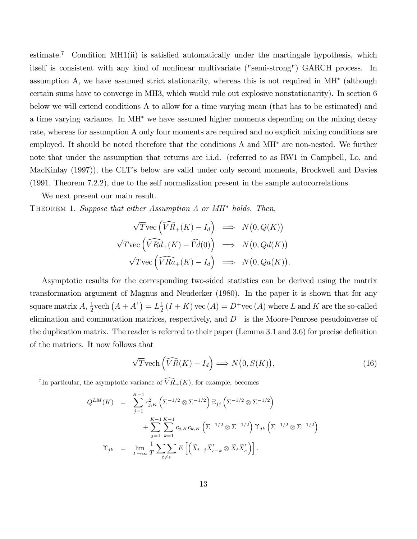estimate.<sup>7</sup> Condition MH1(ii) is satisfied automatically under the martingale hypothesis, which itself is consistent with any kind of nonlinear multivariate ("semi-strong") GARCH process. In assumption A, we have assumed strict stationarity, whereas this is not required in MH (although certain sums have to converge in MH3, which would rule out explosive nonstationarity). In section 6 below we will extend conditions A to allow for a time varying mean (that has to be estimated) and a time varying variance. In  $\text{MH}^*$  we have assumed higher moments depending on the mixing decay rate, whereas for assumption A only four moments are required and no explicit mixing conditions are employed. It should be noted therefore that the conditions  $A$  and  $MH^*$  are non-nested. We further note that under the assumption that returns are i.i.d. (referred to as RW1 in Campbell, Lo, and MacKinlay (1997), the CLT's below are valid under only second moments, Brockwell and Davies (1991, Theorem 7.2.2), due to the self normalization present in the sample autocorrelations.

We next present our main result.

THEOREM 1. Suppose that either Assumption A or  $MH^*$  holds. Then,

$$
\sqrt{T} \text{vec} \left( \widehat{VR}_{+}(K) - I_{d} \right) \implies N(0, Q(K))
$$
  

$$
\sqrt{T} \text{vec} \left( \widehat{VRd}_{+}(K) - \widehat{\Gamma d}(0) \right) \implies N(0, Qd(K))
$$
  

$$
\sqrt{T} \text{vec} \left( \widehat{VRa}_{+}(K) - I_{d} \right) \implies N(0, Qa(K)).
$$

Asymptotic results for the corresponding two-sided statistics can be derived using the matrix transformation argument of Magnus and Neudecker (1980). In the paper it is shown that for any square matrix  $A, \frac{1}{2}$  $\frac{1}{2}$ vech  $(A + A^{\dagger}) = L\frac{1}{2}$  $\frac{1}{2}(I+K)$  vec  $(A) = D^+$ vec  $(A)$  where L and K are the so-called elimination and commutation matrices, respectively, and  $D^+$  is the Moore-Penrose pesudoinverse of the duplication matrix. The reader is referred to their paper (Lemma  $3.1$  and  $3.6$ ) for precise definition of the matrices. It now follows that

$$
\sqrt{T} \text{vech}\left(\widehat{VR}(K) - I_d\right) \Longrightarrow N\left(0, S(K)\right),\tag{16}
$$

<sup>7</sup>In particular, the asymptotic variance of  $\widehat{VR}_+(K)$ , for example, becomes

$$
Q^{LM}(K) = \sum_{j=1}^{K-1} c_{j,K}^2 \left( \Sigma^{-1/2} \otimes \Sigma^{-1/2} \right) \Xi_{jj} \left( \Sigma^{-1/2} \otimes \Sigma^{-1/2} \right)
$$
  
+ 
$$
\sum_{j=1}^{K-1} \sum_{k=1}^{K-1} c_{j,K} c_{k,K} \left( \Sigma^{-1/2} \otimes \Sigma^{-1/2} \right) \Upsilon_{jk} \left( \Sigma^{-1/2} \otimes \Sigma^{-1/2} \right)
$$
  

$$
\Upsilon_{jk} = \lim_{T \to \infty} \frac{1}{T} \sum_{t \neq s} \sum_{E} E\left[ \left( \widetilde{X}_{t-j} \widetilde{X}_{s-k}^{\mathsf{T}} \otimes \widetilde{X}_t \widetilde{X}_s^{\mathsf{T}} \right) \right].
$$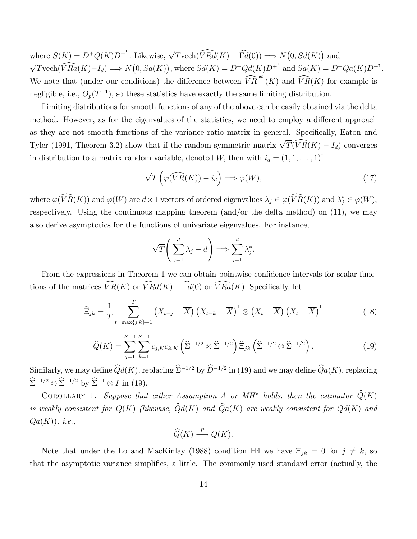where  $S(K) = D^+Q(K)D^{+^T}$ . Likewise,  $\sqrt{T}\text{vech}(\widehat{VRd}(K) - \widehat{\Gamma d}(0)) \Longrightarrow N(0, Sd(K))$  and  $\sqrt{T}\text{vech}(\widehat{VRa}(K)-I_d) \Longrightarrow N(0, Sa(K)), \text{where } S d(K) = D^+Qd(K)D^{+^{\mathsf{T}}} \text{ and } Sa(K) = D^+Qa(K)D^{+^{\mathsf{T}}}.$ We note that (under our conditions) the difference between  $\widehat{VR}^{\&}(K)$  and  $\widehat{VR}(K)$  for example is negligible, i.e.,  $O_p(T^{-1})$ , so these statistics have exactly the same limiting distribution.

Limiting distributions for smooth functions of any of the above can be easily obtained via the delta method. However, as for the eigenvalues of the statistics, we need to employ a different approach as they are not smooth functions of the variance ratio matrix in general. Specifically, Eaton and Tyler (1991, Theorem 3.2) show that if the random symmetric matrix  $\sqrt{T}(\widehat{VR}(K) - I_d)$  converges in distribution to a matrix random variable, denoted W, then with  $i_d = (1, 1, \ldots, 1)^T$ 

$$
\sqrt{T}\left(\varphi(\widehat{VR}(K)) - i_d\right) \Longrightarrow \varphi(W),\tag{17}
$$

where  $\varphi(VR(K))$  and  $\varphi(W)$  are  $d \times 1$  vectors of ordered eigenvalues  $\lambda_j \in \varphi(VR(K))$  and  $\lambda_j^* \in \varphi(W)$ , respectively. Using the continuous mapping theorem (and/or the delta method) on (11), we may also derive asymptotics for the functions of univariate eigenvalues. For instance,

$$
\sqrt{T}\left(\sum_{j=1}^d \lambda_j - d\right) \Longrightarrow \sum_{j=1}^d \lambda_j^*.
$$

From the expressions in Theorem 1 we can obtain pointwise confidence intervals for scalar functions of the matrices  $\widehat{VR}(K)$  or  $\widehat{VRd}(K) - \widehat{\Gamma d}(0)$  or  $\widehat{VRa}(K)$ . Specifically, let

$$
\widehat{\Xi}_{jk} = \frac{1}{T} \sum_{t=\max\{j,k\}+1}^{T} \left(X_{t-j} - \overline{X}\right) \left(X_{t-k} - \overline{X}\right)^{\mathsf{T}} \otimes \left(X_{t} - \overline{X}\right) \left(X_{t} - \overline{X}\right)^{\mathsf{T}}
$$
(18)

$$
\widehat{Q}(K) = \sum_{j=1}^{K-1} \sum_{k=1}^{K-1} c_{j,K} c_{k,K} \left( \widehat{\Sigma}^{-1/2} \otimes \widehat{\Sigma}^{-1/2} \right) \widehat{\Xi}_{jk} \left( \widehat{\Sigma}^{-1/2} \otimes \widehat{\Sigma}^{-1/2} \right). \tag{19}
$$

Similarly, we may define  $\hat{Q}d(K)$ , replacing  $\hat{\Sigma}^{-1/2}$  by  $\hat{D}^{-1/2}$  in (19) and we may define  $\hat{Q}a(K)$ , replacing  $\hat{\Sigma}^{-1/2} \otimes \hat{\Sigma}^{-1/2}$  by  $\hat{\Sigma}^{-1} \otimes I$  in (19).

COROLLARY 1. Suppose that either Assumption A or MH<sup>\*</sup> holds, then the estimator  $\widehat{Q}(K)$ is weakly consistent for  $Q(K)$  (likewise,  $\widehat{Q}d(K)$  and  $\widehat{Q}a(K)$  are weakly consistent for  $Qd(K)$  and  $Qa(K)$ , *i.e.*,

$$
\widehat{Q}(K) \xrightarrow{P} Q(K).
$$

Note that under the Lo and MacKinlay (1988) condition H4 we have  $\Xi_{jk} = 0$  for  $j \neq k$ , so that the asymptotic variance simplifies, a little. The commonly used standard error (actually, the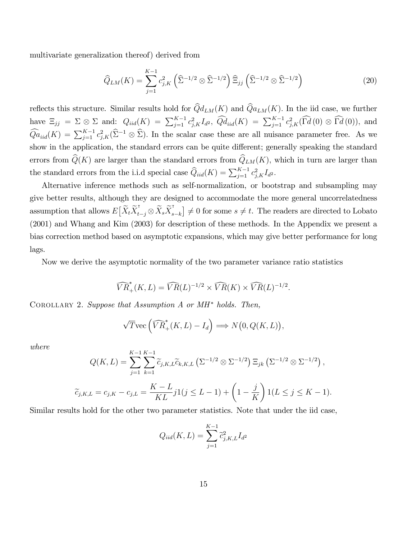multivariate generalization thereof) derived from

$$
\widehat{Q}_{LM}(K) = \sum_{j=1}^{K-1} c_{j,K}^2 \left( \widehat{\Sigma}^{-1/2} \otimes \widehat{\Sigma}^{-1/2} \right) \widehat{\Xi}_{jj} \left( \widehat{\Sigma}^{-1/2} \otimes \widehat{\Sigma}^{-1/2} \right)
$$
(20)

reflects this structure. Similar results hold for  $\hat{Q}d_{LM}(K)$  and  $\hat{Q}a_{LM}(K)$ . In the iid case, we further have  $\Xi_{jj} = \Sigma \otimes \Sigma$  and:  $Q_{iid}(K) = \sum_{j=1}^{K-1} c_{j,K}^2 I_{d^2}$ ,  $\widehat{Q}d_{iid}(K) = \sum_{j=1}^{K-1} c_{j,K}^2(\widehat{\Gamma d}(0) \otimes \widehat{\Gamma d}(0)),$  and  $\widehat{Q}a_{iid}(K) = \sum_{j=1}^{K-1} c_{j,K}^2(\widehat{\Sigma}^{-1} \otimes \widehat{\Sigma}).$  In the scalar case these are all nuisance parameter free. As we show in the application, the standard errors can be quite different; generally speaking the standard errors from  $\widehat{Q}(K)$  are larger than the standard errors from  $\widehat{Q}_{LM}(K)$ , which in turn are larger than the standard errors from the i.i.d special case  $\widehat{Q}_{iid}(K) = \sum_{j=1}^{K-1} c_{j,K}^2 I_{d^2}$ .

Alternative inference methods such as self-normalization, or bootstrap and subsampling may give better results, although they are designed to accommodate the more general uncorrelatedness assumption that allows  $E\left[\widetilde{X}_t \widetilde{X}_t^{\intercal}\right]$  $\widetilde{X}_{t-j}\otimes \widetilde{X}_s\widetilde{X}_s^{\intercal}$  $\begin{bmatrix} s_{s-k} \end{bmatrix} \neq 0$  for some  $s \neq t$ . The readers are directed to Lobato (2001) and Whang and Kim (2003) for description of these methods. In the Appendix we present a bias correction method based on asymptotic expansions, which may give better performance for long lags.

Now we derive the asymptotic normality of the two parameter variance ratio statistics

$$
\widehat{VR}_{+}^{*}(K,L)=\widehat{VR}(L)^{-1/2}\times\widehat{VR}(K)\times\widehat{VR}(L)^{-1/2}.
$$

COROLLARY 2. Suppose that Assumption A or  $MH^*$  holds. Then,

$$
\sqrt{T} \text{vec} \left( \widehat{VR}_+^*(K, L) - I_d \right) \Longrightarrow N\big(0, Q(K, L)\big),
$$

where

$$
Q(K, L) = \sum_{j=1}^{K-1} \sum_{k=1}^{K-1} \tilde{c}_{j,K,L} \tilde{c}_{k,K,L} \left( \Sigma^{-1/2} \otimes \Sigma^{-1/2} \right) \Xi_{jk} \left( \Sigma^{-1/2} \otimes \Sigma^{-1/2} \right),
$$
  

$$
\tilde{c}_{j,K,L} = c_{j,K} - c_{j,L} = \frac{K-L}{KL} j1(j \le L-1) + \left( 1 - \frac{j}{K} \right) 1(L \le j \le K-1).
$$

Similar results hold for the other two parameter statistics. Note that under the iid case,

$$
Q_{iid}(K, L) = \sum_{j=1}^{K-1} \tilde{c}_{j, K, L}^2 I_{d^2}
$$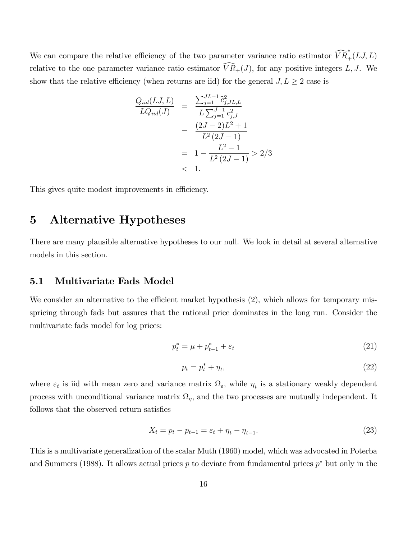We can compare the relative efficiency of the two parameter variance ratio estimator  $\widehat{VR}_{+}^{*}(LJ, L)$ relative to the one parameter variance ratio estimator  $\widehat{VR}_+(J)$ , for any positive integers L, J. We show that the relative efficiency (when returns are iid) for the general  $J, L \geq 2$  case is

$$
\frac{Q_{iid}(LJ, L)}{LQ_{iid}(J)} = \frac{\sum_{j=1}^{JL-1} \tilde{c}_{j, JL, L}^{2}}{L\sum_{j=1}^{J-1} c_{j, J}^{2}}
$$

$$
= \frac{(2J-2)L^{2}+1}{L^{2}(2J-1)}
$$

$$
= 1 - \frac{L^{2}-1}{L^{2}(2J-1)} > 2/3
$$

$$
< 1.
$$

This gives quite modest improvements in efficiency.

## 5 Alternative Hypotheses

There are many plausible alternative hypotheses to our null. We look in detail at several alternative models in this section.

#### 5.1 Multivariate Fads Model

We consider an alternative to the efficient market hypothesis  $(2)$ , which allows for temporary misspricing through fads but assures that the rational price dominates in the long run. Consider the multivariate fads model for log prices:

$$
p_t^* = \mu + p_{t-1}^* + \varepsilon_t \tag{21}
$$

$$
p_t = p_t^* + \eta_t,\tag{22}
$$

where  $\varepsilon_t$  is iid with mean zero and variance matrix  $\Omega_{\varepsilon}$ , while  $\eta_t$  is a stationary weakly dependent process with unconditional variance matrix  $\Omega_{\eta}$ , and the two processes are mutually independent. It follows that the observed return satisfies

$$
X_t = p_t - p_{t-1} = \varepsilon_t + \eta_t - \eta_{t-1}.
$$
\n(23)

This is a multivariate generalization of the scalar Muth (1960) model, which was advocated in Poterba and Summers (1988). It allows actual prices  $p$  to deviate from fundamental prices  $p^*$  but only in the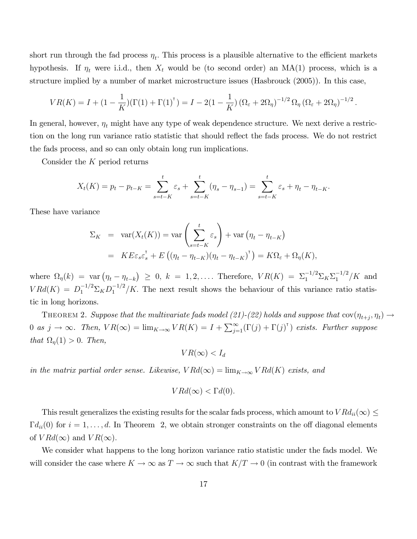short run through the fad process  $\eta_t$ . This process is a plausible alternative to the efficient markets hypothesis. If  $\eta_t$  were i.i.d., then  $X_t$  would be (to second order) an MA(1) process, which is a structure implied by a number of market microstructure issues (Hasbrouck (2005)). In this case,

$$
VR(K) = I + (1 - \frac{1}{K})(\Gamma(1) + \Gamma(1)^{\mathsf{T}}) = I - 2(1 - \frac{1}{K})(\Omega_{\varepsilon} + 2\Omega_{\eta})^{-1/2} \Omega_{\eta} (\Omega_{\varepsilon} + 2\Omega_{\eta})^{-1/2}.
$$

In general, however,  $\eta_t$  might have any type of weak dependence structure. We next derive a restriction on the long run variance ratio statistic that should reflect the fads process. We do not restrict the fads process, and so can only obtain long run implications.

Consider the  $K$  period returns

$$
X_t(K) = p_t - p_{t-K} = \sum_{s=t-K}^t \varepsilon_s + \sum_{s=t-K}^t (\eta_s - \eta_{s-1}) = \sum_{s=t-K}^t \varepsilon_s + \eta_t - \eta_{t-K}.
$$

These have variance

$$
\Sigma_K = \text{var}(X_t(K)) = \text{var}\left(\sum_{s=t-K}^t \varepsilon_s\right) + \text{var}\left(\eta_t - \eta_{t-K}\right)
$$
  
= 
$$
KE\varepsilon_s \varepsilon_s^{\mathsf{T}} + E\left((\eta_t - \eta_{t-K})(\eta_t - \eta_{t-K})^{\mathsf{T}}\right) = K\Omega_{\varepsilon} + \Omega_{\eta}(K),
$$

where  $\Omega_{\eta}(k) = \text{var}(\eta_t - \eta_{t-k}) \geq 0, k = 1, 2, \dots$  Therefore,  $VR(K) = \Sigma_1^{-1/2} \Sigma_K \Sigma_1^{-1/2} / K$  and  $V R d(K) = D_1^{-1/2} \Sigma_K D_1^{-1/2} / K$ . The next result shows the behaviour of this variance ratio statistic in long horizons.

THEOREM 2. Suppose that the multivariate fads model (21)-(22) holds and suppose that  $\text{cov}(\eta_{t+j}, \eta_t) \rightarrow$ 0 as  $j \to \infty$ . Then,  $VR(\infty) = \lim_{K \to \infty} VR(K) = I + \sum_{j=1}^{\infty} (\Gamma(j) + \Gamma(j)^{\top})$  exists. Further suppose that  $\Omega_{\eta}(1) > 0$ . Then,

$$
VR(\infty) < I_d
$$

in the matrix partial order sense. Likewise,  $VRd(\infty) = \lim_{K \to \infty} VRd(K)$  exists, and

$$
VRd(\infty) < \Gamma d(0).
$$

This result generalizes the existing results for the scalar fads process, which amount to  $VRd_{ii}(\infty) \leq$  $\Gamma d_{ii}(0)$  for  $i = 1, \ldots, d$ . In Theorem 2, we obtain stronger constraints on the off diagonal elements of  $V R d(\infty)$  and  $VR(\infty)$ .

We consider what happens to the long horizon variance ratio statistic under the fads model. We will consider the case where  $K \to \infty$  as  $T \to \infty$  such that  $K/T \to 0$  (in contrast with the framework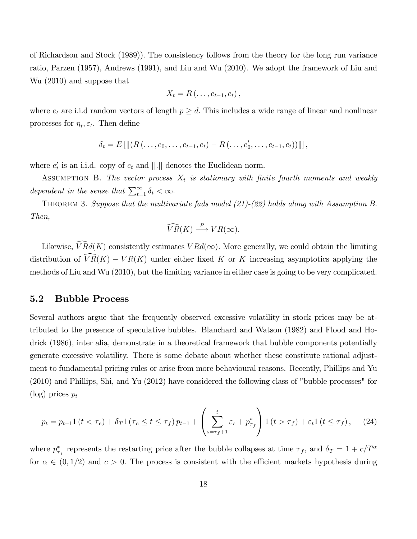of Richardson and Stock (1989)): The consistency follows from the theory for the long run variance ratio, Parzen (1957), Andrews (1991), and Liu and Wu (2010). We adopt the framework of Liu and Wu (2010) and suppose that

$$
X_t = R(\ldots, e_{t-1}, e_t),
$$

where  $e_t$  are i.i.d random vectors of length  $p \geq d$ . This includes a wide range of linear and nonlinear processes for  $\eta_t, \varepsilon_t$ . Then define

$$
\delta_t = E\left[\left\|(R(\ldots, e_0, \ldots, e_{t-1}, e_t) - R(\ldots, e'_0, \ldots, e_{t-1}, e_t))\right\|\right],
$$

where  $e'_t$  is an i.i.d. copy of  $e_t$  and  $||.||$  denotes the Euclidean norm.

ASSUMPTION B. The vector process  $X_t$  is stationary with finite fourth moments and weakly dependent in the sense that  $\sum_{t=1}^{\infty} \delta_t < \infty$ .

THEOREM 3. Suppose that the multivariate fads model (21)-(22) holds along with Assumption B. Then,

$$
\widehat{VR}(K) \stackrel{P}{\longrightarrow} VR(\infty).
$$

Likewise,  $\widehat{V R}d(K)$  consistently estimates  $V R d(\infty)$ . More generally, we could obtain the limiting distribution of  $\widehat{VR}(K) - VR(K)$  under either fixed K or K increasing asymptotics applying the methods of Liu and Wu (2010), but the limiting variance in either case is going to be very complicated.

#### 5.2 Bubble Process

Several authors argue that the frequently observed excessive volatility in stock prices may be attributed to the presence of speculative bubbles. Blanchard and Watson (1982) and Flood and Hodrick (1986), inter alia, demonstrate in a theoretical framework that bubble components potentially generate excessive volatility. There is some debate about whether these constitute rational adjustment to fundamental pricing rules or arise from more behavioural reasons. Recently, Phillips and Yu (2010) and Phillips, Shi, and Yu (2012) have considered the following class of "bubble processes" for  $(\log)$  prices  $p_t$ 

$$
p_{t} = p_{t-1} \mathbb{1} \left( t < \tau_{e} \right) + \delta_{T} \mathbb{1} \left( \tau_{e} \leq t \leq \tau_{f} \right) p_{t-1} + \left( \sum_{s=\tau_{f}+1}^{t} \varepsilon_{s} + p_{\tau_{f}}^{*} \right) \mathbb{1} \left( t > \tau_{f} \right) + \varepsilon_{t} \mathbb{1} \left( t \leq \tau_{f} \right), \tag{24}
$$

where  $p_{\tau_f}^*$  represents the restarting price after the bubble collapses at time  $\tau_f$ , and  $\delta_T = 1 + c/T^{\alpha}$ for  $\alpha \in (0, 1/2)$  and  $c > 0$ . The process is consistent with the efficient markets hypothesis during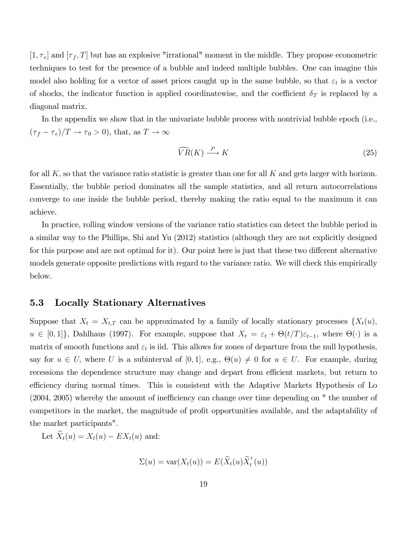$[1, \tau_e]$  and  $[\tau_f, T]$  but has an explosive "irrational" moment in the middle. They propose econometric techniques to test for the presence of a bubble and indeed multiple bubbles. One can imagine this model also holding for a vector of asset prices caught up in the same bubble, so that  $\varepsilon_t$  is a vector of shocks, the indicator function is applied coordinatewise, and the coefficient  $\delta_T$  is replaced by a diagonal matrix.

In the appendix we show that in the univariate bubble process with nontrivial bubble epoch (i.e.,  $(\tau_f - \tau_e)/T \to \tau_0 > 0$ , that, as  $T \to \infty$ 

$$
\widehat{VR}(K) \stackrel{P}{\longrightarrow} K \tag{25}
$$

for all K, so that the variance ratio statistic is greater than one for all K and gets larger with horizon. Essentially, the bubble period dominates all the sample statistics, and all return autocorrelations converge to one inside the bubble period, thereby making the ratio equal to the maximum it can achieve.

In practice, rolling window versions of the variance ratio statistics can detect the bubble period in a similar way to the Phillips, Shi and Yu (2012) statistics (although they are not explicitly designed for this purpose and are not optimal for it). Our point here is just that these two different alternative models generate opposite predictions with regard to the variance ratio. We will check this empirically below.

#### 5.3 Locally Stationary Alternatives

Suppose that  $X_t = X_{t,T}$  can be approximated by a family of locally stationary processes  $\{X_t(u),\}$  $u \in [0,1]\}$ , Dahlhaus (1997). For example, suppose that  $X_t = \varepsilon_t + \Theta(t/T)\varepsilon_{t-1}$ , where  $\Theta(\cdot)$  is a matrix of smooth functions and  $\varepsilon_t$  is iid. This allows for zones of departure from the null hypothesis, say for  $u \in U$ , where U is a subinterval of  $[0, 1]$ , e.g.,  $\Theta(u) \neq 0$  for  $u \in U$ . For example, during recessions the dependence structure may change and depart from efficient markets, but return to efficiency during normal times. This is consistent with the Adaptive Markets Hypothesis of Lo  $(2004, 2005)$  whereby the amount of inefficiency can change over time depending on " the number of competitors in the market, the magnitude of profit opportunities available, and the adaptability of the market participants".

Let  $\widetilde{X}_t(u) = X_t(u) - EX_t(u)$  and:

$$
\Sigma(u) = \text{var}(X_t(u)) = E(\widetilde{X}_t(u)\widetilde{X}_t^{\intercal}(u))
$$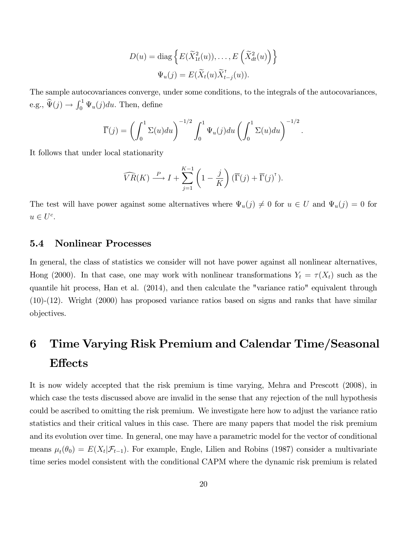$$
D(u) = \text{diag}\left\{E(\widetilde{X}_{1t}^2(u)), \dots, E(\widetilde{X}_{dt}^2(u))\right\}
$$

$$
\Psi_u(j) = E(\widetilde{X}_t(u)\widetilde{X}_{t-j}^{\mathsf{T}}(u)).
$$

The sample autocovariances converge, under some conditions, to the integrals of the autocovariances, e.g.,  $\widehat{\Psi}(j) \rightarrow \int_0^1 \Psi_u(j) du$ . Then, define

$$
\overline{\Gamma}(j) = \left(\int_0^1 \Sigma(u) du\right)^{-1/2} \int_0^1 \Psi_u(j) du \left(\int_0^1 \Sigma(u) du\right)^{-1/2}.
$$

It follows that under local stationarity

$$
\widehat{VR}(K) \stackrel{P}{\longrightarrow} I + \sum_{j=1}^{K-1} \left(1 - \frac{j}{K}\right) \left(\overline{\Gamma}(j) + \overline{\Gamma}(j)^\mathsf{T}\right).
$$

The test will have power against some alternatives where  $\Psi_u(j) \neq 0$  for  $u \in U$  and  $\Psi_u(j) = 0$  for  $u \in U^c$ .

#### 5.4 Nonlinear Processes

In general, the class of statistics we consider will not have power against all nonlinear alternatives, Hong (2000). In that case, one may work with nonlinear transformations  $Y_t = \tau(X_t)$  such as the quantile hit process, Han et al. (2014), and then calculate the "variance ratio" equivalent through (10)-(12). Wright (2000) has proposed variance ratios based on signs and ranks that have similar objectives.

## 6 Time Varying Risk Premium and Calendar Time/Seasonal **Effects**

It is now widely accepted that the risk premium is time varying, Mehra and Prescott (2008), in which case the tests discussed above are invalid in the sense that any rejection of the null hypothesis could be ascribed to omitting the risk premium. We investigate here how to adjust the variance ratio statistics and their critical values in this case. There are many papers that model the risk premium and its evolution over time. In general, one may have a parametric model for the vector of conditional means  $\mu_t(\theta_0) = E(X_t | \mathcal{F}_{t-1})$ . For example, Engle, Lilien and Robins (1987) consider a multivariate time series model consistent with the conditional CAPM where the dynamic risk premium is related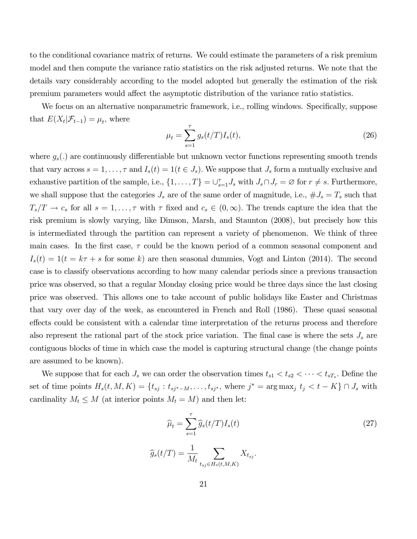to the conditional covariance matrix of returns. We could estimate the parameters of a risk premium model and then compute the variance ratio statistics on the risk adjusted returns. We note that the details vary considerably according to the model adopted but generally the estimation of the risk premium parameters would affect the asymptotic distribution of the variance ratio statistics.

We focus on an alternative nonparametric framework, i.e., rolling windows. Specifically, suppose that  $E(X_t | \mathcal{F}_{t-1}) = \mu_t$ , where

$$
\mu_t = \sum_{s=1}^{\tau} g_s(t/T) I_s(t), \tag{26}
$$

where  $g_s(.)$  are continuously differentiable but unknown vector functions representing smooth trends that vary across  $s = 1, \ldots, \tau$  and  $I_s(t) = 1(t \in J_s)$ . We suppose that  $J_s$  form a mutually exclusive and exhaustive partition of the sample, i.e.,  $\{1, \ldots, T\} = \bigcup_{s=1}^{\tau} J_s$  with  $J_s \cap J_r = \emptyset$  for  $r \neq s$ . Furthermore, we shall suppose that the categories  $J_s$  are of the same order of magnitude, i.e.,  $\#J_s = T_s$  such that  $T_s/T \to c_s$  for all  $s = 1, \ldots, \tau$  with  $\tau$  fixed and  $c_s \in (0,\infty)$ . The trends capture the idea that the risk premium is slowly varying, like Dimson, Marsh, and Staunton (2008), but precisely how this is intermediated through the partition can represent a variety of phenomenon. We think of three main cases. In the first case,  $\tau$  could be the known period of a common seasonal component and  $I_s(t) = 1(t = k\tau + s$  for some k) are then seasonal dummies, Vogt and Linton (2014). The second case is to classify observations according to how many calendar periods since a previous transaction price was observed, so that a regular Monday closing price would be three days since the last closing price was observed. This allows one to take account of public holidays like Easter and Christmas that vary over day of the week, as encountered in French and Roll (1986). These quasi seasonal effects could be consistent with a calendar time interpretation of the returns process and therefore also represent the rational part of the stock price variation. The final case is where the sets  $J_s$  are contiguous blocks of time in which case the model is capturing structural change (the change points are assumed to be known).

We suppose that for each  $J_s$  we can order the observation times  $t_{s1} < t_{s2} < \cdots < t_{sT_s}$ . Define the set of time points  $H_s(t, M, K) = \{t_{sj} : t_{sj^*-M}, \ldots, t_{sj^*}$ , where  $j^* = \arg \max_j t_j < t - K\} \cap J_s$  with cardinality  $M_t \leq M$  (at interior points  $M_t = M$ ) and then let:

$$
\widehat{\mu}_t = \sum_{s=1}^{\tau} \widehat{g}_s(t/T) I_s(t)
$$
\n
$$
\widehat{g}_s(t/T) = \frac{1}{M_t} \sum_{t_{sj} \in H_s(t,M,K)} X_{t_{sj}}.
$$
\n(27)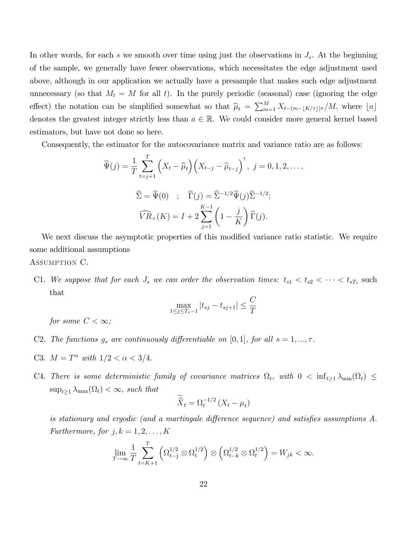In other words, for each s we smooth over time using just the observations in  $J_s$ . At the beginning of the sample, we generally have fewer observations, which necessitates the edge adjustment used above, although in our application we actually have a presample that makes such edge adjustment unnecessary (so that  $M_t = M$  for all t). In the purely periodic (seasonal) case (ignoring the edge effect) the notation can be simplified somewhat so that  $\hat{\mu}_t = \sum_{m=1}^M X_{t-(m-\lfloor K/\tau \rfloor)\tau}/M$ , where  $\lfloor a \rfloor$ denotes the greatest integer strictly less than  $a \in \mathbb{R}$ . We could consider more general kernel based estimators, but have not done so here.

Consequently, the estimator for the autocovariance matrix and variance ratio are as follows:

$$
\widehat{\Psi}(j) = \frac{1}{T} \sum_{t=j+1}^{T} \left( X_t - \widehat{\mu}_t \right) \left( X_{t-j} - \widehat{\mu}_{t-j} \right)^{\dagger}, \ j = 0, 1, 2, \dots,
$$
  

$$
\widehat{\Sigma} = \widehat{\Psi}(0) \quad ; \quad \widehat{\Gamma}(j) = \widehat{\Sigma}^{-1/2} \widehat{\Psi}(j) \widehat{\Sigma}^{-1/2};
$$
  

$$
\widehat{VR}_+(K) = I + 2 \sum_{j=1}^{K-1} \left( 1 - \frac{j}{K} \right) \widehat{\Gamma}(j).
$$

We next discuss the asymptotic properties of this modified variance ratio statistic. We require some additional assumptions

Assumption C.

C1. We suppose that for each  $J_s$  we can order the observation times:  $t_{s1} < t_{s2} < \cdots < t_{sT_s}$  such that

$$
\max_{1 \le j \le T_s - 1} |t_{sj} - t_{sj+1}| \le \frac{C}{T}
$$

for some  $C < \infty$ ;

- C2. The functions  $g_s$  are continuously differentiable on [0, 1], for all  $s = 1, ..., \tau$ .
- C3.  $M = T^{\alpha}$  with  $1/2 < \alpha < 3/4$ .
- C4. There is some deterministic family of covariance matrices  $\Omega_t$ , with  $0 < \inf_{t \ge 1} \lambda_{\min}(\Omega_t) \le$  $\sup_{t\geq 1} \lambda_{\max}(\Omega_t) < \infty$ , such that

$$
\widetilde{\widetilde{X}}_t = \Omega_t^{-1/2} \left( X_t - \mu_t \right)
$$

is stationary and ergodic (and a martingale difference sequence) and satisfies assumptions  $A$ . Furthermore, for  $j, k = 1, 2, \ldots, K$ 

$$
\lim_{T \to \infty} \frac{1}{T} \sum_{t=K+1}^T \left( \Omega_{t-j}^{1/2} \otimes \Omega_t^{1/2} \right) \otimes \left( \Omega_{t-k}^{1/2} \otimes \Omega_t^{1/2} \right) = W_{jk} < \infty.
$$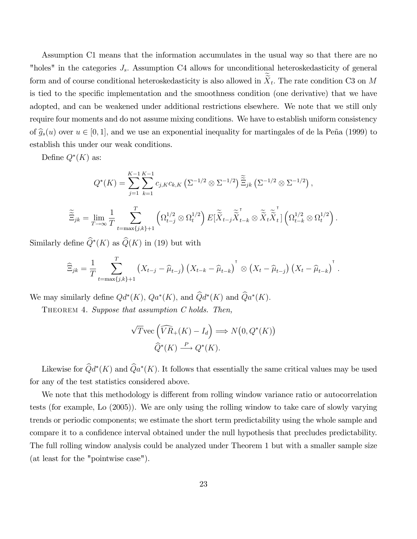Assumption C1 means that the information accumulates in the usual way so that there are no "holes" in the categories  $J_s$ . Assumption C4 allows for unconditional heteroskedasticity of general form and of course conditional heteroskedasticity is also allowed in  $X_t$ . The rate condition C3 on M is tied to the specific implementation and the smoothness condition (one derivative) that we have adopted, and can be weakened under additional restrictions elsewhere. We note that we still only require four moments and do not assume mixing conditions. We have to establish uniform consistency of  $\hat{g}_s(u)$  over  $u \in [0, 1]$ , and we use an exponential inequality for martingales of de la Peña (1999) to establish this under our weak conditions.

Define  $Q^*(K)$  as:

$$
Q^*(K) = \sum_{j=1}^{K-1} \sum_{k=1}^{K-1} c_{j,K} c_{k,K} \left( \Sigma^{-1/2} \otimes \Sigma^{-1/2} \right) \widetilde{\tilde{\Xi}}_{jk} \left( \Sigma^{-1/2} \otimes \Sigma^{-1/2} \right),
$$
  

$$
\widetilde{\tilde{\Xi}}_{jk} = \lim_{T \to \infty} \frac{1}{T} \sum_{t=\max\{j,k\}+1}^{T} \left( \Omega_{t-j}^{1/2} \otimes \Omega_t^{1/2} \right) E[\widetilde{\tilde{X}}_{t-j} \widetilde{\tilde{X}}_{t-k}^{\top} \otimes \widetilde{\tilde{X}}_t \widetilde{\tilde{X}}_t^{\top}] \left( \Omega_{t-k}^{1/2} \otimes \Omega_t^{1/2} \right).
$$

Similarly define  $Q^*(K)$  as  $Q(K)$  in (19) but with

$$
\widehat{\Xi}_{jk} = \frac{1}{T} \sum_{t=\max\{j,k\}+1}^T \left( X_{t-j} - \widehat{\mu}_{t-j} \right) \left( X_{t-k} - \widehat{\mu}_{t-k} \right)^{\mathsf{T}} \otimes \left( X_t - \widehat{\mu}_{t-j} \right) \left( X_t - \widehat{\mu}_{t-k} \right)^{\mathsf{T}}.
$$

We may similarly define  $Qd^*(K)$ ,  $Qa^*(K)$ , and  $Qd^*(K)$  and  $Qa^*(K)$ .

THEOREM 4. Suppose that assumption C holds. Then,

$$
\sqrt{T} \text{vec} \left( \widehat{VR}_+(K) - I_d \right) \Longrightarrow N\big(0, Q^*(K)\big)
$$

$$
\widehat{Q}^*(K) \stackrel{P}{\longrightarrow} Q^*(K).
$$

Likewise for  $Qd^*(K)$  and  $Qa^*(K)$ . It follows that essentially the same critical values may be used for any of the test statistics considered above.

We note that this methodology is different from rolling window variance ratio or autocorrelation tests (for example, Lo (2005)). We are only using the rolling window to take care of slowly varying trends or periodic components; we estimate the short term predictability using the whole sample and compare it to a confidence interval obtained under the null hypothesis that precludes predictability. The full rolling window analysis could be analyzed under Theorem 1 but with a smaller sample size (at least for the "pointwise case").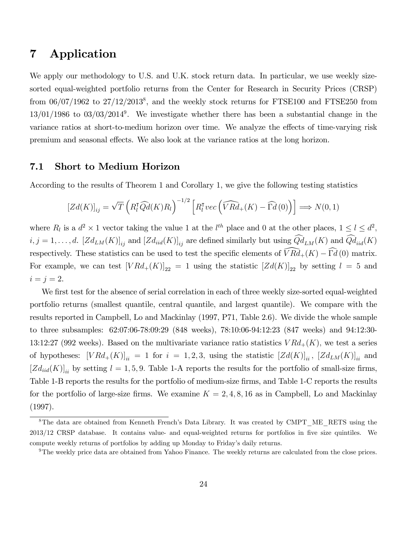## 7 Application

We apply our methodology to U.S. and U.K. stock return data. In particular, we use weekly sizesorted equal-weighted portfolio returns from the Center for Research in Security Prices (CRSP) from  $06/07/1962$  to  $27/12/2013<sup>8</sup>$ , and the weekly stock returns for FTSE100 and FTSE250 from  $13/01/1986$  to  $03/03/2014<sup>9</sup>$ . We investigate whether there has been a substantial change in the variance ratios at short-to-medium horizon over time. We analyze the effects of time-varying risk premium and seasonal effects. We also look at the variance ratios at the long horizon.

#### 7.1 Short to Medium Horizon

According to the results of Theorem 1 and Corollary 1, we give the following testing statistics

$$
[Zd(K)]_{ij} = \sqrt{T} \left( R_l^{\mathsf{T}} \widehat{Q} d(K) R_l \right)^{-1/2} \left[ R_l^{\mathsf{T}} vec \left( \widehat{V} R d_+(K) - \widehat{\Gamma} d(0) \right) \right] \Longrightarrow N(0, 1)
$$

where  $R_l$  is a  $d^2 \times 1$  vector taking the value 1 at the  $l^{th}$  place and 0 at the other places,  $1 \leq l \leq d^2$ ,  $i, j = 1, \ldots, d$ .  $[Zd_{LM}(K)]_{ij}$  and  $[Zd_{iid}(K)]_{ij}$  are defined similarly but using  $\widehat{Qd}_{LM}(K)$  and  $\widehat{Qd}_{iid}(K)$ respectively. These statistics can be used to test the specific elements of  $\widehat{VRd}_{+}(K) - \widehat{\Gamma d}(0)$  matrix. For example, we can test  $[VRd_{+}(K)]_{22} = 1$  using the statistic  $[Zd(K)]_{22}$  by setting  $l = 5$  and  $i = j = 2.$ 

We first test for the absence of serial correlation in each of three weekly size-sorted equal-weighted portfolio returns (smallest quantile, central quantile, and largest quantile). We compare with the results reported in Campbell, Lo and Mackinlay (1997, P71, Table 2.6). We divide the whole sample to three subsamples: 62:07:06-78:09:29 (848 weeks), 78:10:06-94:12:23 (847 weeks) and 94:12:30- 13:12:27 (992 weeks). Based on the multivariate variance ratio statistics  $VRd_{+}(K)$ , we test a series of hypotheses:  $[VRd_{+}(K)]_{ii} = 1$  for  $i = 1, 2, 3$ , using the statistic  $[Zd(K)]_{ii}$ ,  $[Zd_{LM}(K)]_{ii}$  and  $[Zd_{iid}(K)]_{ii}$  by setting  $l = 1, 5, 9$ . Table 1-A reports the results for the portfolio of small-size firms, Table 1-B reports the results for the portfolio of medium-size firms, and Table 1-C reports the results for the portfolio of large-size firms. We examine  $K = 2, 4, 8, 16$  as in Campbell, Lo and Mackinlay (1997).

<sup>&</sup>lt;sup>8</sup>The data are obtained from Kenneth French's Data Library. It was created by CMPT\_ME\_RETS using the 2013/12 CRSP database. It contains value- and equal-weighted returns for portfolios in Öve size quintiles. We compute weekly returns of portfolios by adding up Monday to Friday's daily returns.

 $9$ The weekly price data are obtained from Yahoo Finance. The weekly returns are calculated from the close prices.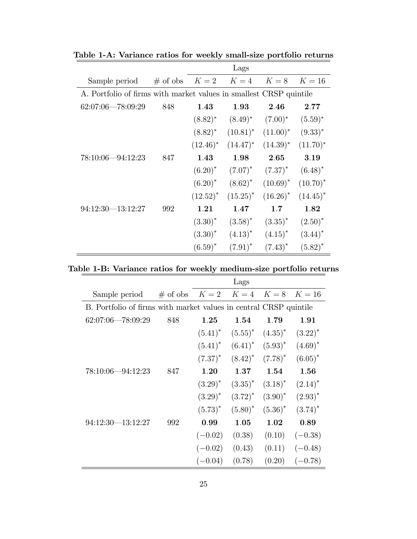|                                                                    |     |                      | Lags         |             |             |
|--------------------------------------------------------------------|-----|----------------------|--------------|-------------|-------------|
| Sample period                                                      |     | # of obs $K=2$ $K=4$ |              | $K=8$       | $K=16$      |
| A. Portfolio of firms with market values in smallest CRSP quintile |     |                      |              |             |             |
| $62:07:06 - 78:09:29$                                              | 848 | 1.43                 | 1.93         | 2.46        | 2.77        |
|                                                                    |     | $(8.82)^*$           | $(8.49)^*$   | $(7.00)^*$  | $(5.59)^*$  |
|                                                                    |     | $(8.82)^*$           | $(10.81)^*$  | $(11.00)^*$ | $(9.33)^*$  |
|                                                                    |     | $(12.46)^*$          | $(14.47)^*$  | $(14.39)^*$ | $(11.70)^*$ |
| $78:10:06 - 94:12:23$                                              | 847 | 1.43                 | 1.98         | 2.65        | 3.19        |
|                                                                    |     | $(6.20)^*$           | $(7.07)^*$   | $(7.37)^*$  | $(6.48)^*$  |
|                                                                    |     | $(6.20)^*$           | $(8.62)^*$   | $(10.69)^*$ | $(10.70)^*$ |
|                                                                    |     | $(12.52)^*$          | $(15.25)^*$  | $(16.26)^*$ | $(14.45)^*$ |
| $94:12:30 - 13:12:27$                                              | 992 | 1.21                 | 1.47         | 1.7         | 1.82        |
|                                                                    |     | $(3.30)^{*}$         | $(3.58)^*$   | $(3.35)^*$  | $(2.50)^*$  |
|                                                                    |     | $(3.30)^{*}$         | $(4.13)^{*}$ | $(4.15)^*$  | $(3.44)^*$  |
|                                                                    |     | $(6.59)^*$           | $(7.91)^*$   | $(7.43)^*$  | $(5.82)^*$  |

Table 1-A: Variance ratios for weekly small-size portfolio returns

Table 1-B: Variance ratios for weekly medium-size portfolio returns

|                                                                   |                                  |              | Lags         |              |              |
|-------------------------------------------------------------------|----------------------------------|--------------|--------------|--------------|--------------|
| Sample period                                                     | # of obs $K = 2$ $K = 4$ $K = 8$ |              |              |              | $K=16$       |
| B. Portfolio of firms with market values in central CRSP quintile |                                  |              |              |              |              |
| $62:07:06 - 78:09:29$                                             | 848                              | 1.25         | 1.54         | 1.79         | 1.91         |
|                                                                   |                                  | $(5.41)^*$   | $(5.55)^*$   | $(4.35)^*$   | $(3.22)^{*}$ |
|                                                                   |                                  | $(5.41)^*$   | $(6.41)^*$   | $(5.93)^*$   | $(4.69)^*$   |
|                                                                   |                                  | $(7.37)^*$   | $(8.42)^*$   | $(7.78)^*$   | $(6.05)^*$   |
| $78:10:06 - 94:12:23$                                             | 847                              | 1.20         | 1.37         | 1.54         | 1.56         |
|                                                                   |                                  | $(3.29)^*$   | $(3.35)^*$   | $(3.18)^*$   | $(2.14)^*$   |
|                                                                   |                                  | $(3.29)^{*}$ | $(3.72)^{*}$ | $(3.90)^{*}$ | $(2.93)^*$   |
|                                                                   |                                  | $(5.73)^*$   | $(5.80)^*$   | $(5.36)^*$   | $(3.74)^*$   |
| $94:12:30 - 13:12:27$                                             | 992                              | 0.99         | 1.05         | 1.02         | 0.89         |
|                                                                   |                                  | $(-0.02)$    | (0.38)       | (0.10)       | $(-0.38)$    |
|                                                                   |                                  | $(-0.02)$    | (0.43)       | (0.11)       | $(-0.48)$    |
|                                                                   |                                  | $(-0.04)$    | (0.78)       | (0.20)       | $(-0.78)$    |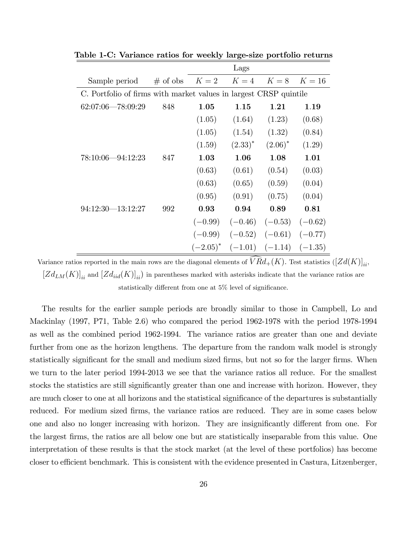|                                                                   |            |             | Lags         |                     |           |  |  |  |
|-------------------------------------------------------------------|------------|-------------|--------------|---------------------|-----------|--|--|--|
| Sample period                                                     | $#$ of obs | $K=2$       | $K=4$        | $K=8$               | $K=16$    |  |  |  |
| C. Portfolio of firms with market values in largest CRSP quintile |            |             |              |                     |           |  |  |  |
| $62:07:06 - 78:09:29$                                             | 848        | 1.05        | 1.15         | 1.21                | 1.19      |  |  |  |
|                                                                   |            | (1.05)      | (1.64)       | (1.23)              | (0.68)    |  |  |  |
|                                                                   |            | (1.05)      | (1.54)       | (1.32)              | (0.84)    |  |  |  |
|                                                                   |            | (1.59)      | $(2.33)^{*}$ | $(2.06)^*$          | (1.29)    |  |  |  |
| 78:10:06-94:12:23                                                 | 847        | 1.03        | 1.06         | 1.08                | 1.01      |  |  |  |
|                                                                   |            | (0.63)      | (0.61)       | (0.54)              | (0.03)    |  |  |  |
|                                                                   |            | (0.63)      | (0.65)       | (0.59)              | (0.04)    |  |  |  |
|                                                                   |            | (0.95)      | (0.91)       | (0.75)              | (0.04)    |  |  |  |
| $94:12:30-13:12:27$                                               | 992        | 0.93        | 0.94         | 0.89                | 0.81      |  |  |  |
|                                                                   |            | $(-0.99)$   | $(-0.46)$    | $(-0.53)$           | $(-0.62)$ |  |  |  |
|                                                                   |            | $(-0.99)$   | $(-0.52)$    | $(-0.61)$           | $(-0.77)$ |  |  |  |
|                                                                   |            | $(-2.05)^*$ |              | $(-1.01)$ $(-1.14)$ | $(-1.35)$ |  |  |  |

Table 1-C: Variance ratios for weekly large-size portfolio returns

Variance ratios reported in the main rows are the diagonal elements of  $\widehat{VRd}_{+}(K)$ . Test statistics  $([Zd(K)]_{ii}$ ,  $[Zd_{LM}(K)]_{ii}$  and  $[Zd_{iid}(K)]_{ii}$ ) in parentheses marked with asterisks indicate that the variance ratios are statistically different from one at  $5\%$  level of significance.

The results for the earlier sample periods are broadly similar to those in Campbell, Lo and Mackinlay (1997, P71, Table 2.6) who compared the period 1962-1978 with the period 1978-1994 as well as the combined period 1962-1994. The variance ratios are greater than one and deviate further from one as the horizon lengthens. The departure from the random walk model is strongly statistically significant for the small and medium sized firms, but not so for the larger firms. When we turn to the later period 1994-2013 we see that the variance ratios all reduce. For the smallest stocks the statistics are still significantly greater than one and increase with horizon. However, they are much closer to one at all horizons and the statistical significance of the departures is substantially reduced. For medium sized firms, the variance ratios are reduced. They are in some cases below one and also no longer increasing with horizon. They are insignificantly different from one. For the largest Örms, the ratios are all below one but are statistically inseparable from this value. One interpretation of these results is that the stock market (at the level of these portfolios) has become closer to efficient benchmark. This is consistent with the evidence presented in Castura, Litzenberger,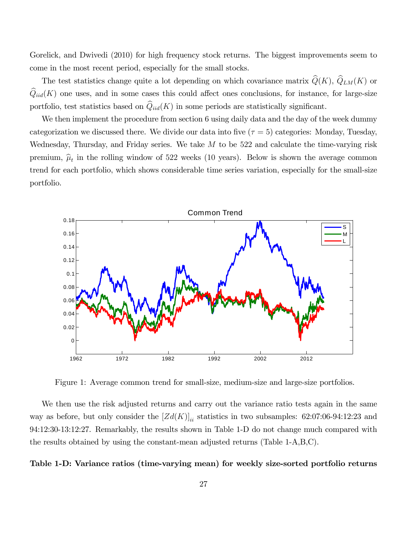Gorelick, and Dwivedi (2010) for high frequency stock returns. The biggest improvements seem to come in the most recent period, especially for the small stocks.

The test statistics change quite a lot depending on which covariance matrix  $\hat{Q}(K)$ ,  $\hat{Q}_{LM}(K)$  or  $\hat{Q}_{iid}(K)$  one uses, and in some cases this could affect ones conclusions, for instance, for large-size portfolio, test statistics based on  $\widehat{Q}_{iid}(K)$  in some periods are statistically significant.

We then implement the procedure from section 6 using daily data and the day of the week dummy categorization we discussed there. We divide our data into five  $(\tau = 5)$  categories: Monday, Tuesday, Wednesday, Thursday, and Friday series. We take  $M$  to be 522 and calculate the time-varying risk premium,  $\hat{\mu}_t$  in the rolling window of 522 weeks (10 years). Below is shown the average common trend for each portfolio, which shows considerable time series variation, especially for the small-size portfolio.



Figure 1: Average common trend for small-size, medium-size and large-size portfolios.

We then use the risk adjusted returns and carry out the variance ratio tests again in the same way as before, but only consider the  $[Zd(K)]_{ii}$  statistics in two subsamples: 62:07:06-94:12:23 and 94:12:30-13:12:27. Remarkably, the results shown in Table 1-D do not change much compared with the results obtained by using the constant-mean adjusted returns (Table 1-A,B,C).

#### Table 1-D: Variance ratios (time-varying mean) for weekly size-sorted portfolio returns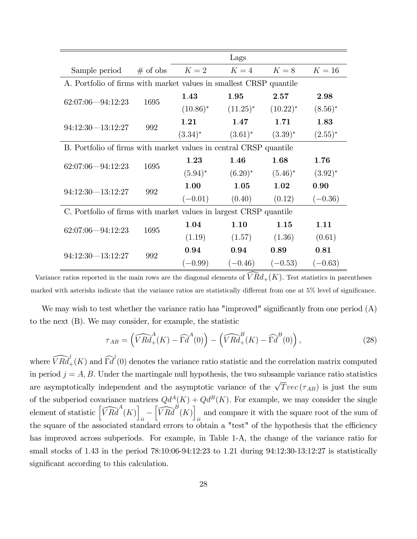|                                                                    |            |              | Lags        |             |            |
|--------------------------------------------------------------------|------------|--------------|-------------|-------------|------------|
| Sample period                                                      | $#$ of obs | $K=2$        | $K=4$       | $K=8$       | $K=16$     |
| A. Portfolio of firms with market values in smallest CRSP quantile |            |              |             |             |            |
| $62:07:06 - 94:12:23$                                              | 1695       | 1.43         | 1.95        | 2.57        | 2.98       |
|                                                                    |            | $(10.86)^*$  | $(11.25)^*$ | $(10.22)^*$ | $(8.56)^*$ |
|                                                                    |            | 1.21         | 1.47        | 1.71        | 1.83       |
| $94:12:30 - 13:12:27$                                              | 992        | $(3.34)^{*}$ | $(3.61)^*$  | $(3.39)^*$  | $(2.55)^*$ |
| B. Portfolio of firms with market values in central CRSP quantile  |            |              |             |             |            |
| $62:07:06 - 94:12:23$                                              | 1695       | 1.23         | 1.46        | 1.68        | 1.76       |
|                                                                    |            | $(5.94)^*$   | $(6.20)^*$  | $(5.46)^*$  | $(3.92)^*$ |
| $94:12:30 - 13:12:27$                                              | 992        | 1.00         | 1.05        | 1.02        | 0.90       |
|                                                                    |            | $(-0.01)$    | (0.40)      | (0.12)      | $(-0.36)$  |
| C. Portfolio of firms with market values in largest CRSP quantile  |            |              |             |             |            |
| $62:07:06 - 94:12:23$                                              | 1695       | 1.04         | 1.10        | 1.15        | 1.11       |
|                                                                    |            | (1.19)       | (1.57)      | (1.36)      | (0.61)     |
| $94:12:30 - 13:12:27$                                              | 992        | 0.94         | 0.94        | 0.89        | 0.81       |
|                                                                    |            | $(-0.99)$    | $(-0.46)$   | $(-0.53)$   | $(-0.63)$  |

Variance ratios reported in the main rows are the diagonal elements of  $\widehat{VR}d_{+}(K)$ . Test statistics in parentheses marked with asterisks indicate that the variance ratios are statistically different from one at  $5\%$  level of significance.

We may wish to test whether the variance ratio has "improved" significantly from one period  $(A)$ to the next (B). We may consider, for example, the statistic

$$
\tau_{AB} = \left(\widehat{VRA}^A_+(K) - \widehat{\Gamma d}^A(0)\right) - \left(\widehat{VRed}^B_+(K) - \widehat{\Gamma d}^B(0)\right),\tag{28}
$$

where  $\widehat{V R d}_+^j(K)$  and  $\widehat{\Gamma d}^j(0)$  denotes the variance ratio statistic and the correlation matrix computed in period  $j = A, B$ . Under the martingale null hypothesis, the two subsample variance ratio statistics are asymptotically independent and the asymptotic variance of the  $\sqrt{T}$  vec ( $\tau_{AB}$ ) is just the sum of the subperiod covariance matrices  $Qd^A(K) + Qd^B(K)$ . For example, we may consider the single element of statistic  $\left[\widehat{VRA}^{A}(K)\right]$  $\frac{1}{ii}$  $\left[\widehat{VRd}^{B}(K)\right]$ and compare it with the square root of the sum of  $ii$ the square of the associated standard errors to obtain a "test" of the hypothesis that the efficiency has improved across subperiods. For example, in Table 1-A, the change of the variance ratio for small stocks of 1:43 in the period 78:10:06-94:12:23 to 1:21 during 94:12:30-13:12:27 is statistically significant according to this calculation.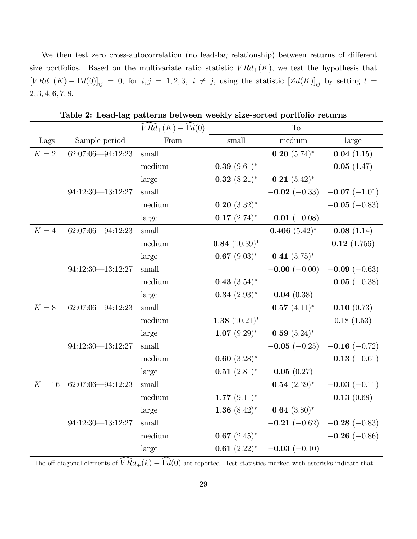We then test zero cross-autocorrelation (no lead-lag relationship) between returns of different size portfolios. Based on the multivariate ratio statistic  $V R d_{+}(K)$ , we test the hypothesis that  $[VRd_{+}(K) - \Gamma d(0)]_{ij} = 0$ , for  $i, j = 1, 2, 3$ ,  $i \neq j$ , using the statistic  $[Zd(K)]_{ij}$  by setting  $l =$  $2, 3, 4, 6, 7, 8.$ 

|          |                       | $V R d_+(K) - \Gamma d(0)$ |                  | To                  |                     |
|----------|-----------------------|----------------------------|------------------|---------------------|---------------------|
| Lags     | Sample period         | From                       | small            | medium              | large               |
| $K=2\,$  | 62:07:06-94:12:23     | $_{\rm small}$             |                  | $0.20~(5.74)^*$     | 0.04(1.15)          |
|          |                       | medium                     | $0.39~(9.61)^*$  |                     | 0.05(1.47)          |
|          |                       | large                      | $0.32~(8.21)^*$  | $0.21~(5.42)^*$     |                     |
|          | $94:12:30 - 13:12:27$ | $\operatorname{small}$     |                  | $-0.02$ (-0.33)     | $-0.07$ $(-1.01)$   |
|          |                       | medium                     | $0.20~(3.32)^*$  |                     | $-0.05$ ( $-0.83$ ) |
|          |                       | large                      | $0.17~(2.74)^*$  | $-0.01$ ( $-0.08$ ) |                     |
| $K=4$    | 62:07:06-94:12:23     | small                      |                  | $0.406~(5.42)^*$    | 0.08(1.14)          |
|          |                       | medium                     | $0.84~(10.39)^*$ |                     | 0.12(1.756)         |
|          |                       | large                      | $0.67~(9.03)^*$  | $0.41~(5.75)^*$     |                     |
|          | $94:12:30 - 13:12:27$ | small                      |                  | $-0.00(-0.00)$      | $-0.09(-0.63)$      |
|          |                       | medium                     | $0.43~(3.54)^*$  |                     | $-0.05$ ( $-0.38$ ) |
|          |                       | large                      | $0.34~(2.93)^*$  | 0.04(0.38)          |                     |
| $K=8$    | 62:07:06-94:12:23     | small                      |                  | $0.57~(4.11)^*$     | 0.10(0.73)          |
|          |                       | medium                     | $1.38~(10.21)^*$ |                     | 0.18(1.53)          |
|          |                       | large                      | $1.07~(9.29)^*$  | $0.59(5.24)^*$      |                     |
|          | $94:12:30 - 13:12:27$ | small                      |                  | $-0.05$ ( $-0.25$ ) | $-0.16(-0.72)$      |
|          |                       | medium                     | $0.60~(3.28)$ *  |                     | $-0.13(-0.61)$      |
|          |                       | large                      | $0.51~(2.81)^*$  | 0.05(0.27)          |                     |
| $K=16\,$ | 62:07:06-94:12:23     | small                      |                  | $0.54~(2.39)^*$     | $-0.03(-0.11)$      |
|          |                       | median                     | $1.77~(9.11)^*$  |                     | 0.13(0.68)          |
|          |                       | large                      | 1.36 $(8.42)^*$  | $0.64~(3.80)$ *     |                     |
|          | $94:12:30 - 13:12:27$ | small                      |                  | $-0.21$ (-0.62)     | $-0.28$ (-0.83)     |
|          |                       | median                     | $0.67~(2.45)^*$  |                     | $-0.26$ (-0.86)     |
|          |                       | large                      | $0.61~(2.22)^*$  | $-0.03(-0.10)$      |                     |

Table 2: Lead-lag patterns between weekly size-sorted portfolio returns

The off-diagonal elements of  $\widehat{V R}d_+(k) - \widehat{\Gamma d}(0)$  are reported. Test statistics marked with asterisks indicate that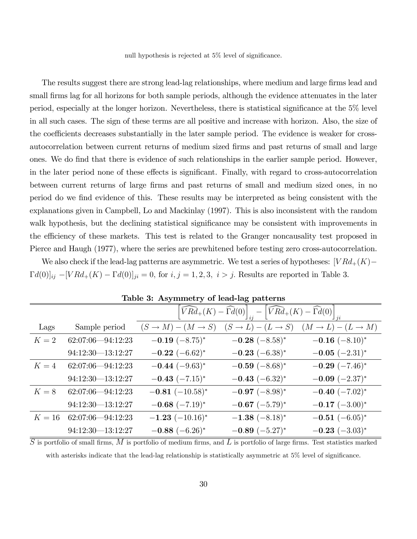null hypothesis is rejected at  $5\%$  level of significance.

The results suggest there are strong lead-lag relationships, where medium and large firms lead and small firms lag for all horizons for both sample periods, although the evidence attenuates in the later period, especially at the longer horizon. Nevertheless, there is statistical significance at the  $5\%$  level in all such cases. The sign of these terms are all positive and increase with horizon. Also, the size of the coefficients decreases substantially in the later sample period. The evidence is weaker for crossautocorrelation between current returns of medium sized firms and past returns of small and large ones. We do Önd that there is evidence of such relationships in the earlier sample period. However, in the later period none of these effects is significant. Finally, with regard to cross-autocorrelation between current returns of large firms and past returns of small and medium sized ones, in no period do we find evidence of this. These results may be interpreted as being consistent with the explanations given in Campbell, Lo and Mackinlay (1997). This is also inconsistent with the random walk hypothesis, but the declining statistical significance may be consistent with improvements in the efficiency of these markets. This test is related to the Granger noncausality test proposed in Pierce and Haugh (1977), where the series are prewhitened before testing zero cross-autocorrelation.

We also check if the lead-lag patterns are asymmetric. We test a series of hypotheses:  $\lfloor V R d_+(K) - \rfloor$  $\Gamma d(0)|_{ij} - [V R d_{+}(K) - \Gamma d(0)]_{ji} = 0$ , for  $i, j = 1, 2, 3, i > j$ . Results are reported in Table 3.

|        |                       |                         | $\left[\widehat{V}R\widehat{d}_{+}(K)-\widehat{\Gamma}\widehat{d}(0)\right]_{ii}-\left[\widehat{V}R\widehat{d}_{+}(K)-\widehat{\Gamma}\widehat{d}(0)\right]_{ii}$ |                         |
|--------|-----------------------|-------------------------|-------------------------------------------------------------------------------------------------------------------------------------------------------------------|-------------------------|
| Lags   | Sample period         | $(S \to M) - (M \to S)$ | $(S \to L) - (L \to S)$                                                                                                                                           | $(M \to L) - (L \to M)$ |
| $K=2$  | $62:07:06 - 94:12:23$ | $-0.19$ $(-8.75)^*$     | $-0.28$ $(-8.58)^*$                                                                                                                                               | $-0.16$ $(-8.10)^*$     |
|        | $94:12:30 - 13:12:27$ | $-0.22$ $(-6.62)^*$     | $-0.23$ $(-6.38)^*$                                                                                                                                               | $-0.05$ $(-2.31)^*$     |
| $K=4$  | $62:07:06 - 94:12:23$ | $-0.44$ $(-9.63)^*$     | $-0.59$ $(-8.68)^*$                                                                                                                                               | $-0.29$ $(-7.46)^*$     |
|        | $94:12:30 - 13:12:27$ | $-0.43$ $(-7.15)^*$     | $-0.43$ $(-6.32)^*$                                                                                                                                               | $-0.09$ $(-2.37)^*$     |
| $K=8$  | $62:07:06 - 94:12:23$ | $-0.81$ $(-10.58)^*$    | $-0.97$ $(-8.98)^*$                                                                                                                                               | $-0.40$ $(-7.02)^*$     |
|        | $94:12:30 - 13:12:27$ | $-0.68$ $(-7.19)^*$     | $-0.67$ $(-5.79)^*$                                                                                                                                               | $-0.17$ $(-3.00)^*$     |
| $K=16$ | $62:07:06 - 94:12:23$ | $-1.23$ $(-10.16)^*$    | $-1.38(-8.18)^*$                                                                                                                                                  | $-0.51$ $(-6.05)^*$     |
|        | $94:12:30 - 13:12:27$ | $-0.88$ $(-6.26)^*$     | $-0.89$ $(-5.27)^*$                                                                                                                                               | $-0.23$ $(-3.03)^*$     |

Table 3: Asymmetry of lead-lag patterns

 $\overline{S}$  is portfolio of small firms,  $M$  is portfolio of medium firms, and  $L$  is portfolio of large firms. Test statistics marked with asterisks indicate that the lead-lag relationship is statistically asymmetric at  $5\%$  level of significance.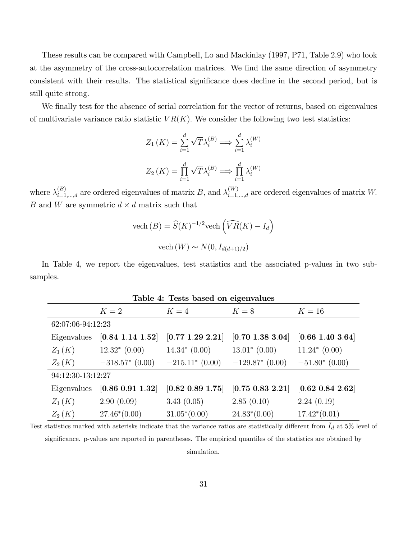These results can be compared with Campbell, Lo and Mackinlay (1997, P71, Table 2.9) who look at the asymmetry of the cross-autocorrelation matrices. We find the same direction of asymmetry consistent with their results. The statistical significance does decline in the second period, but is still quite strong.

We finally test for the absence of serial correlation for the vector of returns, based on eigenvalues of multivariate variance ratio statistic  $VR(K)$ . We consider the following two test statistics:

$$
Z_1(K) = \sum_{i=1}^d \sqrt{T} \lambda_i^{(B)} \Longrightarrow \sum_{i=1}^d \lambda_i^{(W)}
$$

$$
Z_2(K) = \prod_{i=1}^d \sqrt{T} \lambda_i^{(B)} \Longrightarrow \prod_{i=1}^d \lambda_i^{(W)}
$$

where  $\lambda_{i=1,...,d}^{(B)}$  are ordered eigenvalues of matrix B, and  $\lambda_{i=1,...,d}^{(W)}$  are ordered eigenvalues of matrix W. B and W are symmetric  $d \times d$  matrix such that

vech 
$$
(B) = \widehat{S}(K)^{-1/2} \text{vech}\left(\widehat{VR}(K) - I_d\right)
$$
  
vech  $(W) \sim N(0, I_{d(d+1)/2})$ 

In Table 4, we report the eigenvalues, test statistics and the associated p-values in two subsamples.

| Table 4: Tests based on eigenvalues |                          |                  |                        |                  |  |  |  |  |  |
|-------------------------------------|--------------------------|------------------|------------------------|------------------|--|--|--|--|--|
|                                     | $K=2$                    | $K=4$            | $K=8$                  | $K=16$           |  |  |  |  |  |
| 62:07:06-94:12:23                   |                          |                  |                        |                  |  |  |  |  |  |
| Eigenvalues                         | $[0.84 \; 1.14 \; 1.52]$ | [0.77 1.29 2.21] | [0.70 1.38 3.04]       | [0.66 1.40 3.64] |  |  |  |  |  |
| $Z_1(K)$                            | $12.32*(0.00)$           | $14.34*(0.00)$   | $13.01^* (0.00)$       | $11.24*(0.00)$   |  |  |  |  |  |
| $Z_2(K)$                            | $-318.57*(0.00)$         | $-215.11*(0.00)$ | $-129.87*$ (0.00)      | $-51.80*(0.00)$  |  |  |  |  |  |
| 94:12:30-13:12:27                   |                          |                  |                        |                  |  |  |  |  |  |
| Eigenvalues                         | [0.86 0.91 1.32]         | [0.82 0.89 1.75] | $[0.75\; 0.83\; 2.21]$ | [0.62 0.84 2.62] |  |  |  |  |  |
| $Z_1(K)$                            | 2.90(0.09)               | 3.43(0.05)       | 2.85(0.10)             | 2.24(0.19)       |  |  |  |  |  |
| $Z_2(K)$                            | $27.46*(0.00)$           | $31.05*(0.00)$   | $24.83^*(0.00)$        | $17.42*(0.01)$   |  |  |  |  |  |

Test statistics marked with asterisks indicate that the variance ratios are statistically different from  $I_d$  at 5% level of significance. p-values are reported in parentheses. The empirical quantiles of the statistics are obtained by simulation.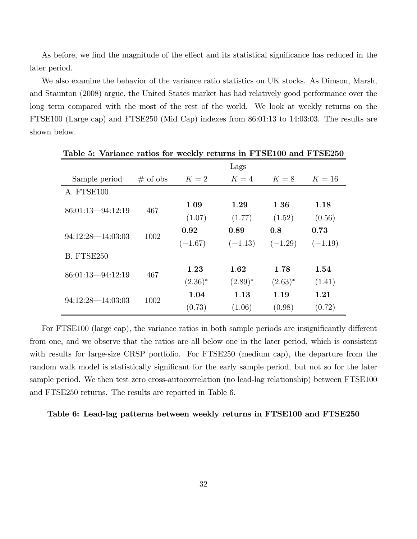As before, we find the magnitude of the effect and its statistical significance has reduced in the later period.

We also examine the behavior of the variance ratio statistics on UK stocks. As Dimson, Marsh, and Staunton (2008) argue, the United States market has had relatively good performance over the long term compared with the most of the rest of the world. We look at weekly returns on the FTSE100 (Large cap) and FTSE250 (Mid Cap) indexes from 86:01:13 to 14:03:03. The results are shown below.

|                       |            |              | Lags       |              |           |
|-----------------------|------------|--------------|------------|--------------|-----------|
| Sample period         | $#$ of obs | $K=2$        | $K=4$      | $K=8$        | $K=16$    |
| A. FTSE100            |            |              |            |              |           |
| 86:01:13-94:12:19     | 467        | 1.09         | 1.29       | 1.36         | 1.18      |
|                       |            | (1.07)       | (1.77)     | (1.52)       | (0.56)    |
|                       | 1002       | 0.92         | 0.89       | 0.8          | 0.73      |
| $94:12:28 - 14:03:03$ |            | $(-1.67)$    | $(-1.13)$  | $(-1.29)$    | $(-1.19)$ |
| <b>B. FTSE250</b>     |            |              |            |              |           |
| $86:01:13 - 94:12:19$ | 467        | 1.23         | 1.62       | 1.78         | 1.54      |
|                       |            | $(2.36)^{*}$ | $(2.89)^*$ | $(2.63)^{*}$ | (1.41)    |
| $94:12:28 - 14:03:03$ | 1002       | 1.04         | 1.13       | 1.19         | 1.21      |
|                       |            | (0.73)       | (1.06)     | (0.98)       | (0.72)    |

Table 5: Variance ratios for weekly returns in FTSE100 and FTSE250

For FTSE100 (large cap), the variance ratios in both sample periods are insignificantly different from one, and we observe that the ratios are all below one in the later period, which is consistent with results for large-size CRSP portfolio. For FTSE250 (medium cap), the departure from the random walk model is statistically significant for the early sample period, but not so for the later sample period. We then test zero cross-autocorrelation (no lead-lag relationship) between FTSE100 and FTSE250 returns. The results are reported in Table 6.

#### Table 6: Lead-lag patterns between weekly returns in FTSE100 and FTSE250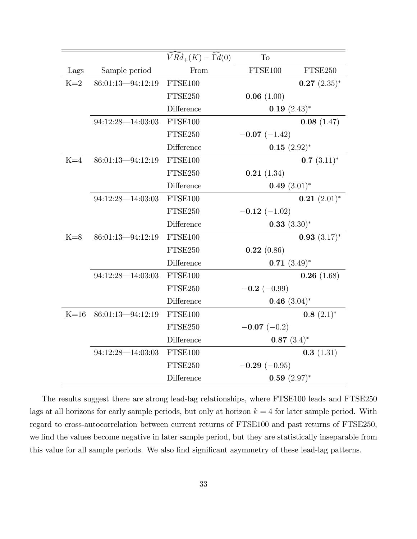|        |                       | $\widehat{V}R\widehat{d}_+(K)-\widehat{\Gamma}d(0)$ | To                |                 |
|--------|-----------------------|-----------------------------------------------------|-------------------|-----------------|
| Lags   | Sample period         | From                                                | FTSE100           | FTSE250         |
| $K=2$  | 86:01:13-94:12:19     | FTSE100                                             |                   | $0.27~(2.35)^*$ |
|        |                       | FTSE250                                             | 0.06(1.00)        |                 |
|        |                       | Difference                                          | $0.19~(2.43)^*$   |                 |
|        | $94:12:28 - 14:03:03$ | FTSE100                                             |                   | 0.08(1.47)      |
|        |                       | FTSE250                                             | $-0.07$ (-1.42)   |                 |
|        |                       | Difference                                          | $0.15~(2.92)^*$   |                 |
| $K=4$  | 86:01:13-94:12:19     | FTSE100                                             |                   | $0.7~(3.11)^*$  |
|        |                       | FTSE250                                             | 0.21(1.34)        |                 |
|        |                       | Difference                                          | 0.49 $(3.01)^*$   |                 |
|        | $94:12:28 - 14:03:03$ | FTSE100                                             |                   | $0.21~(2.01)^*$ |
|        |                       | FTSE250                                             | $-0.12$ $(-1.02)$ |                 |
|        |                       | Difference                                          | $0.33~(3.30)^*$   |                 |
| $K=8$  | 86:01:13-94:12:19     | FTSE100                                             |                   | $0.93~(3.17)^*$ |
|        |                       | FTSE250                                             | 0.22(0.86)        |                 |
|        |                       | Difference                                          | $0.71~(3.49)^*$   |                 |
|        | $94:12:28 - 14:03:03$ | FTSE100                                             |                   | 0.26(1.68)      |
|        |                       | FTSE250                                             | $-0.2$ (-0.99)    |                 |
|        |                       | Difference                                          | 0.46 $(3.04)^*$   |                 |
| $K=16$ | 86:01:13-94:12:19     | FTSE100                                             |                   | $0.8(2.1)^*$    |
|        |                       | FTSE250                                             | $-0.07$ (-0.2)    |                 |
|        |                       | Difference                                          | $0.87~(3.4)^*$    |                 |
|        | $94:12:28 - 14:03:03$ | FTSE100                                             |                   | 0.3(1.31)       |
|        |                       | FTSE250                                             | $-0.29(-0.95)$    |                 |
|        |                       | Difference                                          | $0.59~(2.97)^*$   |                 |

The results suggest there are strong lead-lag relationships, where FTSE100 leads and FTSE250 lags at all horizons for early sample periods, but only at horizon  $k = 4$  for later sample period. With regard to cross-autocorrelation between current returns of FTSE100 and past returns of FTSE250, we find the values become negative in later sample period, but they are statistically inseparable from this value for all sample periods. We also find significant asymmetry of these lead-lag patterns.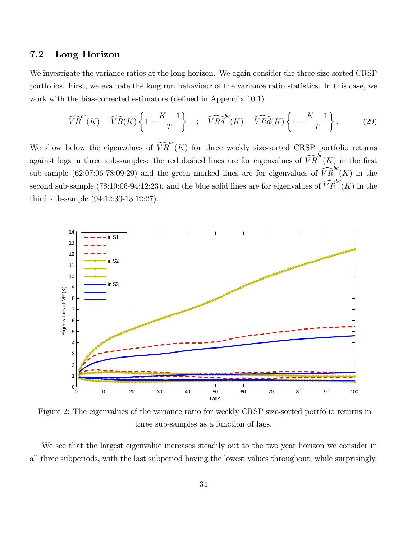#### 7.2 Long Horizon

We investigate the variance ratios at the long horizon. We again consider the three size-sorted CRSP portfolios. First, we evaluate the long run behaviour of the variance ratio statistics. In this case, we work with the bias-corrected estimators (defined in Appendix 10.1)

$$
\widehat{VR}^{bc}(K) = \widehat{VR}(K) \left\{ 1 + \frac{K-1}{T} \right\} \quad ; \quad \widehat{VRd}^{bc}(K) = \widehat{VRd}(K) \left\{ 1 + \frac{K-1}{T} \right\}.
$$
 (29)

We show below the eigenvalues of  $\widehat{VR}^{bc}(K)$  for three weekly size-sorted CRSP portfolio returns against lags in three sub-samples: the red dashed lines are for eigenvalues of  $\widehat{VR}^{bc}(K)$  in the first sub-sample (62:07:06-78:09:29) and the green marked lines are for eigenvalues of  $\widehat{VR}^{bc}(K)$  in the second sub-sample (78:10:06-94:12:23), and the blue solid lines are for eigenvalues of  $\widehat{VR}^{bc}(K)$  in the third sub-sample (94:12:30-13:12:27).



Figure 2: The eigenvalues of the variance ratio for weekly CRSP size-sorted portfolio returns in three sub-samples as a function of lags.

We see that the largest eigenvalue increases steadily out to the two year horizon we consider in all three subperiods, with the last subperiod having the lowest values throughout, while surprisingly,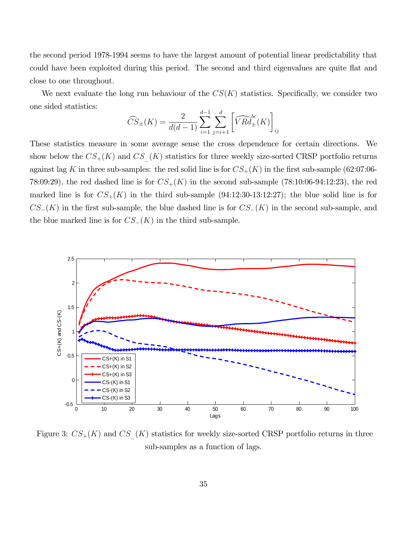the second period 1978-1994 seems to have the largest amount of potential linear predictability that could have been exploited during this period. The second and third eigenvalues are quite flat and close to one throughout.

We next evaluate the long run behaviour of the  $CS(K)$  statistics. Specifically, we consider two one sided statistics:

$$
\widehat{CS}_{\pm}(K) = \frac{2}{d(d-1)} \sum_{i=1}^{d-1} \sum_{j=i+1}^{d} \left[ \widehat{V R d_{\pm}}^{bc}(K) \right]_{ij}
$$

These statistics measure in some average sense the cross dependence for certain directions. We show below the  $CS_+(K)$  and  $CS(K)$  statistics for three weekly size-sorted CRSP portfolio returns against lag K in three sub-samples: the red solid line is for  $CS_{+}(K)$  in the first sub-sample (62:07:06-78:09:29), the red dashed line is for  $CS_{+}(K)$  in the second sub-sample (78:10:06-94:12:23), the red marked line is for  $CS_+(K)$  in the third sub-sample (94:12:30-13:12:27); the blue solid line is for  $CS_{-}(K)$  in the first sub-sample, the blue dashed line is for  $CS_{-}(K)$  in the second sub-sample, and the blue marked line is for  $CS_{-}(K)$  in the third sub-sample.



Figure 3:  $CS_{+}(K)$  and  $CS_{-}(K)$  statistics for weekly size-sorted CRSP portfolio returns in three sub-samples as a function of lags.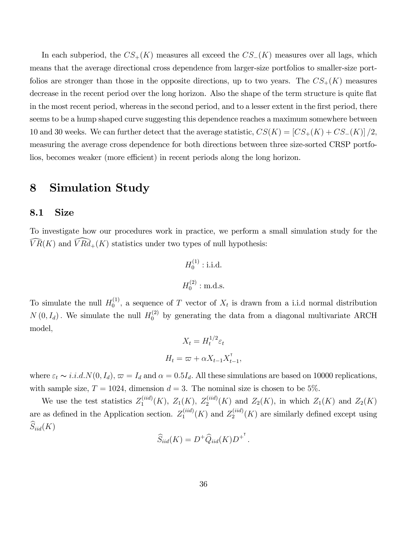In each subperiod, the  $CS_{+}(K)$  measures all exceed the  $CS_{-}(K)$  measures over all lags, which means that the average directional cross dependence from larger-size portfolios to smaller-size portfolios are stronger than those in the opposite directions, up to two years. The  $CS_{+}(K)$  measures decrease in the recent period over the long horizon. Also the shape of the term structure is quite flat in the most recent period, whereas in the second period, and to a lesser extent in the Örst period, there seems to be a hump shaped curve suggesting this dependence reaches a maximum somewhere between 10 and 30 weeks. We can further detect that the average statistic,  $CS(K) = [CS_+(K) + CS_-(K)]/2$ , measuring the average cross dependence for both directions between three size-sorted CRSP portfolios, becomes weaker (more efficient) in recent periods along the long horizon.

## 8 Simulation Study

#### 8.1 Size

To investigate how our procedures work in practice, we perform a small simulation study for the  $\widehat{VR}(K)$  and  $\widehat{VRd}_{+}(K)$  statistics under two types of null hypothesis:

$$
H_0^{(1)}: i.i.d.
$$
  

$$
H_0^{(2)}: \text{m.d.s.}
$$

To simulate the null  $H_0^{(1)}$  $\mathcal{O}_0^{(1)}$ , a sequence of T vector of  $X_t$  is drawn from a i.i.d normal distribution  $N(0, I_d)$ . We simulate the null  $H_0^{(2)}$  by generating the data from a diagonal multivariate ARCH model;

$$
X_t = H_t^{1/2} \varepsilon_t
$$

$$
H_t = \varpi + \alpha X_{t-1} X_{t-1}^{\mathsf{T}}
$$

;

where  $\varepsilon_t \sim i.i.d. N(0, I_d)$ ,  $\varpi = I_d$  and  $\alpha = 0.5I_d$ . All these simulations are based on 10000 replications, with sample size,  $T = 1024$ , dimension  $d = 3$ . The nominal size is chosen to be 5%.

We use the test statistics  $Z_1^{(iid)}$  $Z_1^{(iid)}(K)$ ,  $Z_1(K)$ ,  $Z_2^{(iid)}(K)$  and  $Z_2(K)$ , in which  $Z_1(K)$  and  $Z_2(K)$ are as defined in the Application section.  $Z_1^{(iid)}$  $I_1^{(iid)}(K)$  and  $Z_2^{(iid)}$  $2^{(ua)}(K)$  are similarly defined except using  $\widehat{S}_{iid}(K)$ 

$$
\widehat{S}_{iid}(K) = D^+ \widehat{Q}_{iid}(K) D^{+^{\mathsf{T}}}.
$$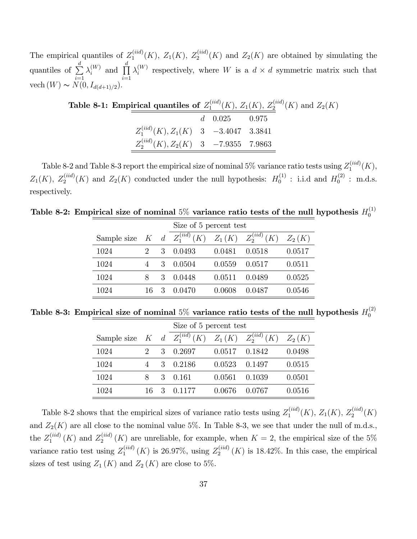The empirical quantiles of  $Z_1^{(iid)}$  $I_1^{(iid)}(K)$ ,  $Z_1(K)$ ,  $Z_2^{(iid)}(K)$  and  $Z_2(K)$  are obtained by simulating the quantiles of  $\sum_{n=1}^{d}$  $i=1$  $\lambda_i^{(W)}$  $\prod_{i}^{(W)}$  and  $\prod_{i}^{d}$  $i=1$  $\lambda_i^{(W)}$  $i^{(W)}$  respectively, where W is a  $d \times d$  symmetric matrix such that vech  $(W) \sim N(0, I_{d(d+1)/2}).$ 

| Table 8-1: Empirical quantiles of $Z_1^{(iid)}(K)$ , $Z_1(K)$ , $Z_2^{(iid)}(K)$ and $Z_2(K)$ |                   |  |  |
|-----------------------------------------------------------------------------------------------|-------------------|--|--|
|                                                                                               | $d = 0.025$ 0.975 |  |  |
| $Z_1^{(iid)}(K), Z_1(K)$ 3 -3.4047 3.3841                                                     |                   |  |  |
| $Z_2^{(iid)}(K), Z_2(K)$ 3 -7.9355 7.9863                                                     |                   |  |  |

Table 8-2 and Table 8-3 report the empirical size of nominal 5% variance ratio tests using  $Z_1^{(iid)}$  $1^{(ia)}(K),$  $Z_1(K)$ ,  $Z_2^{(iid)}(K)$  and  $Z_2(K)$  conducted under the null hypothesis:  $H_0^{(1)}$  $I_0^{(1)}$  : i.i.d and  $H_0^{(2)}$  $_0^{(2)}$  : m.d.s. respectively.

Table 8-2: Empirical size of nominal  $5\%$  variance ratio tests of the null hypothesis  $H_0^{(1)}$ 0

|                      |    |   | Size of 5 percent test                  |        |        |          |  |  |
|----------------------|----|---|-----------------------------------------|--------|--------|----------|--|--|
| Sample size $K \, d$ |    |   | $Z_1^{(iid)}(K)$ $Z_1(K)$ $Z_2^{(iid)}$ |        | (K)    | $Z_2(K)$ |  |  |
| 1024                 |    | 3 | 0.0493                                  | 0.0481 | 0.0518 | 0.0517   |  |  |
| 1024                 |    | 3 | 0.0504                                  | 0.0559 | 0.0517 | 0.0511   |  |  |
| 1024                 | 8  | 3 | 0.0448                                  | 0.0511 | 0.0489 | 0.0525   |  |  |
| 1024                 | 16 | 3 | 0.0470                                  | 0.0608 | 0.0487 | 0.0546   |  |  |

Table 8-3: Empirical size of nominal  $5\%$  variance ratio tests of the null hypothesis  $H_0^{(2)}$ 0

|                                                              |          |   | Size of 5 percent test |        |        |          |  |  |
|--------------------------------------------------------------|----------|---|------------------------|--------|--------|----------|--|--|
| Sample size $K$ d $Z_1^{(iid)}(K)$ $Z_1(K)$ $Z_2^{(iid)}(K)$ |          |   |                        |        |        | $Z_2(K)$ |  |  |
| 1024                                                         |          | 3 | 0.2697                 | 0.0517 | 0.1842 | 0.0498   |  |  |
| 1024                                                         |          | 3 | 0.2186                 | 0.0523 | 0.1497 | 0.0515   |  |  |
| 1024                                                         | $\aleph$ | 3 | 0.161                  | 0.0561 | 0.1039 | 0.0501   |  |  |
| 1024                                                         | 16       | 3 | 0.1177                 | 0.0676 | 0 0767 | 0.0516   |  |  |

Table 8-2 shows that the empirical sizes of variance ratio tests using  $Z_1^{(iid)}$  $Z_1^{(iid)}(K), Z_1(K), Z_2^{(iid)}(K)$ and  $Z_2(K)$  are all close to the nominal value 5%. In Table 8-3, we see that under the null of m.d.s., the  $Z_1^{(iid)}$  $I_1^{(iid)}(K)$  and  $Z_2^{(iid)}$  $\chi_2^{(ua)}(K)$  are unreliable, for example, when  $K=2$ , the empirical size of the 5% variance ratio test using  $Z_1^{(iid)}$  $I_1^{(iid)}(K)$  is 26.97%, using  $Z_2^{(iid)}$  $2^{(ua)}_2(K)$  is 18.42%. In this case, the empirical sizes of test using  $Z_1(K)$  and  $Z_2(K)$  are close to 5%.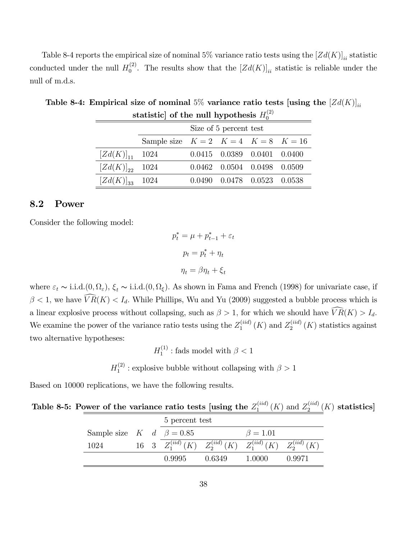Table 8-4 reports the empirical size of nominal 5% variance ratio tests using the  $[Zd(K)]_{ii}$  statistic conducted under the null  $H_0^{(2)}$  $\binom{[2]}{0}$ . The results show that the  $[Zd(K)]_{ii}$  statistic is reliable under the null of m.d.s.

| statistic of the fight hypothesis $H_0$ |                                              |  |  |                                     |  |  |  |
|-----------------------------------------|----------------------------------------------|--|--|-------------------------------------|--|--|--|
|                                         | Size of 5 percent test                       |  |  |                                     |  |  |  |
|                                         | Sample size $K = 2$ $K = 4$ $K = 8$ $K = 16$ |  |  |                                     |  |  |  |
| $[Zd(K)]_{11}$ 1024                     |                                              |  |  | $0.0415$ $0.0389$ $0.0401$ $0.0400$ |  |  |  |
| $[Zd(K)]_{22}$ 1024                     |                                              |  |  | $0.0462$ $0.0504$ $0.0498$ $0.0509$ |  |  |  |
| $[Zd(K)]_{33}$ 1024                     |                                              |  |  | $0.0490$ $0.0478$ $0.0523$ $0.0538$ |  |  |  |

Table 8-4: Empirical size of nominal 5% variance ratio tests [using the  $[Zd(K)]_{ii}$ ] statistic] of the null hypothesis  $H_0^{(2)}$ 

#### 8.2 Power

Consider the following model:

$$
p_t^* = \mu + p_{t-1}^* + \varepsilon_t
$$

$$
p_t = p_t^* + \eta_t
$$

$$
\eta_t = \beta \eta_t + \xi_t
$$

where  $\varepsilon_t \sim i.i.d. (0, \Omega_{\varepsilon}), \xi_t \sim i.i.d. (0, \Omega_{\xi}).$  As shown in Fama and French (1998) for univariate case, if  $\beta$  < 1, we have  $\widehat{VR}(K) < I_d$ . While Phillips, Wu and Yu (2009) suggested a bubble process which is a linear explosive process without collapsing, such as  $\beta > 1$ , for which we should have  $\widehat{VR}(K) > I_d$ . We examine the power of the variance ratio tests using the  $Z_1^{(iid)}$  $I_1^{(iid)}(K)$  and  $Z_2^{(iid)}$  $2^{(ua)}$   $(K)$  statistics against two alternative hypotheses:

> $H_1^{(1)}$  $j_1^{(1)}$ : fads model with  $\beta < 1$

 $H_1^{(2)}$  $_1^{(2)}$ : explosive bubble without collapsing with  $\beta > 1$ 

Based on 10000 replications, we have the following results.

| Table 8-5: Power of the variance ratio tests [using the $Z_1^{(iid)}(K)$ and $Z_2^{(iid)}(K)$ statistics] |  |  |  |
|-----------------------------------------------------------------------------------------------------------|--|--|--|
|-----------------------------------------------------------------------------------------------------------|--|--|--|

|                                      |  | 5 percent test                                                           |        |                |        |  |
|--------------------------------------|--|--------------------------------------------------------------------------|--------|----------------|--------|--|
| Sample size $K \, d \, \beta = 0.85$ |  |                                                                          |        | $\beta = 1.01$ |        |  |
| 1024                                 |  | 16 3 $Z_1^{(iid)}(K)$ $Z_2^{(iid)}(K)$ $Z_1^{(iid)}(K)$ $Z_2^{(iid)}(K)$ |        |                |        |  |
|                                      |  | 0.9995                                                                   | 0.6349 | 1.0000         | 0.9971 |  |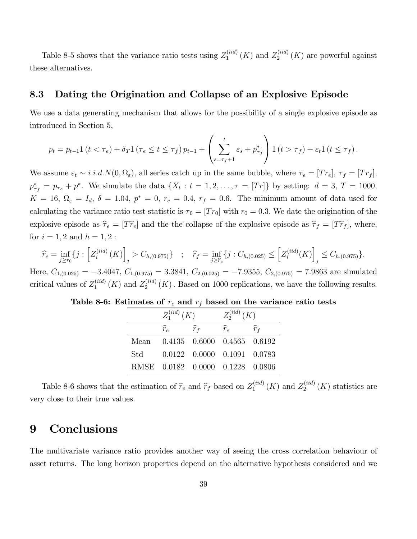Table 8-5 shows that the variance ratio tests using  $Z_1^{(iid)}$  $I_1^{(iid)}(K)$  and  $Z_2^{(iid)}$  $2^{(ua)}(K)$  are powerful against these alternatives.

#### 8.3 Dating the Origination and Collapse of an Explosive Episode

We use a data generating mechanism that allows for the possibility of a single explosive episode as introduced in Section 5,

$$
p_{t} = p_{t-1} 1 (t < \tau_e) + \delta_T 1 (\tau_e \le t \le \tau_f) p_{t-1} + \left( \sum_{s=\tau_f+1}^{t} \varepsilon_s + p_{\tau_f}^* \right) 1 (t > \tau_f) + \varepsilon_t 1 (t \le \tau_f).
$$

We assume  $\varepsilon_t \sim i.i.d.N(0, \Omega_{\varepsilon})$ , all series catch up in the same bubble, where  $\tau_e = [Tr_e], \tau_f = [Tr_f],$  $p_{\tau_f}^* = p_{\tau_e} + p^*$ . We simulate the data  $\{X_t : t = 1, 2, ..., \tau = [Tr]\}$  by setting:  $d = 3, T = 1000$ ,  $K = 16$ ,  $\Omega_{\varepsilon} = I_d$ ,  $\delta = 1.04$ ,  $p^* = 0$ ,  $r_e = 0.4$ ,  $r_f = 0.6$ . The minimum amount of data used for calculating the variance ratio test statistic is  $\tau_0 = [T r_0]$  with  $r_0 = 0.3$ . We date the origination of the explosive episode as  $\hat{\tau}_e = [T\hat{r}_e]$  and the the collapse of the explosive episode as  $\hat{\tau}_f = [T\hat{r}_f]$ , where, for  $i = 1, 2$  and  $h = 1, 2$ :

$$
\widehat{r}_e = \inf_{j \ge r_0} \{ j : \left[ Z_i^{(iid)}(K) \right]_j > C_{h,(0.975)} \} \quad ; \quad \widehat{r}_f = \inf_{j \ge \widehat{r}_e} \{ j : C_{h,(0.025)} \le \left[ Z_i^{(iid)}(K) \right]_j \le C_{h,(0.975)} \}.
$$

Here,  $C_{1,(0.025)} = -3.4047$ ,  $C_{1,(0.975)} = 3.3841$ ,  $C_{2,(0.025)} = -7.9355$ ,  $C_{2,(0.975)} = 7.9863$  are simulated critical values of  $Z_1^{(iid)}$  $I_1^{(iid)}(K)$  and  $Z_2^{(iid)}$  $2^{(na)}_2(K)$ . Based on 1000 replications, we have the following results.

| Table 8-6: Estimates of $r_e$ and $r_f$ based on the variance ratio tests |  |  |  |  |  |  |  |  |
|---------------------------------------------------------------------------|--|--|--|--|--|--|--|--|
|---------------------------------------------------------------------------|--|--|--|--|--|--|--|--|

|      | $Z_1^{(iid)}(K)$ |                                     | $Z_2^{(iid)}(K)$ |                   |  |  |
|------|------------------|-------------------------------------|------------------|-------------------|--|--|
|      | $\widehat{r}_e$  | $\widehat{r}_{f}$                   | $\widehat{r}_e$  | $\widehat{r}_{f}$ |  |  |
| Mean |                  | 0.4135 0.6000 0.4565 0.6192         |                  |                   |  |  |
| Std  |                  | $0.0122$ $0.0000$ $0.1091$ $0.0783$ |                  |                   |  |  |
|      |                  | RMSE 0.0182 0.0000 0.1228 0.0806    |                  |                   |  |  |

Table 8-6 shows that the estimation of  $\hat{r}_e$  and  $\hat{r}_f$  based on  $Z_1^{(iid)}$  $I_1^{(iid)}(K)$  and  $Z_2^{(iid)}$  $2^{(ua)}$   $(K)$  statistics are very close to their true values.

## 9 Conclusions

The multivariate variance ratio provides another way of seeing the cross correlation behaviour of asset returns. The long horizon properties depend on the alternative hypothesis considered and we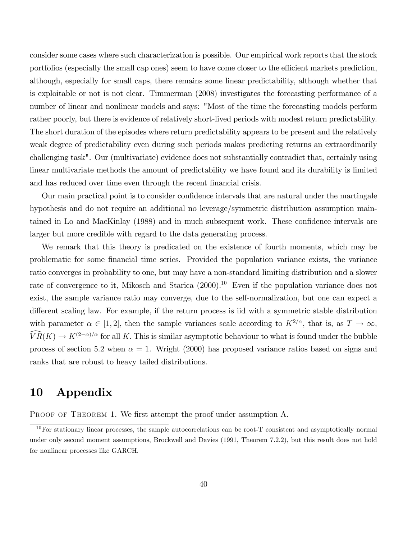consider some cases where such characterization is possible. Our empirical work reports that the stock portfolios (especially the small cap ones) seem to have come closer to the efficient markets prediction, although, especially for small caps, there remains some linear predictability, although whether that is exploitable or not is not clear. Timmerman (2008) investigates the forecasting performance of a number of linear and nonlinear models and says: "Most of the time the forecasting models perform rather poorly, but there is evidence of relatively short-lived periods with modest return predictability. The short duration of the episodes where return predictability appears to be present and the relatively weak degree of predictability even during such periods makes predicting returns an extraordinarily challenging task". Our (multivariate) evidence does not substantially contradict that, certainly using linear multivariate methods the amount of predictability we have found and its durability is limited and has reduced over time even through the recent financial crisis.

Our main practical point is to consider confidence intervals that are natural under the martingale hypothesis and do not require an additional no leverage/symmetric distribution assumption maintained in Lo and MacKinlay (1988) and in much subsequent work. These confidence intervals are larger but more credible with regard to the data generating process.

We remark that this theory is predicated on the existence of fourth moments, which may be problematic for some financial time series. Provided the population variance exists, the variance ratio converges in probability to one, but may have a non-standard limiting distribution and a slower rate of convergence to it, Mikosch and Starica  $(2000)^{10}$  Even if the population variance does not exist, the sample variance ratio may converge, due to the self-normalization, but one can expect a different scaling law. For example, if the return process is iid with a symmetric stable distribution with parameter  $\alpha \in [1, 2]$ , then the sample variances scale according to  $K^{2/\alpha}$ , that is, as  $T \to \infty$ ,  $\widehat{VR}(K) \to K^{(2-\alpha)/\alpha}$  for all K. This is similar asymptotic behaviour to what is found under the bubble process of section 5.2 when  $\alpha = 1$ . Wright (2000) has proposed variance ratios based on signs and ranks that are robust to heavy tailed distributions.

## 10 Appendix

PROOF OF THEOREM 1. We first attempt the proof under assumption A.

 $10$ For stationary linear processes, the sample autocorrelations can be root-T consistent and asymptotically normal under only second moment assumptions, Brockwell and Davies (1991, Theorem 7.2.2), but this result does not hold for nonlinear processes like GARCH.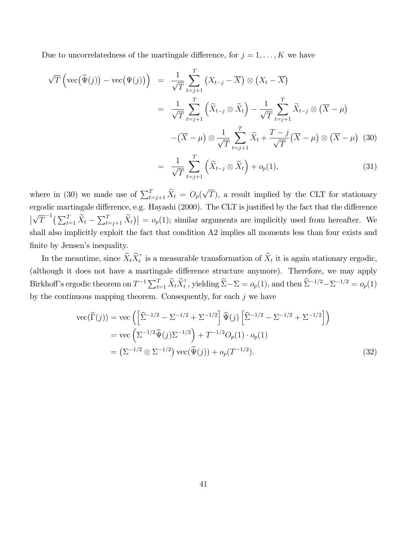Due to uncorrelatedness of the martingale difference, for  $j = 1, \ldots, K$  we have

$$
\sqrt{T}\left(\text{vec}(\widehat{\Psi}(j)) - \text{vec}(\Psi(j))\right) = \frac{1}{\sqrt{T}} \sum_{t=j+1}^{T} \left(X_{t-j} - \overline{X}\right) \otimes \left(X_{t} - \overline{X}\right)
$$

$$
= \frac{1}{\sqrt{T}} \sum_{t=j+1}^{T} \left(\widetilde{X}_{t-j} \otimes \widetilde{X}_{t}\right) - \frac{1}{\sqrt{T}} \sum_{t=j+1}^{T} \widetilde{X}_{t-j} \otimes \left(\overline{X} - \mu\right)
$$

$$
- \left(\overline{X} - \mu\right) \otimes \frac{1}{\sqrt{T}} \sum_{t=j+1}^{T} \widetilde{X}_{t} + \frac{T-j}{\sqrt{T}} \left(\overline{X} - \mu\right) \otimes \left(\overline{X} - \mu\right) \tag{30}
$$

$$
= \frac{1}{\sqrt{T}} \sum_{t=j+1}^{T} \left(\widetilde{X}_{t-j} \otimes \widetilde{X}_{t}\right) + o_{p}(1), \tag{31}
$$

where in (30) we made use of  $\sum_{t=j+1}^{T} \tilde{X}_t = O_p(\sqrt{T})$ , a result implied by the CLT for stationary ergodic martingale difference, e.g. Hayashi (2000). The CLT is justified by the fact that the difference  $\bigg\vert$  $\sqrt{T}^{-1} \left( \sum_{t=1}^T \widetilde{X}_t - \sum_{t=j+1}^T \widetilde{X}_t \right) \Big| = o_p(1)$ ; similar arguments are implicitly used from hereafter. We shall also implicitly exploit the fact that condition A2 implies all moments less than four exists and finite by Jensen's inequality.

In the meantime, since  $\widetilde{X}_t \widetilde{X}_t^{\intercal}$  $t_t$  is a measurable transformation of  $X_t$  it is again stationary ergodic, (although it does not have a martingale difference structure anymore). Therefore, we may apply Birkhoff's ergodic theorem on  $T^{-1} \sum_{t=1}^T \widetilde{X}_t \widetilde{X}_t^{\intercal}$ <sup>t</sup>, yielding  $\hat{\Sigma} - \Sigma = o_p(1)$ , and then  $\hat{\Sigma}^{-1/2} - \Sigma^{-1/2} = o_p(1)$ by the continuous mapping theorem. Consequently, for each  $j$  we have

vec
$$
(\widehat{\Gamma}(j))
$$
 = vec  $(\left[\widehat{\Sigma}^{-1/2} - \Sigma^{-1/2} + \Sigma^{-1/2}\right] \widehat{\Psi}(j) \left[\widehat{\Sigma}^{-1/2} - \Sigma^{-1/2} + \Sigma^{-1/2}\right])$   
\n= vec  $(\Sigma^{-1/2} \widehat{\Psi}(j) \Sigma^{-1/2}) + T^{-1/2} O_p(1) \cdot o_p(1)$   
\n=  $(\Sigma^{-1/2} \otimes \Sigma^{-1/2}) \operatorname{vec}(\widehat{\Psi}(j)) + o_p(T^{-1/2}).$  (32)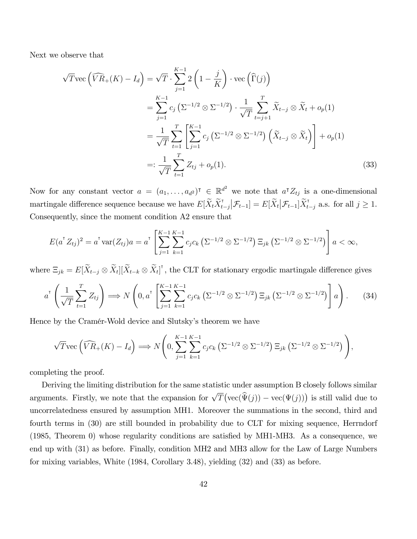Next we observe that

$$
\sqrt{T} \text{vec} \left( \widehat{VR}_{+}(K) - I_{d} \right) = \sqrt{T} \cdot \sum_{j=1}^{K-1} 2 \left( 1 - \frac{j}{K} \right) \cdot \text{vec} \left( \widehat{\Gamma}(j) \right)
$$
  
\n
$$
= \sum_{j=1}^{K-1} c_{j} \left( \Sigma^{-1/2} \otimes \Sigma^{-1/2} \right) \cdot \frac{1}{\sqrt{T}} \sum_{t=j+1}^{T} \widetilde{X}_{t-j} \otimes \widetilde{X}_{t} + o_{p}(1)
$$
  
\n
$$
= \frac{1}{\sqrt{T}} \sum_{t=1}^{T} \left[ \sum_{j=1}^{K-1} c_{j} \left( \Sigma^{-1/2} \otimes \Sigma^{-1/2} \right) \left( \widetilde{X}_{t-j} \otimes \widetilde{X}_{t} \right) \right] + o_{p}(1)
$$
  
\n
$$
=: \frac{1}{\sqrt{T}} \sum_{t=1}^{T} Z_{tj} + o_{p}(1).
$$
 (33)

Now for any constant vector  $a = (a_1, \ldots, a_{d^2})^T \in \mathbb{R}^{d^2}$  we note that  $a^T Z_{tj}$  is a one-dimensional martingale difference sequence because we have  $E[\tilde{X}_t \tilde{X}_t^{\dagger}]$  $t-j$  $\left|\mathcal{F}_{t-1}\right] = E[\widetilde{X}_t | \mathcal{F}_{t-1}] \widetilde{X}_{t-j}^{\intercal}$  a.s. for all  $j \geq 1$ . Consequently, since the moment condition A2 ensure that

$$
E(a^{\mathsf{T}} Z_{tj})^2 = a^{\mathsf{T}} \text{var}(Z_{tj}) a = a^{\mathsf{T}} \left[ \sum_{j=1}^{K-1} \sum_{k=1}^{K-1} c_j c_k \left( \Sigma^{-1/2} \otimes \Sigma^{-1/2} \right) \Xi_{jk} \left( \Sigma^{-1/2} \otimes \Sigma^{-1/2} \right) \right] a < \infty,
$$

where  $\Xi_{jk} = E[\widetilde{X}_{t-j} \otimes \widetilde{X}_t][\widetilde{X}_{t-k} \otimes \widetilde{X}_t]^{\dagger}$ , the CLT for stationary ergodic martingale difference gives

$$
a^{T} \left( \frac{1}{\sqrt{T}} \sum_{t=1}^{T} Z_{tj} \right) \Longrightarrow N \left( 0, a^{T} \left[ \sum_{j=1}^{K-1} \sum_{k=1}^{K-1} c_{j} c_{k} \left( \Sigma^{-1/2} \otimes \Sigma^{-1/2} \right) \Xi_{jk} \left( \Sigma^{-1/2} \otimes \Sigma^{-1/2} \right) \right] a \right). \tag{34}
$$

Hence by the Cramér-Wold device and Slutsky's theorem we have

$$
\sqrt{T} \text{vec}\left(\widehat{VR}_+(K) - I_d\right) \Longrightarrow N\left(0, \sum_{j=1}^{K-1} \sum_{k=1}^{K-1} c_j c_k \left(\Sigma^{-1/2} \otimes \Sigma^{-1/2}\right) \Xi_{jk} \left(\Sigma^{-1/2} \otimes \Sigma^{-1/2}\right)\right),
$$

completing the proof.

Deriving the limiting distribution for the same statistic under assumption B closely follows similar arguments. Firstly, we note that the expansion for  $\sqrt{T}(\text{vec}(\hat{\Psi}(j)) - \text{vec}(\Psi(j)))$  is still valid due to uncorrelatedness ensured by assumption MH1. Moreover the summations in the second, third and fourth terms in (30) are still bounded in probability due to CLT for mixing sequence, Herrndorf  $(1985,$  Theorem 0) whose regularity conditions are satisfied by MH1-MH3. As a consequence, we end up with (31) as before. Finally, condition MH2 and MH3 allow for the Law of Large Numbers for mixing variables, White (1984, Corollary 3.48), yielding (32) and (33) as before.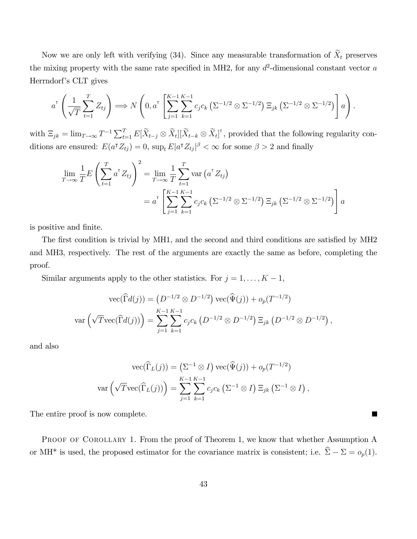Now we are only left with verifying (34). Since any measurable transformation of  $\tilde{X}_t$  preserves the mixing property with the same rate specified in MH2, for any  $d^2$ -dimensional constant vector a Herrndorf's CLT gives

$$
a^{\mathsf{T}}\left(\frac{1}{\sqrt{T}}\sum_{t=1}^T Z_{tj}\right) \Longrightarrow N\left(0, a^{\mathsf{T}}\left[\sum_{j=1}^{K-1}\sum_{k=1}^{K-1} c_j c_k \left(\Sigma^{-1/2} \otimes \Sigma^{-1/2}\right) \Xi_{jk} \left(\Sigma^{-1/2} \otimes \Sigma^{-1/2}\right)\right] a\right).
$$

with  $\Xi_{jk} = \lim_{T \to \infty} T^{-1} \sum_{t=1}^T E[\widetilde{X}_{t-j} \otimes \widetilde{X}_t][\widetilde{X}_{t-k} \otimes \widetilde{X}_t]^{\dagger}$ , provided that the following regularity conditions are ensured:  $E(a^{\dagger} Z_{tj}) = 0$ ,  $\sup_t E|a^{\dagger} Z_{tj}|^{\beta} < \infty$  for some  $\beta > 2$  and finally

$$
\lim_{T \to \infty} \frac{1}{T} E\left(\sum_{t=1}^{T} a^{T} Z_{tj}\right)^{2} = \lim_{T \to \infty} \frac{1}{T} \sum_{t=1}^{T} \text{var}\left(a^{T} Z_{tj}\right)
$$
\n
$$
= a^{T} \left[\sum_{j=1}^{K-1} \sum_{k=1}^{K-1} c_{j} c_{k} \left(\Sigma^{-1/2} \otimes \Sigma^{-1/2}\right) \Xi_{jk} \left(\Sigma^{-1/2} \otimes \Sigma^{-1/2}\right)\right] a
$$

is positive and finite.

The first condition is trivial by MH1, and the second and third conditions are satisfied by MH2 and MH3, respectively. The rest of the arguments are exactly the same as before, completing the proof.

Similar arguments apply to the other statistics. For  $j = 1, \ldots, K - 1$ ,

$$
\text{vec}(\widehat{\Gamma}d(j)) = (D^{-1/2} \otimes D^{-1/2}) \text{vec}(\widehat{\Psi}(j)) + o_p(T^{-1/2})
$$

$$
\text{var}\left(\sqrt{T}\text{vec}(\widehat{\Gamma}d(j))\right) = \sum_{j=1}^{K-1} \sum_{k=1}^{K-1} c_j c_k \left(D^{-1/2} \otimes D^{-1/2}\right) \Xi_{jk} \left(D^{-1/2} \otimes D^{-1/2}\right),
$$

and also

$$
\operatorname{vec}(\widehat{\Gamma}_L(j)) = (\Sigma^{-1} \otimes I) \operatorname{vec}(\widehat{\Psi}(j)) + o_p(T^{-1/2})
$$

$$
\operatorname{var}(\sqrt{T}\operatorname{vec}(\widehat{\Gamma}_L(j))) = \sum_{j=1}^{K-1} \sum_{k=1}^{K-1} c_j c_k (\Sigma^{-1} \otimes I) \Xi_{jk} (\Sigma^{-1} \otimes I),
$$

П

The entire proof is now complete.

PROOF OF COROLLARY 1. From the proof of Theorem 1, we know that whether Assumption A or MH<sup>\*</sup> is used, the proposed estimator for the covariance matrix is consistent; i.e.  $\hat{\Sigma} - \Sigma = o_p(1)$ .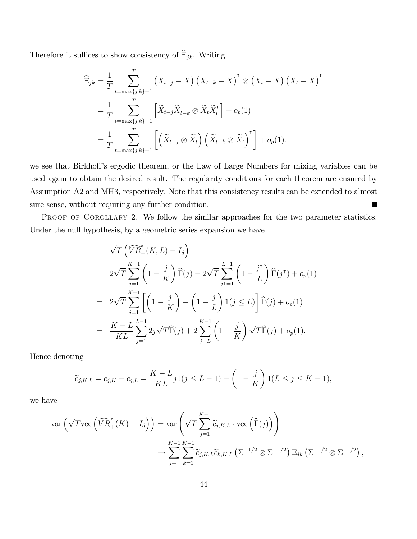Therefore it suffices to show consistency of  $\widehat{\Xi}_{jk}.$  Writing

$$
\widehat{\Xi}_{jk} = \frac{1}{T} \sum_{t=\max\{j,k\}+1}^{T} \left( X_{t-j} - \overline{X} \right) \left( X_{t-k} - \overline{X} \right)^{\mathsf{T}} \otimes \left( X_t - \overline{X} \right) \left( X_t - \overline{X} \right)^{\mathsf{T}}
$$
\n
$$
= \frac{1}{T} \sum_{t=\max\{j,k\}+1}^{T} \left[ \widetilde{X}_{t-j} \widetilde{X}_{t-k}^{\mathsf{T}} \otimes \widetilde{X}_t \widetilde{X}_t^{\mathsf{T}} \right] + o_p(1)
$$
\n
$$
= \frac{1}{T} \sum_{t=\max\{j,k\}+1}^{T} \left[ \left( \widetilde{X}_{t-j} \otimes \widetilde{X}_t \right) \left( \widetilde{X}_{t-k} \otimes \widetilde{X}_t \right)^{\mathsf{T}} \right] + o_p(1).
$$

we see that Birkhoff's ergodic theorem, or the Law of Large Numbers for mixing variables can be used again to obtain the desired result. The regularity conditions for each theorem are ensured by Assumption A2 and MH3, respectively. Note that this consistency results can be extended to almost sure sense, without requiring any further condition. ٦

PROOF OF COROLLARY 2. We follow the similar approaches for the two parameter statistics. Under the null hypothesis, by a geometric series expansion we have

$$
\sqrt{T} \left( \widehat{VR}_+^*(K, L) - I_d \right)
$$
  
=  $2\sqrt{T} \sum_{j=1}^{K-1} \left( 1 - \frac{j}{K} \right) \widehat{\Gamma}(j) - 2\sqrt{T} \sum_{j=1}^{L-1} \left( 1 - \frac{j}{L} \right) \widehat{\Gamma}(j^{\mathsf{T}}) + o_p(1)$   
=  $2\sqrt{T} \sum_{j=1}^{K-1} \left[ \left( 1 - \frac{j}{K} \right) - \left( 1 - \frac{j}{L} \right) 1(j \le L) \right] \widehat{\Gamma}(j) + o_p(1)$   
=  $\frac{K - L}{KL} \sum_{j=1}^{L-1} 2j\sqrt{T} \widehat{\Gamma}(j) + 2 \sum_{j=L}^{K-1} \left( 1 - \frac{j}{K} \right) \sqrt{T} \widehat{\Gamma}(j) + o_p(1).$ 

Hence denoting

$$
\widetilde{c}_{j,K,L} = c_{j,K} - c_{j,L} = \frac{K - L}{KL} j1(j \le L - 1) + \left(1 - \frac{j}{K}\right)1(L \le j \le K - 1),
$$

we have

$$
\operatorname{var}\left(\sqrt{T}\operatorname{vec}\left(\widehat{VR}_{+}^{*}(K)-I_{d}\right)\right)=\operatorname{var}\left(\sqrt{T}\sum_{j=1}^{K-1}\widetilde{c}_{j,K,L}\cdot\operatorname{vec}\left(\widehat{\Gamma}(j)\right)\right)
$$

$$
\rightarrow\sum_{j=1}^{K-1}\sum_{k=1}^{K-1}\widetilde{c}_{j,K,L}\widetilde{c}_{k,K,L}\left(\Sigma^{-1/2}\otimes\Sigma^{-1/2}\right)\Xi_{jk}\left(\Sigma^{-1/2}\otimes\Sigma^{-1/2}\right),
$$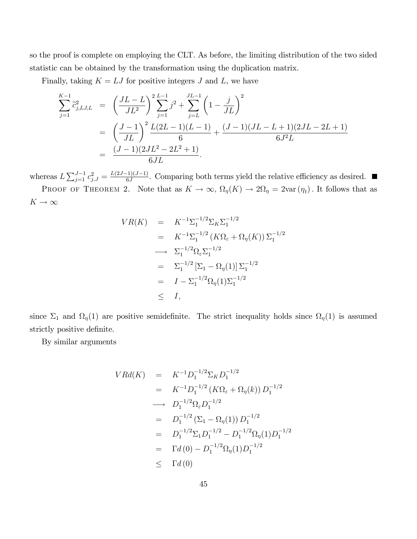so the proof is complete on employing the CLT. As before, the limiting distribution of the two sided statistic can be obtained by the transformation using the duplication matrix.

Finally, taking  $K = LJ$  for positive integers J and L, we have

$$
\sum_{j=1}^{K-1} \tilde{c}_{j,LJ,L}^2 = \left(\frac{JL-L}{JL^2}\right)^2 \sum_{j=1}^{L-1} j^2 + \sum_{j=L}^{JL-1} \left(1 - \frac{j}{JL}\right)^2
$$
  
= 
$$
\left(\frac{J-1}{JL}\right)^2 \frac{L(2L-1)(L-1)}{6} + \frac{(J-1)(JL-L+1)(2JL-2L+1)}{6J^2L}
$$
  
= 
$$
\frac{(J-1)(2JL^2 - 2L^2 + 1)}{6JL}.
$$

whereas  $L\sum_{j=1}^{J-1}c_{j,J}^2=\frac{L(2J-1)(J-1)}{6J}$ . Comparing both terms yield the relative efficiency as desired.

PROOF OF THEOREM 2. Note that as  $K \to \infty$ ,  $\Omega_{\eta}(K) \to 2\Omega_{\eta} = 2\text{var}(\eta_t)$ . It follows that as  $K \rightarrow \infty$ 

$$
VR(K) = K^{-1} \Sigma_1^{-1/2} \Sigma_K \Sigma_1^{-1/2}
$$
  
=  $K^{-1} \Sigma_1^{-1/2} (K \Omega_{\varepsilon} + \Omega_{\eta}(K)) \Sigma_1^{-1/2}$   
 $\longrightarrow \Sigma_1^{-1/2} \Omega_{\varepsilon} \Sigma_1^{-1/2}$   
=  $\Sigma_1^{-1/2} [\Sigma_1 - \Omega_{\eta}(1)] \Sigma_1^{-1/2}$   
=  $I - \Sigma_1^{-1/2} \Omega_{\eta}(1) \Sigma_1^{-1/2}$   
 $\leq I,$ 

since  $\Sigma_1$  and  $\Omega_{\eta}(1)$  are positive semidefinite. The strict inequality holds since  $\Omega_{\eta}(1)$  is assumed strictly positive definite.

By similar arguments

$$
V R d(K) = K^{-1} D_1^{-1/2} \Sigma_K D_1^{-1/2}
$$
  
=  $K^{-1} D_1^{-1/2} (K \Omega_{\varepsilon} + \Omega_{\eta}(k)) D_1^{-1/2}$   
 $\longrightarrow D_1^{-1/2} \Omega_{\varepsilon} D_1^{-1/2}$   
=  $D_1^{-1/2} (\Sigma_1 - \Omega_{\eta}(1)) D_1^{-1/2}$   
=  $D_1^{-1/2} \Sigma_1 D_1^{-1/2} - D_1^{-1/2} \Omega_{\eta}(1) D_1^{-1/2}$   
=  $\Gamma d (0) - D_1^{-1/2} \Omega_{\eta}(1) D_1^{-1/2}$   
 $\leq \Gamma d (0)$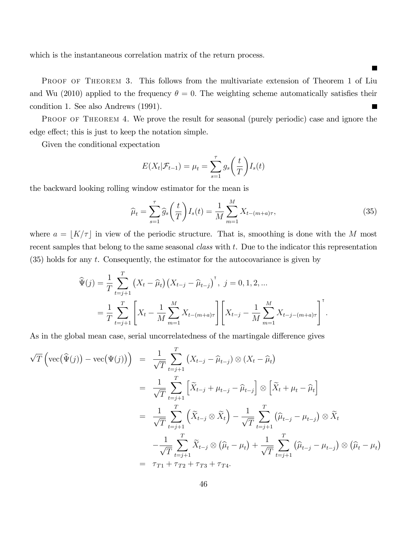which is the instantaneous correlation matrix of the return process.

PROOF OF THEOREM 3. This follows from the multivariate extension of Theorem 1 of Liu and Wu (2010) applied to the frequency  $\theta = 0$ . The weighting scheme automatically satisfies their condition 1. See also Andrews (1991). 

PROOF OF THEOREM 4. We prove the result for seasonal (purely periodic) case and ignore the edge effect; this is just to keep the notation simple.

Given the conditional expectation

$$
E(X_t|\mathcal{F}_{t-1}) = \mu_t = \sum_{s=1}^{\tau} g_s\left(\frac{t}{T}\right)I_s(t)
$$

the backward looking rolling window estimator for the mean is

$$
\widehat{\mu}_t = \sum_{s=1}^{\tau} \widehat{g}_s \left(\frac{t}{T}\right) I_s(t) = \frac{1}{M} \sum_{m=1}^{M} X_{t-(m+a)\tau},\tag{35}
$$

where  $a = \lfloor K/\tau \rfloor$  in view of the periodic structure. That is, smoothing is done with the M most recent samples that belong to the same seasonal *class* with t. Due to the indicator this representation (35) holds for any t. Consequently, the estimator for the autocovariance is given by

$$
\widehat{\Psi}(j) = \frac{1}{T} \sum_{t=j+1}^{T} \left( X_t - \widehat{\mu}_t \right) \left( X_{t-j} - \widehat{\mu}_{t-j} \right)^{\mathsf{T}}, \ j = 0, 1, 2, \dots
$$
\n
$$
= \frac{1}{T} \sum_{t=j+1}^{T} \left[ X_t - \frac{1}{M} \sum_{m=1}^{M} X_{t-(m+a)\tau} \right] \left[ X_{t-j} - \frac{1}{M} \sum_{m=1}^{M} X_{t-j-(m+a)\tau} \right]^{\mathsf{T}}.
$$

As in the global mean case, serial uncorrelatedness of the martingale difference gives

$$
\sqrt{T}\left(\text{vec}(\widehat{\Psi}(j)) - \text{vec}(\Psi(j))\right) = \frac{1}{\sqrt{T}} \sum_{t=j+1}^{T} \left(X_{t-j} - \widehat{\mu}_{t-j}\right) \otimes \left(X_{t} - \widehat{\mu}_{t}\right)
$$

$$
= \frac{1}{\sqrt{T}} \sum_{t=j+1}^{T} \left[\widetilde{X}_{t-j} + \mu_{t-j} - \widehat{\mu}_{t-j}\right] \otimes \left[\widetilde{X}_{t} + \mu_{t} - \widehat{\mu}_{t}\right]
$$

$$
= \frac{1}{\sqrt{T}} \sum_{t=j+1}^{T} \left(\widetilde{X}_{t-j} \otimes \widetilde{X}_{t}\right) - \frac{1}{\sqrt{T}} \sum_{t=j+1}^{T} \left(\widehat{\mu}_{t-j} - \mu_{t-j}\right) \otimes \widetilde{X}_{t}
$$

$$
- \frac{1}{\sqrt{T}} \sum_{t=j+1}^{T} \widetilde{X}_{t-j} \otimes \left(\widehat{\mu}_{t} - \mu_{t}\right) + \frac{1}{\sqrt{T}} \sum_{t=j+1}^{T} \left(\widehat{\mu}_{t-j} - \mu_{t-j}\right) \otimes \left(\widehat{\mu}_{t} - \mu_{t}\right)
$$

$$
= \tau_{T1} + \tau_{T2} + \tau_{T3} + \tau_{T4}.
$$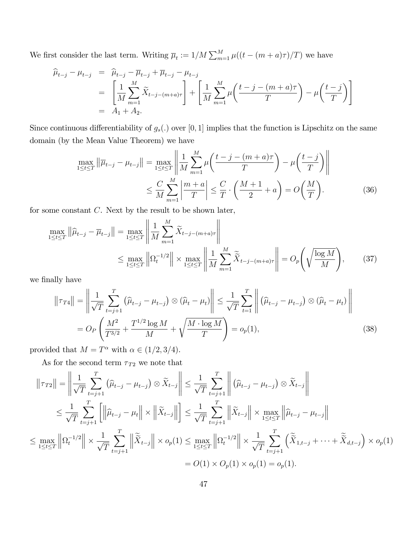We first consider the last term. Writing  $\overline{\mu}_t := 1/M \sum_{m=1}^M \mu((t - (m + a)\tau)/T)$  we have

$$
\widehat{\mu}_{t-j} - \mu_{t-j} = \widehat{\mu}_{t-j} - \overline{\mu}_{t-j} + \overline{\mu}_{t-j} - \mu_{t-j} \n= \left[ \frac{1}{M} \sum_{m=1}^{M} \widetilde{X}_{t-j-(m+a)\tau} \right] + \left[ \frac{1}{M} \sum_{m=1}^{M} \mu \left( \frac{t-j-(m+a)\tau}{T} \right) - \mu \left( \frac{t-j}{T} \right) \right] \n= A_1 + A_2.
$$

Since continuous differentiability of  $g_s(.)$  over [0, 1] implies that the function is Lipschitz on the same domain (by the Mean Value Theorem) we have

$$
\max_{1 \le t \le T} \left\| \overline{\mu}_{t-j} - \mu_{t-j} \right\| = \max_{1 \le t \le T} \left\| \frac{1}{M} \sum_{m=1}^{M} \mu \left( \frac{t-j - (m+a)\tau}{T} \right) - \mu \left( \frac{t-j}{T} \right) \right\|
$$
  

$$
\le \frac{C}{M} \sum_{m=1}^{M} \left| \frac{m+a}{T} \right| \le \frac{C}{T} \cdot \left( \frac{M+1}{2} + a \right) = O\left( \frac{M}{T} \right).
$$
 (36)

for some constant C. Next by the result to be shown later,

$$
\max_{1 \le t \le T} \left\| \widehat{\mu}_{t-j} - \overline{\mu}_{t-j} \right\| = \max_{1 \le t \le T} \left\| \frac{1}{M} \sum_{m=1}^{M} \widetilde{X}_{t-j-(m+a)\tau} \right\|
$$
  

$$
\le \max_{1 \le t \le T} \left\| \Omega_t^{-1/2} \right\| \times \max_{1 \le t \le T} \left\| \frac{1}{M} \sum_{m=1}^{M} \widetilde{\widetilde{X}}_{t-j-(m+a)\tau} \right\| = O_p\left(\sqrt{\frac{\log M}{M}}\right), \tag{37}
$$

we finally have

$$
\|\tau_{T4}\| = \left\| \frac{1}{\sqrt{T}} \sum_{t=j+1}^{T} \left( \hat{\mu}_{t-j} - \mu_{t-j} \right) \otimes \left( \hat{\mu}_t - \mu_t \right) \right\| \le \frac{1}{\sqrt{T}} \sum_{t=1}^{T} \left\| \left( \hat{\mu}_{t-j} - \mu_{t-j} \right) \otimes \left( \hat{\mu}_t - \mu_t \right) \right\|
$$
  
=  $O_P \left( \frac{M^2}{T^{3/2}} + \frac{T^{1/2} \log M}{M} + \sqrt{\frac{M \cdot \log M}{T}} \right) = o_p(1),$  (38)

provided that  $M = T^{\alpha}$  with  $\alpha \in (1/2, 3/4)$ .

As for the second term  $\tau_{T2}$  we note that

$$
\|\tau_{T2}\| = \left\|\frac{1}{\sqrt{T}}\sum_{t=j+1}^{T} (\widehat{\mu}_{t-j} - \mu_{t-j}) \otimes \widetilde{X}_{t-j}\right\| \leq \frac{1}{\sqrt{T}}\sum_{t=j+1}^{T} \left\|(\widehat{\mu}_{t-j} - \mu_{t-j}) \otimes \widetilde{X}_{t-j}\right\|
$$
  

$$
\leq \frac{1}{\sqrt{T}}\sum_{t=j+1}^{T} \left[\left\|\widehat{\mu}_{t-j} - \mu_t\right\| \times \left\|\widetilde{X}_{t-j}\right\|\right] \leq \frac{1}{\sqrt{T}}\sum_{t=j+1}^{T} \left\|\widetilde{X}_{t-j}\right\| \times \max_{1 \leq t \leq T} \left\|\widehat{\mu}_{t-j} - \mu_{t-j}\right\|
$$
  

$$
\leq \max_{1 \leq t \leq T} \left\|\Omega_t^{-1/2}\right\| \times \frac{1}{\sqrt{T}}\sum_{t=j+1}^{T} \left\|\widetilde{\widetilde{X}}_{t-j}\right\| \times o_p(1) \leq \max_{1 \leq t \leq T} \left\|\Omega_t^{-1/2}\right\| \times \frac{1}{\sqrt{T}}\sum_{t=j+1}^{T} \left(\widetilde{\widetilde{X}}_{1,t-j} + \dots + \widetilde{\widetilde{X}}_{d,t-j}\right) \times o_p(1)
$$
  

$$
= O(1) \times O_p(1) \times o_p(1) = o_p(1).
$$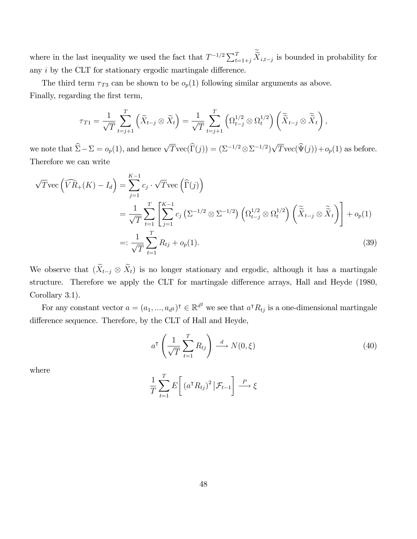where in the last inequality we used the fact that  $T^{-1/2} \sum_{t=1+j}^{T} \widetilde{X}_{i,t-j}$  is bounded in probability for any  $i$  by the CLT for stationary ergodic martingale difference.

The third term  $\tau_{T3}$  can be shown to be  $o_p(1)$  following similar arguments as above. Finally, regarding the first term,

$$
\tau_{T1} = \frac{1}{\sqrt{T}} \sum_{t=j+1}^{T} \left( \widetilde{X}_{t-j} \otimes \widetilde{X}_t \right) = \frac{1}{\sqrt{T}} \sum_{t=j+1}^{T} \left( \Omega_{t-j}^{1/2} \otimes \Omega_t^{1/2} \right) \left( \widetilde{\widetilde{X}}_{t-j} \otimes \widetilde{\widetilde{X}}_t \right),
$$

we note that  $\hat{\Sigma} - \Sigma = o_p(1)$ , and hence  $\sqrt{T}\text{vec}(\hat{\Gamma}(j)) = (\Sigma^{-1/2} \otimes \Sigma^{-1/2})\sqrt{T}\text{vec}(\hat{\Psi}(j)) + o_p(1)$  as before. Therefore we can write

$$
\sqrt{T} \text{vec} \left( \widehat{VR}_+(K) - I_d \right) = \sum_{j=1}^{K-1} c_j \cdot \sqrt{T} \text{vec} \left( \widehat{\Gamma}(j) \right)
$$
  
\n
$$
= \frac{1}{\sqrt{T}} \sum_{t=1}^{T} \left[ \sum_{j=1}^{K-1} c_j \left( \Sigma^{-1/2} \otimes \Sigma^{-1/2} \right) \left( \Omega_{t-j}^{1/2} \otimes \Omega_t^{1/2} \right) \left( \widetilde{\widetilde{X}}_{t-j} \otimes \widetilde{\widetilde{X}}_t \right) \right] + o_p(1)
$$
  
\n
$$
=: \frac{1}{\sqrt{T}} \sum_{t=1}^{T} R_{tj} + o_p(1).
$$
 (39)

We observe that  $(X_{t-j} \otimes X_t)$  is no longer stationary and ergodic, although it has a martingale structure. Therefore we apply the CLT for martingale difference arrays, Hall and Heyde (1980, Corollary 3.1).

For any constant vector  $a = (a_1, ..., a_{d^2})^{\dagger} \in \mathbb{R}^{d^2}$  we see that  $a^{\dagger} R_{tj}$  is a one-dimensional martingale difference sequence. Therefore, by the CLT of Hall and Heyde,

$$
a^{\mathsf{T}}\left(\frac{1}{\sqrt{T}}\sum_{t=1}^{T}R_{tj}\right)\stackrel{d}{\longrightarrow}N(0,\xi)
$$
\n(40)

where

$$
\frac{1}{T} \sum_{t=1}^{T} E\left[ \left( a^{\mathsf{T}} R_{tj} \right)^2 \middle| \mathcal{F}_{t-1} \right] \stackrel{P}{\longrightarrow} \xi
$$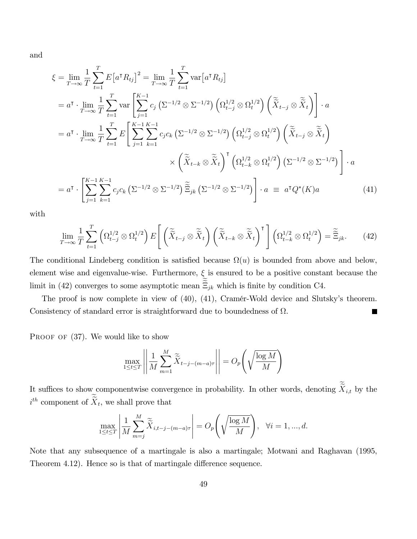and

$$
\xi = \lim_{T \to \infty} \frac{1}{T} \sum_{t=1}^{T} E\left[a^{\mathsf{T}} R_{tj}\right]^{2} = \lim_{T \to \infty} \frac{1}{T} \sum_{t=1}^{T} \text{var}\left[a^{\mathsf{T}} R_{tj}\right]
$$
\n
$$
= a^{\mathsf{T}} \cdot \lim_{T \to \infty} \frac{1}{T} \sum_{t=1}^{T} \text{var}\left[\sum_{j=1}^{K-1} c_{j} \left(\Sigma^{-1/2} \otimes \Sigma^{-1/2}\right) \left(\Omega_{t-j}^{1/2} \otimes \Omega_{t}^{1/2}\right) \left(\tilde{\tilde{X}}_{t-j} \otimes \tilde{\tilde{X}}_{t}\right)\right] \cdot a
$$
\n
$$
= a^{\mathsf{T}} \cdot \lim_{T \to \infty} \frac{1}{T} \sum_{t=1}^{T} E\left[\sum_{j=1}^{K-1} \sum_{k=1}^{K-1} c_{j} c_{k} \left(\Sigma^{-1/2} \otimes \Sigma^{-1/2}\right) \left(\Omega_{t-j}^{1/2} \otimes \Omega_{t}^{1/2}\right) \left(\tilde{\tilde{X}}_{t-j} \otimes \tilde{\tilde{X}}_{t}\right) \right]
$$
\n
$$
\times \left(\tilde{\tilde{X}}_{t-k} \otimes \tilde{\tilde{X}}_{t}\right)^{\mathsf{T}} \left(\Omega_{t-k}^{1/2} \otimes \Omega_{t}^{1/2}\right) \left(\Sigma^{-1/2} \otimes \Sigma^{-1/2}\right) \right] \cdot a
$$
\n
$$
= a^{\mathsf{T}} \cdot \left[\sum_{j=1}^{K-1} \sum_{k=1}^{K-1} c_{j} c_{k} \left(\Sigma^{-1/2} \otimes \Sigma^{-1/2}\right) \tilde{\Xi}_{jk} \left(\Sigma^{-1/2} \otimes \Sigma^{-1/2}\right) \right] \cdot a \equiv a^{\mathsf{T}} Q^{*}(K)a \tag{41}
$$

with

$$
\lim_{T \to \infty} \frac{1}{T} \sum_{t=1}^{T} \left( \Omega_{t-j}^{1/2} \otimes \Omega_t^{1/2} \right) E\left[ \left( \widetilde{\tilde{X}}_{t-j} \otimes \widetilde{\tilde{X}}_t \right) \left( \widetilde{\tilde{X}}_{t-k} \otimes \widetilde{\tilde{X}}_t \right)^{\mathsf{T}} \right] \left( \Omega_{t-k}^{1/2} \otimes \Omega_t^{1/2} \right) = \widetilde{\tilde{\Xi}}_{jk}.
$$
 (42)

The conditional Lindeberg condition is satisfied because  $\Omega(u)$  is bounded from above and below, element wise and eigenvalue-wise. Furthermore,  $\xi$  is ensured to be a positive constant because the limit in (42) converges to some asymptotic mean  $\Xi_{jk}$  which is finite by condition C4.

The proof is now complete in view of  $(40)$ ,  $(41)$ , Cramér-Wold device and Slutsky's theorem. Consistency of standard error is straightforward due to boundedness of  $\Omega$ .  $\mathcal{L}_{\mathcal{A}}$ 

PROOF OF  $(37)$ . We would like to show

$$
\max_{1 \le t \le T} \left| \left| \frac{1}{M} \sum_{m=1}^{M} \widetilde{\widetilde{X}}_{t-j-(m-a)\tau} \right| \right| = O_p\left(\sqrt{\frac{\log M}{M}}\right)
$$

It suffices to show componentwise convergence in probability. In other words, denoting  $\widetilde{X}_{i,t}$  by the  $i^{th}$  component of  $\tilde{X}_t$ , we shall prove that

$$
\max_{1 \le t \le T} \left| \frac{1}{M} \sum_{m=j}^{M} \widetilde{\widetilde{X}}_{i,t-j-(m-a)\tau} \right| = O_p\left(\sqrt{\frac{\log M}{M}}\right), \quad \forall i = 1, ..., d.
$$

Note that any subsequence of a martingale is also a martingale; Motwani and Raghavan (1995, Theorem 4.12). Hence so is that of martingale difference sequence.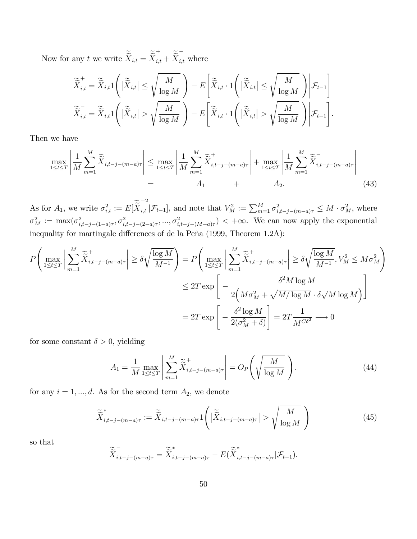Now for any t we write  $X_{i,t} = X$ +  $\sum_{i,t}^{+} + \widetilde{\widetilde{X}}_{i,t}^{-}$  where

$$
\widetilde{\widetilde{X}}_{i,t}^+ = \widetilde{\widetilde{X}}_{i,t} 1 \left( |\widetilde{\widetilde{X}}_{i,t}| \le \sqrt{\frac{M}{\log M}} \right) - E \left[ \widetilde{\widetilde{X}}_{i,t} \cdot 1 \left( |\widetilde{\widetilde{X}}_{i,t}| \le \sqrt{\frac{M}{\log M}} \right) \middle| \mathcal{F}_{t-1} \right]
$$
\n
$$
\widetilde{\widetilde{X}}_{i,t}^- = \widetilde{\widetilde{X}}_{i,t} 1 \left( |\widetilde{\widetilde{X}}_{i,t}| > \sqrt{\frac{M}{\log M}} \right) - E \left[ \widetilde{\widetilde{X}}_{i,t} \cdot 1 \left( |\widetilde{\widetilde{X}}_{i,t}| > \sqrt{\frac{M}{\log M}} \right) \middle| \mathcal{F}_{t-1} \right].
$$

Then we have

$$
\max_{1 \le t \le T} \left| \frac{1}{M} \sum_{m=1}^{M} \tilde{\tilde{X}}_{i,t-j-(m-a)\tau} \right| \le \max_{1 \le t \le T} \left| \frac{1}{M} \sum_{m=1}^{M} \tilde{\tilde{X}}_{i,t-j-(m-a)\tau}^{+} \right| + \max_{1 \le t \le T} \left| \frac{1}{M} \sum_{m=1}^{M} \tilde{\tilde{X}}_{i,t-j-(m-a)\tau}^{-} \right|
$$
\n
$$
= A_1 + A_2.
$$
\n(43)

As for  $A_1$ , we write  $\sigma_{i,t}^2 := E[X]$  $+2$  $\sum_{i,t} |\mathcal{F}_{t-1}|$ , and note that  $V_M^2 := \sum_{m=1}^M \sigma_{i,t-j-(m-a)\tau}^2 \leq M \cdot \sigma_M^2$ , where  $\sigma_M^2 := \max(\sigma_{i,t-j-(1-a)\tau}^2, \sigma_{i,t-j-(2-a)\tau}^2, ..., \sigma_{i,t-j-(M-a)\tau}^2)$   $< +\infty$ . We can now apply the exponential inequality for martingale differences of de la Peña (1999, Theorem 1.2A):

$$
P\left(\max_{1\leq t\leq T}\left|\sum_{m=1}^{M}\widetilde{\tilde{X}}_{i,t-j-(m-a)\tau}^{+}\right| \geq \delta\sqrt{\frac{\log M}{M^{-1}}}\right) = P\left(\max_{1\leq t\leq T}\left|\sum_{m=1}^{M}\widetilde{\tilde{X}}_{i,t-j-(m-a)\tau}^{+}\right| \geq \delta\sqrt{\frac{\log M}{M^{-1}}}, V_{M}^{2} \leq M\sigma_{M}^{2}\right)
$$

$$
\leq 2T \exp\left[-\frac{\delta^{2}M\log M}{2\left(M\sigma_{M}^{2}+\sqrt{M/\log M}\cdot\delta\sqrt{M\log M}\right)}\right]
$$

$$
= 2T \exp\left[-\frac{\delta^{2}\log M}{2(\sigma_{M}^{2}+\delta)}\right] = 2T\frac{1}{M^{C\delta^{2}}}\longrightarrow 0
$$

for some constant  $\delta > 0$ , yielding

$$
A_1 = \frac{1}{M} \max_{1 \le t \le T} \left| \sum_{m=1}^{M} \widetilde{\widetilde{X}}_{i,t-j-(m-a)\tau}^{+} \right| = O_P\left(\sqrt{\frac{M}{\log M}}\right). \tag{44}
$$

for any  $i = 1, ..., d$ . As for the second term  $A_2$ , we denote

$$
\widetilde{\widetilde{X}}_{i,t-j-(m-a)\tau}^* := \widetilde{\widetilde{X}}_{i,t-j-(m-a)\tau} 1\left( \left| \widetilde{\widetilde{X}}_{i,t-j-(m-a)\tau} \right| > \sqrt{\frac{M}{\log M}} \right) \tag{45}
$$

so that

$$
\widetilde{\widetilde{X}}_{i,t-j-(m-a)\tau}^{-} = \widetilde{\widetilde{X}}_{i,t-j-(m-a)\tau}^{*} - E(\widetilde{\widetilde{X}}_{i,t-j-(m-a)\tau}^{*}|\mathcal{F}_{t-1}).
$$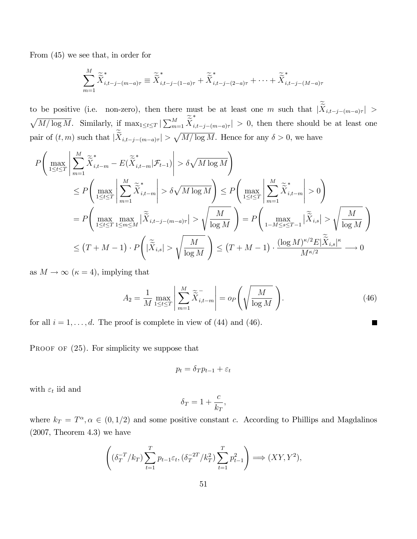From (45) we see that, in order for

$$
\sum_{m=1}^{M} \widetilde{\widetilde{X}}_{i,t-j-(m-a)\tau}^{*} \equiv \widetilde{\widetilde{X}}_{i,t-j-(1-a)\tau}^{*} + \widetilde{\widetilde{X}}_{i,t-j-(2-a)\tau}^{*} + \cdots + \widetilde{\widetilde{X}}_{i,t-j-(M-a)\tau}^{*}
$$

to be positive (i.e. non-zero), then there must be at least one m such that  $|X_{i,t-j-(m-a)\tau}| >$  $\sqrt{M/\log M}$ . Similarly, if  $\max_{1 \leq t \leq T} |\sum_{m=1}^{M} \tilde{\tilde{X}}_{i_m}^*$  $\left|i,t-j-(m-a)\tau\right| > 0$ , then there should be at least one pair of  $(t, m)$  such that  $|\widetilde{X}_{i,t-j-(m-a)\tau}| > \sqrt{M/\log M}$ . Hence for any  $\delta > 0$ , we have

$$
P\left(\max_{1\leq t\leq T}\left|\sum_{m=1}^{M}\widetilde{\tilde{X}}_{i,t-m}^{*}-E(\widetilde{\tilde{X}}_{i,t-m}^{*}|\mathcal{F}_{t-1})\right|>\delta\sqrt{M\log M}\right)
$$
  
\n
$$
\leq P\left(\max_{1\leq t\leq T}\left|\sum_{m=1}^{M}\widetilde{\tilde{X}}_{i,t-m}^{*}\right|>\delta\sqrt{M\log M}\right) \leq P\left(\max_{1\leq t\leq T}\left|\sum_{m=1}^{M}\widetilde{\tilde{X}}_{i,t-m}^{*}\right|>0\right)
$$
  
\n
$$
=P\left(\max_{1\leq t\leq T}\max_{1\leq m\leq M}|\widetilde{\tilde{X}}_{i,t-j-(m-a)\tau}|>\sqrt{\frac{M}{\log M}}\right) = P\left(\max_{1-M\leq s\leq T-1}|\widetilde{\tilde{X}}_{i,s}|>\sqrt{\frac{M}{\log M}}\right)
$$
  
\n
$$
\leq (T+M-1)\cdot P\left(|\widetilde{\tilde{X}}_{i,s}|>\sqrt{\frac{M}{\log M}}\right) \leq (T+M-1)\cdot \frac{(\log M)^{\kappa/2}E|\widetilde{\tilde{X}}_{i,s}|^{\kappa}}{M^{\kappa/2}} \longrightarrow 0
$$

as  $M \to \infty$  ( $\kappa = 4$ ), implying that

$$
A_2 = \frac{1}{M} \max_{1 \le t \le T} \left| \sum_{m=1}^{M} \widetilde{\tilde{X}}_{i,t-m}^- \right| = o_P\left(\sqrt{\frac{M}{\log M}}\right). \tag{46}
$$

 $\blacksquare$ 

for all  $i = 1, \ldots, d$ . The proof is complete in view of (44) and (46).

PROOF OF  $(25)$ . For simplicity we suppose that

$$
p_t = \delta_T p_{t-1} + \varepsilon_t
$$

with  $\varepsilon_t$  iid and

$$
\delta_T = 1 + \frac{c}{k_T},
$$

where  $k_T = T^{\alpha}, \alpha \in (0, 1/2)$  and some positive constant c. According to Phillips and Magdalinos  $(2007,$  Theorem 4.3) we have

$$
\left( (\delta_T^{-T}/k_T) \sum_{t=1}^T p_{t-1} \varepsilon_t, (\delta_T^{-2T}/k_T^2) \sum_{t=1}^T p_{t-1}^2 \right) \Longrightarrow (XY, Y^2),
$$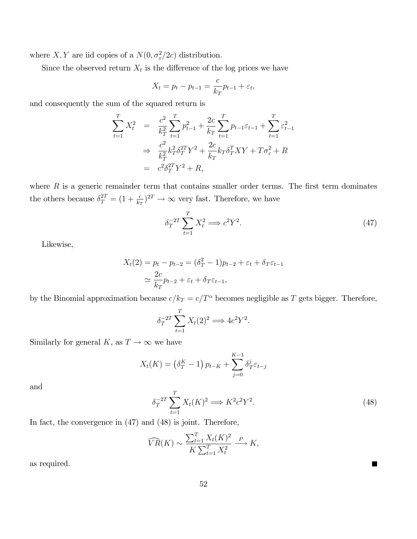where X, Y are iid copies of a  $N(0, \sigma_{\varepsilon}^2/2c)$  distribution.

Since the observed return  $X_t$  is the difference of the log prices we have

$$
X_t = p_t - p_{t-1} = \frac{c}{k_T} p_{t-1} + \varepsilon_t,
$$

and consequently the sum of the squared return is

$$
\sum_{t=1}^{T} X_t^2 = \frac{c^2}{k_T^2} \sum_{t=1}^{T} p_{t-1}^2 + \frac{2c}{k_T} \sum_{t=1}^{T} p_{t-1} \varepsilon_{t-1} + \sum_{t=1}^{T} \varepsilon_{t-1}^2
$$
  
\n
$$
\Rightarrow \frac{c^2}{k_T^2} k_T^2 \delta_T^{2T} Y^2 + \frac{2c}{k_T} k_T \delta_T^{T} XY + T \sigma_{\varepsilon}^2 + R
$$
  
\n
$$
= c^2 \delta_T^{2T} Y^2 + R,
$$

where  $R$  is a generic remainder term that contains smaller order terms. The first term dominates the others because  $\delta_T^{2T} = (1 + \frac{c}{k_T})^{2T} \to \infty$  very fast. Therefore, we have

$$
\delta_T^{-2T} \sum_{t=1}^T X_t^2 \Longrightarrow c^2 Y^2. \tag{47}
$$

Likewise,

$$
X_t(2) = p_t - p_{t-2} = (\delta_T^2 - 1)p_{t-2} + \varepsilon_t + \delta_T \varepsilon_{t-1}
$$
  

$$
\simeq \frac{2c}{k_T} p_{t-2} + \varepsilon_t + \delta_T \varepsilon_{t-1},
$$

by the Binomial approximation because  $c/k_T = c/T^{\alpha}$  becomes negligible as T gets bigger. Therefore,

$$
\delta_T^{-2T} \sum_{t=1}^T X_t(2)^2 \Longrightarrow 4c^2 Y^2
$$

Similarly for general  $K,$  as  $T\rightarrow\infty$  we have

$$
X_{t}(K) = (\delta_{T}^{K} - 1) p_{t-K} + \sum_{j=0}^{K-1} \delta_{T}^{j} \varepsilon_{t-j}
$$

and

$$
\delta_T^{-2T} \sum_{t=1}^T X_t(K)^2 \Longrightarrow K^2 c^2 Y^2. \tag{48}
$$

 $\blacksquare$ 

:

In fact, the convergence in (47) and (48) is joint. Therefore,

$$
\widehat{VR}(K) \sim \frac{\sum_{t=1}^{T} X_t(K)^2}{K \sum_{t=1}^{T} X_t^2} \stackrel{P}{\longrightarrow} K,
$$

as required.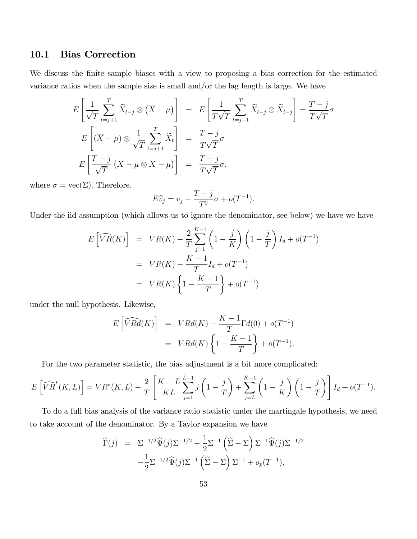#### 10.1 Bias Correction

We discuss the finite sample biases with a view to proposing a bias correction for the estimated variance ratios when the sample size is small and/or the lag length is large. We have

$$
E\left[\frac{1}{\sqrt{T}}\sum_{t=j+1}^{T}\widetilde{X}_{t-j}\otimes(\overline{X}-\mu)\right] = E\left[\frac{1}{T\sqrt{T}}\sum_{t=j+1}^{T}\widetilde{X}_{t-j}\otimes\widetilde{X}_{t-j}\right] = \frac{T-j}{T\sqrt{T}}\sigma
$$
  
\n
$$
E\left[(\overline{X}-\mu)\otimes\frac{1}{\sqrt{T}}\sum_{t=j+1}^{T}\widetilde{X}_{t}\right] = \frac{T-j}{T\sqrt{T}}\sigma
$$
  
\n
$$
E\left[\frac{T-j}{\sqrt{T}}(\overline{X}-\mu\otimes\overline{X}-\mu)\right] = \frac{T-j}{T\sqrt{T}}\sigma,
$$

where  $\sigma = \text{vec}(\Sigma)$ . Therefore,

$$
E\widehat{v}_j = v_j - \frac{T-j}{T^2}\sigma + o(T^{-1}).
$$

Under the iid assumption (which allows us to ignore the denominator, see below) we have we have

$$
E\left[\widehat{VR}(K)\right] = VR(K) - \frac{2}{T} \sum_{j=1}^{K-1} \left(1 - \frac{j}{K}\right) \left(1 - \frac{j}{T}\right) I_d + o(T^{-1})
$$
  
= VR(K) - \frac{K-1}{T} I\_d + o(T^{-1})  
= VR(K) \left\{1 - \frac{K-1}{T}\right\} + o(T^{-1})

under the null hypothesis. Likewise,

$$
E\left[\widehat{VRd}(K)\right] = VRd(K) - \frac{K-1}{T}\Gamma d(0) + o(T^{-1})
$$

$$
= VRd(K)\left\{1 - \frac{K-1}{T}\right\} + o(T^{-1}).
$$

For the two parameter statistic, the bias adjustment is a bit more complicated:

$$
E\left[\widehat{VR}^*(K,L)\right] = VR^*(K,L) - \frac{2}{T} \left[ \frac{K-L}{KL} \sum_{j=1}^{L-1} j\left(1 - \frac{j}{T}\right) + \sum_{j=L}^{K-1} \left(1 - \frac{j}{K}\right) \left(1 - \frac{j}{T}\right) \right] I_d + o(T^{-1}).
$$

To do a full bias analysis of the variance ratio statistic under the martingale hypothesis, we need to take account of the denominator. By a Taylor expansion we have

$$
\widehat{\Gamma}(j) = \Sigma^{-1/2} \widehat{\Psi}(j) \Sigma^{-1/2} - \frac{1}{2} \Sigma^{-1} \left( \widehat{\Sigma} - \Sigma \right) \Sigma^{-1} \widehat{\Psi}(j) \Sigma^{-1/2}
$$

$$
-\frac{1}{2} \Sigma^{-1/2} \widehat{\Psi}(j) \Sigma^{-1} \left( \widehat{\Sigma} - \Sigma \right) \Sigma^{-1} + o_p(T^{-1}),
$$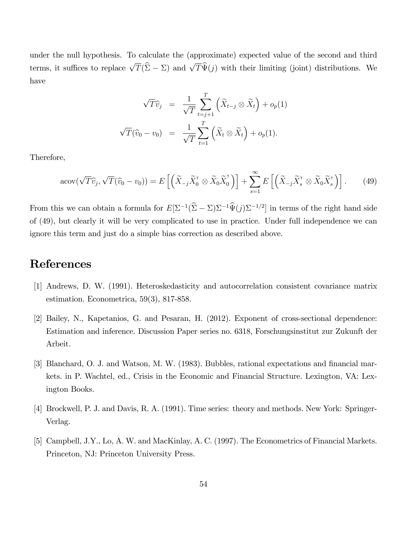under the null hypothesis. To calculate the (approximate) expected value of the second and third terms, it suffices to replace  $\sqrt{T}(\hat{\Sigma} - \Sigma)$  and  $\sqrt{T}\hat{\Psi}(j)$  with their limiting (joint) distributions. We have

$$
\sqrt{T}\hat{v}_j = \frac{1}{\sqrt{T}} \sum_{t=j+1}^T \left( \widetilde{X}_{t-j} \otimes \widetilde{X}_t \right) + o_p(1)
$$
  

$$
\sqrt{T}(\widehat{v}_0 - v_0) = \frac{1}{\sqrt{T}} \sum_{t=1}^T \left( \widetilde{X}_t \otimes \widetilde{X}_t \right) + o_p(1).
$$

Therefore,

$$
acov(\sqrt{T}\widehat{v}_j, \sqrt{T}(\widehat{v}_0 - v_0)) = E\left[\left(\widetilde{X}_{-j}\widetilde{X}_0^{\mathsf{T}} \otimes \widetilde{X}_0\widetilde{X}_0^{\mathsf{T}}\right)\right] + \sum_{s=1}^{\infty} E\left[\left(\widetilde{X}_{-j}\widetilde{X}_s^{\mathsf{T}} \otimes \widetilde{X}_0\widetilde{X}_s^{\mathsf{T}}\right)\right].\tag{49}
$$

From this we can obtain a formula for  $E[\Sigma^{-1}(\hat{\Sigma} - \Sigma)\Sigma^{-1}\hat{\Psi}(j)\Sigma^{-1/2}]$  in terms of the right hand side of (49), but clearly it will be very complicated to use in practice. Under full independence we can ignore this term and just do a simple bias correction as described above.

## References

- [1] Andrews, D. W. (1991). Heteroskedasticity and autocorrelation consistent covariance matrix estimation. Econometrica, 59(3), 817-858.
- [2] Bailey, N., Kapetanios, G. and Pesaran, H. (2012). Exponent of cross-sectional dependence: Estimation and inference. Discussion Paper series no. 6318, Forschungsinstitut zur Zukunft der Arbeit.
- [3] Blanchard, O. J. and Watson, M. W. (1983). Bubbles, rational expectations and financial markets. in P. Wachtel, ed., Crisis in the Economic and Financial Structure. Lexington, VA: Lexington Books.
- [4] Brockwell, P. J. and Davis, R. A. (1991). Time series: theory and methods. New York: Springer-Verlag.
- [5] Campbell, J.Y., Lo, A. W. and MacKinlay, A. C. (1997). The Econometrics of Financial Markets. Princeton, NJ: Princeton University Press.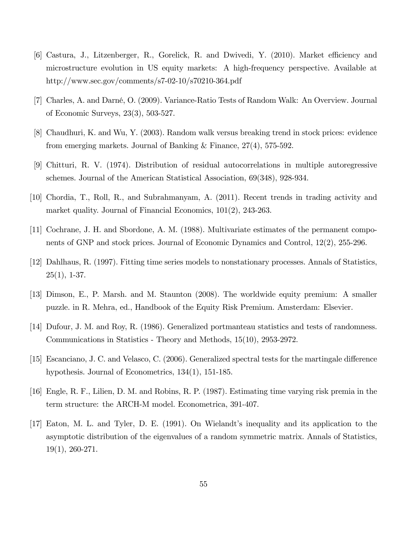- [6] Castura, J., Litzenberger, R., Gorelick, R. and Dwivedi, Y. (2010). Market efficiency and microstructure evolution in US equity markets: A high-frequency perspective. Available at http://www.sec.gov/comments/s7-02-10/s70210-364.pdf
- [7] Charles, A. and DarnÈ, O. (2009). Variance-Ratio Tests of Random Walk: An Overview. Journal of Economic Surveys, 23(3), 503-527.
- [8] Chaudhuri, K. and Wu, Y. (2003). Random walk versus breaking trend in stock prices: evidence from emerging markets. Journal of Banking & Finance, 27(4), 575-592.
- [9] Chitturi, R. V. (1974). Distribution of residual autocorrelations in multiple autoregressive schemes. Journal of the American Statistical Association, 69(348), 928-934.
- [10] Chordia, T., Roll, R., and Subrahmanyam, A. (2011). Recent trends in trading activity and market quality. Journal of Financial Economics, 101(2), 243-263.
- [11] Cochrane, J. H. and Sbordone, A. M. (1988). Multivariate estimates of the permanent components of GNP and stock prices. Journal of Economic Dynamics and Control, 12(2), 255-296.
- [12] Dahlhaus, R. (1997). Fitting time series models to nonstationary processes. Annals of Statistics,  $25(1), 1-37.$
- [13] Dimson, E., P. Marsh. and M. Staunton (2008). The worldwide equity premium: A smaller puzzle. in R. Mehra, ed., Handbook of the Equity Risk Premium. Amsterdam: Elsevier.
- [14] Dufour, J. M. and Roy, R. (1986). Generalized portmanteau statistics and tests of randomness. Communications in Statistics - Theory and Methods, 15(10), 2953-2972.
- [15] Escanciano, J. C. and Velasco, C. (2006). Generalized spectral tests for the martingale difference hypothesis. Journal of Econometrics, 134(1), 151-185.
- [16] Engle, R. F., Lilien, D. M. and Robins, R. P. (1987). Estimating time varying risk premia in the term structure: the ARCH-M model. Econometrica, 391-407.
- [17] Eaton, M. L. and Tyler, D. E. (1991). On Wielandt's inequality and its application to the asymptotic distribution of the eigenvalues of a random symmetric matrix. Annals of Statistics, 19(1), 260-271.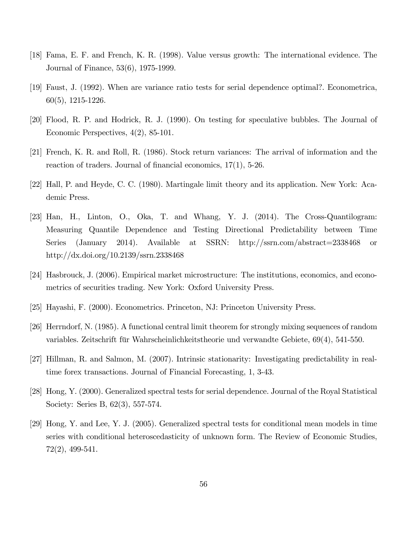- [18] Fama, E. F. and French, K. R. (1998). Value versus growth: The international evidence. The Journal of Finance, 53(6), 1975-1999.
- [19] Faust, J. (1992). When are variance ratio tests for serial dependence optimal?. Econometrica, 60(5), 1215-1226.
- [20] Flood, R. P. and Hodrick, R. J. (1990). On testing for speculative bubbles. The Journal of Economic Perspectives, 4(2), 85-101.
- [21] French, K. R. and Roll, R. (1986). Stock return variances: The arrival of information and the reaction of traders. Journal of financial economics,  $17(1)$ , 5-26.
- [22] Hall, P. and Heyde, C. C. (1980). Martingale limit theory and its application. New York: Academic Press.
- [23] Han, H., Linton, O., Oka, T. and Whang, Y. J. (2014). The Cross-Quantilogram: Measuring Quantile Dependence and Testing Directional Predictability between Time Series (January 2014). Available at SSRN: http://ssrn.com/abstract=2338468 or http://dx.doi.org/10.2139/ssrn.2338468
- [24] Hasbrouck, J. (2006). Empirical market microstructure: The institutions, economics, and econometrics of securities trading. New York: Oxford University Press.
- [25] Hayashi, F. (2000). Econometrics. Princeton, NJ: Princeton University Press.
- [26] Herrndorf, N. (1985). A functional central limit theorem for strongly mixing sequences of random variables. Zeitschrift für Wahrscheinlichkeitstheorie und verwandte Gebiete, 69(4), 541-550.
- [27] Hillman, R. and Salmon, M. (2007). Intrinsic stationarity: Investigating predictability in realtime forex transactions. Journal of Financial Forecasting, 1, 3-43.
- [28] Hong, Y. (2000). Generalized spectral tests for serial dependence. Journal of the Royal Statistical Society: Series B, 62(3), 557-574.
- [29] Hong, Y. and Lee, Y. J. (2005). Generalized spectral tests for conditional mean models in time series with conditional heteroscedasticity of unknown form. The Review of Economic Studies, 72(2), 499-541.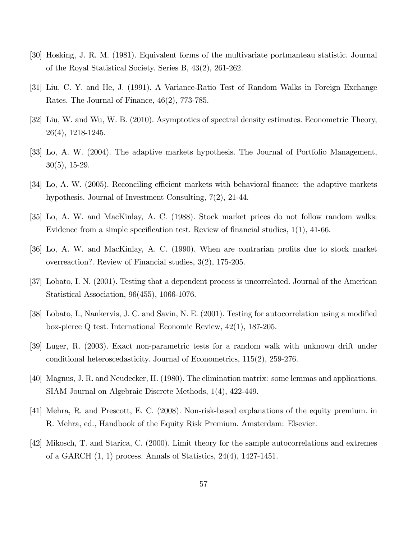- [30] Hosking, J. R. M. (1981). Equivalent forms of the multivariate portmanteau statistic. Journal of the Royal Statistical Society. Series B, 43(2), 261-262.
- [31] Liu, C. Y. and He, J. (1991). A Variance-Ratio Test of Random Walks in Foreign Exchange Rates. The Journal of Finance, 46(2), 773-785.
- [32] Liu, W. and Wu, W. B. (2010). Asymptotics of spectral density estimates. Econometric Theory, 26(4), 1218-1245.
- [33] Lo, A. W. (2004). The adaptive markets hypothesis. The Journal of Portfolio Management, 30(5), 15-29.
- [34] Lo, A. W. (2005). Reconciling efficient markets with behavioral finance: the adaptive markets hypothesis. Journal of Investment Consulting, 7(2), 21-44.
- [35] Lo, A. W. and MacKinlay, A. C. (1988). Stock market prices do not follow random walks: Evidence from a simple specification test. Review of financial studies,  $1(1)$ ,  $41-66$ .
- [36] Lo, A. W. and MacKinlay, A. C. (1990). When are contrarian profits due to stock market overreaction?. Review of Financial studies, 3(2), 175-205.
- [37] Lobato, I. N. (2001). Testing that a dependent process is uncorrelated. Journal of the American Statistical Association, 96(455), 1066-1076.
- [38] Lobato, I., Nankervis, J. C. and Savin, N. E. (2001). Testing for autocorrelation using a modified box-pierce Q test. International Economic Review, 42(1), 187-205.
- [39] Luger, R. (2003). Exact non-parametric tests for a random walk with unknown drift under conditional heteroscedasticity. Journal of Econometrics, 115(2), 259-276.
- [40] Magnus, J. R. and Neudecker, H. (1980). The elimination matrix: some lemmas and applications. SIAM Journal on Algebraic Discrete Methods, 1(4), 422-449.
- [41] Mehra, R. and Prescott, E. C. (2008). Non-risk-based explanations of the equity premium. in R. Mehra, ed., Handbook of the Equity Risk Premium. Amsterdam: Elsevier.
- [42] Mikosch, T. and Starica, C. (2000). Limit theory for the sample autocorrelations and extremes of a GARCH (1, 1) process. Annals of Statistics, 24(4), 1427-1451.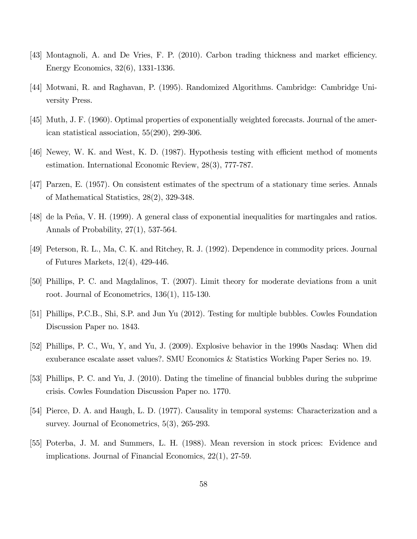- [43] Montagnoli, A. and De Vries, F. P. (2010). Carbon trading thickness and market efficiency. Energy Economics, 32(6), 1331-1336.
- [44] Motwani, R. and Raghavan, P. (1995). Randomized Algorithms. Cambridge: Cambridge University Press.
- [45] Muth, J. F. (1960). Optimal properties of exponentially weighted forecasts. Journal of the american statistical association, 55(290), 299-306.
- [46] Newey, W. K. and West, K. D. (1987). Hypothesis testing with efficient method of moments estimation. International Economic Review, 28(3), 777-787.
- [47] Parzen, E. (1957). On consistent estimates of the spectrum of a stationary time series. Annals of Mathematical Statistics, 28(2), 329-348.
- [48] de la Peña, V. H. (1999). A general class of exponential inequalities for martingales and ratios. Annals of Probability, 27(1), 537-564.
- [49] Peterson, R. L., Ma, C. K. and Ritchey, R. J. (1992). Dependence in commodity prices. Journal of Futures Markets, 12(4), 429-446.
- [50] Phillips, P. C. and Magdalinos, T. (2007). Limit theory for moderate deviations from a unit root. Journal of Econometrics, 136(1), 115-130.
- [51] Phillips, P.C.B., Shi, S.P. and Jun Yu (2012). Testing for multiple bubbles. Cowles Foundation Discussion Paper no. 1843.
- [52] Phillips, P. C., Wu, Y, and Yu, J. (2009). Explosive behavior in the 1990s Nasdaq: When did exuberance escalate asset values?. SMU Economics & Statistics Working Paper Series no. 19.
- [53] Phillips, P. C. and Yu, J. (2010). Dating the timeline of financial bubbles during the subprime crisis. Cowles Foundation Discussion Paper no. 1770.
- [54] Pierce, D. A. and Haugh, L. D. (1977). Causality in temporal systems: Characterization and a survey. Journal of Econometrics, 5(3), 265-293.
- [55] Poterba, J. M. and Summers, L. H. (1988). Mean reversion in stock prices: Evidence and implications. Journal of Financial Economics, 22(1), 27-59.